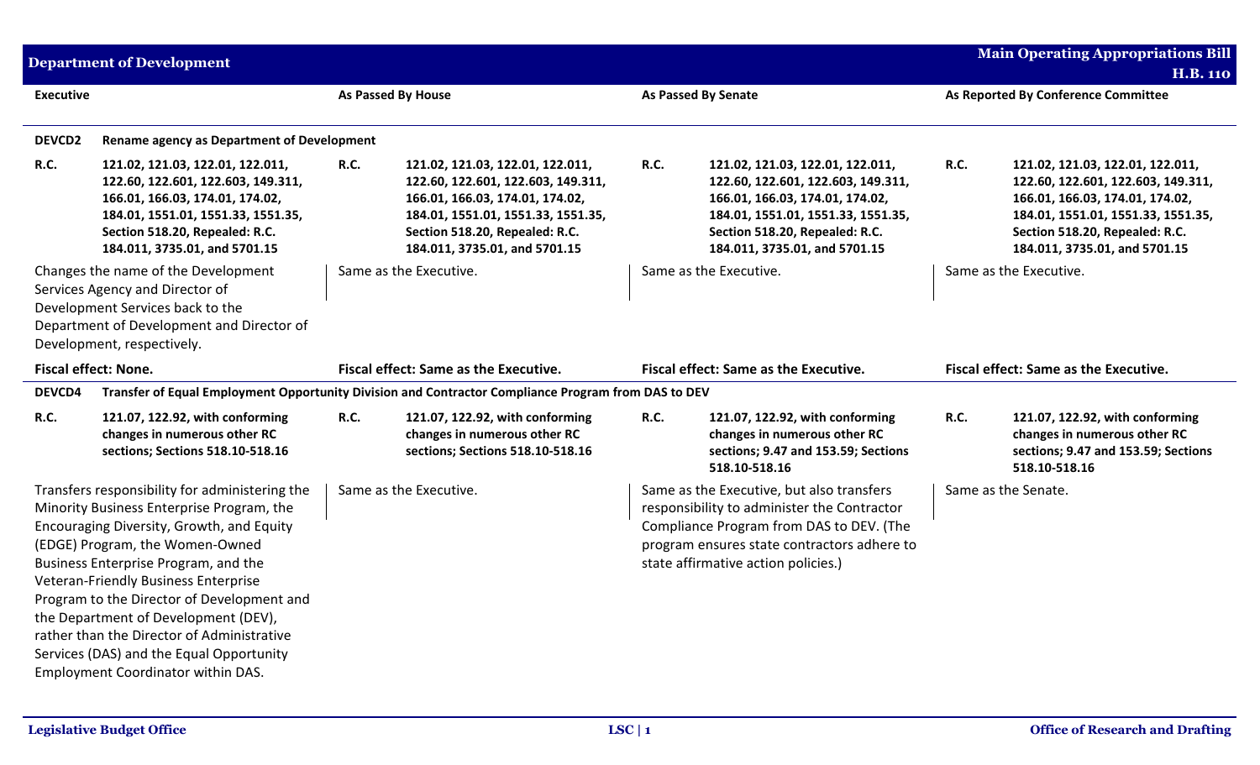| <b>Department of Development</b>                                                                                                                                                                                                                                                                                                                                                                                                                                                  |                                                                                                                                                                                                                    |                    |                                                                                                                                                                                                                    |             | <b>Main Operating Appropriations Bill</b>                                                                                                                                                                                  |      |                                                                                                                                                                                                                    |
|-----------------------------------------------------------------------------------------------------------------------------------------------------------------------------------------------------------------------------------------------------------------------------------------------------------------------------------------------------------------------------------------------------------------------------------------------------------------------------------|--------------------------------------------------------------------------------------------------------------------------------------------------------------------------------------------------------------------|--------------------|--------------------------------------------------------------------------------------------------------------------------------------------------------------------------------------------------------------------|-------------|----------------------------------------------------------------------------------------------------------------------------------------------------------------------------------------------------------------------------|------|--------------------------------------------------------------------------------------------------------------------------------------------------------------------------------------------------------------------|
| <b>Executive</b>                                                                                                                                                                                                                                                                                                                                                                                                                                                                  |                                                                                                                                                                                                                    | As Passed By House |                                                                                                                                                                                                                    |             | As Passed By Senate                                                                                                                                                                                                        |      | <b>H.B. 110</b><br>As Reported By Conference Committee                                                                                                                                                             |
| DEVCD2                                                                                                                                                                                                                                                                                                                                                                                                                                                                            | <b>Rename agency as Department of Development</b>                                                                                                                                                                  |                    |                                                                                                                                                                                                                    |             |                                                                                                                                                                                                                            |      |                                                                                                                                                                                                                    |
| <b>R.C.</b>                                                                                                                                                                                                                                                                                                                                                                                                                                                                       | 121.02, 121.03, 122.01, 122.011,<br>122.60, 122.601, 122.603, 149.311,<br>166.01, 166.03, 174.01, 174.02,<br>184.01, 1551.01, 1551.33, 1551.35,<br>Section 518.20, Repealed: R.C.<br>184.011, 3735.01, and 5701.15 | <b>R.C.</b>        | 121.02, 121.03, 122.01, 122.011,<br>122.60, 122.601, 122.603, 149.311,<br>166.01, 166.03, 174.01, 174.02,<br>184.01, 1551.01, 1551.33, 1551.35,<br>Section 518.20, Repealed: R.C.<br>184.011, 3735.01, and 5701.15 | <b>R.C.</b> | 121.02, 121.03, 122.01, 122.011,<br>122.60, 122.601, 122.603, 149.311,<br>166.01, 166.03, 174.01, 174.02,<br>184.01, 1551.01, 1551.33, 1551.35,<br>Section 518.20, Repealed: R.C.<br>184.011, 3735.01, and 5701.15         | R.C. | 121.02, 121.03, 122.01, 122.011,<br>122.60, 122.601, 122.603, 149.311,<br>166.01, 166.03, 174.01, 174.02,<br>184.01, 1551.01, 1551.33, 1551.35,<br>Section 518.20, Repealed: R.C.<br>184.011, 3735.01, and 5701.15 |
| Changes the name of the Development<br>Services Agency and Director of<br>Development Services back to the<br>Department of Development and Director of<br>Development, respectively.                                                                                                                                                                                                                                                                                             |                                                                                                                                                                                                                    |                    | Same as the Executive.                                                                                                                                                                                             |             | Same as the Executive.                                                                                                                                                                                                     |      | Same as the Executive.                                                                                                                                                                                             |
|                                                                                                                                                                                                                                                                                                                                                                                                                                                                                   | Fiscal effect: None.                                                                                                                                                                                               |                    | Fiscal effect: Same as the Executive.                                                                                                                                                                              |             | Fiscal effect: Same as the Executive.                                                                                                                                                                                      |      | Fiscal effect: Same as the Executive.                                                                                                                                                                              |
| DEVCD4                                                                                                                                                                                                                                                                                                                                                                                                                                                                            |                                                                                                                                                                                                                    |                    | Transfer of Equal Employment Opportunity Division and Contractor Compliance Program from DAS to DEV                                                                                                                |             |                                                                                                                                                                                                                            |      |                                                                                                                                                                                                                    |
| <b>R.C.</b>                                                                                                                                                                                                                                                                                                                                                                                                                                                                       | 121.07, 122.92, with conforming<br>changes in numerous other RC<br>sections; Sections 518.10-518.16                                                                                                                | <b>R.C.</b>        | 121.07, 122.92, with conforming<br>changes in numerous other RC<br>sections; Sections 518.10-518.16                                                                                                                | <b>R.C.</b> | 121.07, 122.92, with conforming<br>changes in numerous other RC<br>sections; 9.47 and 153.59; Sections<br>518.10-518.16                                                                                                    | R.C. | 121.07, 122.92, with conforming<br>changes in numerous other RC<br>sections; 9.47 and 153.59; Sections<br>518.10-518.16                                                                                            |
| Transfers responsibility for administering the<br>Minority Business Enterprise Program, the<br>Encouraging Diversity, Growth, and Equity<br>(EDGE) Program, the Women-Owned<br>Business Enterprise Program, and the<br>Veteran-Friendly Business Enterprise<br>Program to the Director of Development and<br>the Department of Development (DEV),<br>rather than the Director of Administrative<br>Services (DAS) and the Equal Opportunity<br>Employment Coordinator within DAS. |                                                                                                                                                                                                                    |                    | Same as the Executive.                                                                                                                                                                                             |             | Same as the Executive, but also transfers<br>responsibility to administer the Contractor<br>Compliance Program from DAS to DEV. (The<br>program ensures state contractors adhere to<br>state affirmative action policies.) |      | Same as the Senate.                                                                                                                                                                                                |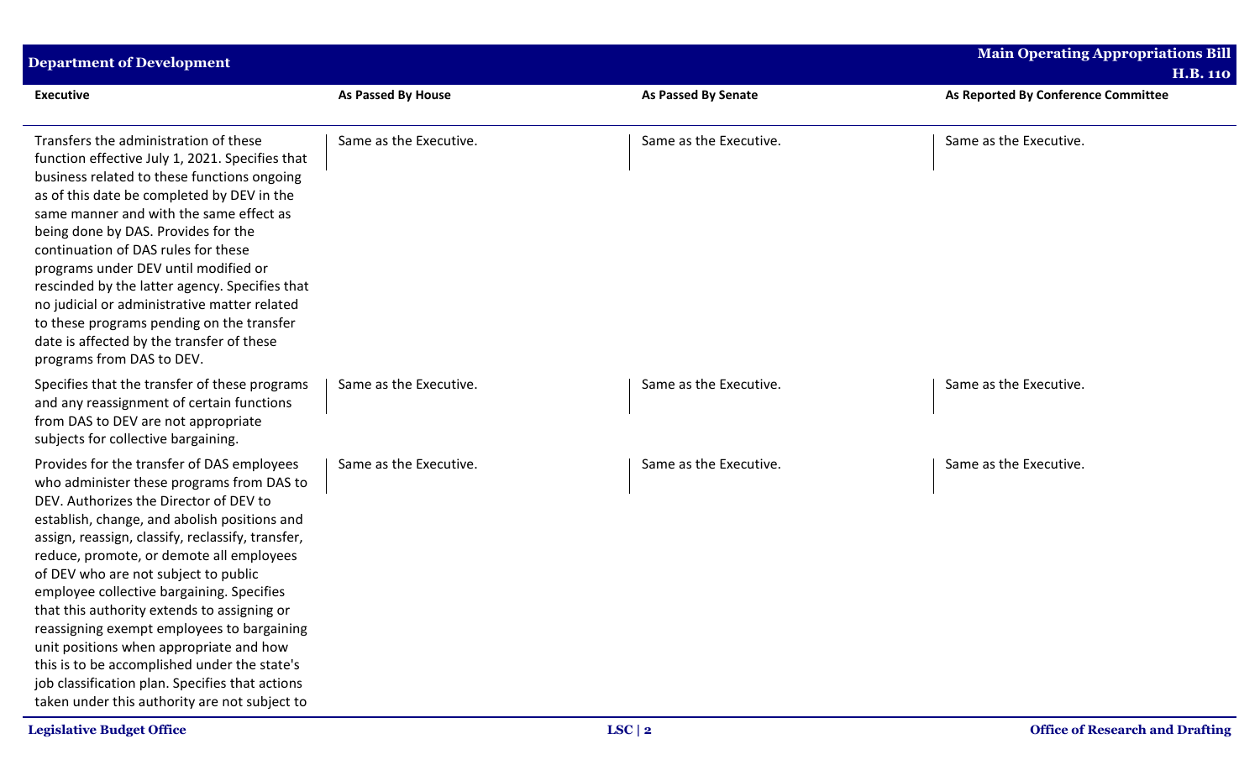| <b>Department of Development</b>                                                                                                                                                                                                                                                                                                                                                                                                                                                                                                                                                                                                                                    |                           |                            | <b>Main Operating Appropriations Bill</b><br><b>H.B. 110</b> |
|---------------------------------------------------------------------------------------------------------------------------------------------------------------------------------------------------------------------------------------------------------------------------------------------------------------------------------------------------------------------------------------------------------------------------------------------------------------------------------------------------------------------------------------------------------------------------------------------------------------------------------------------------------------------|---------------------------|----------------------------|--------------------------------------------------------------|
| <b>Executive</b>                                                                                                                                                                                                                                                                                                                                                                                                                                                                                                                                                                                                                                                    | <b>As Passed By House</b> | <b>As Passed By Senate</b> | As Reported By Conference Committee                          |
| Transfers the administration of these<br>function effective July 1, 2021. Specifies that<br>business related to these functions ongoing<br>as of this date be completed by DEV in the<br>same manner and with the same effect as<br>being done by DAS. Provides for the<br>continuation of DAS rules for these<br>programs under DEV until modified or<br>rescinded by the latter agency. Specifies that<br>no judicial or administrative matter related<br>to these programs pending on the transfer<br>date is affected by the transfer of these<br>programs from DAS to DEV.                                                                                     | Same as the Executive.    | Same as the Executive.     | Same as the Executive.                                       |
| Specifies that the transfer of these programs<br>and any reassignment of certain functions<br>from DAS to DEV are not appropriate<br>subjects for collective bargaining.                                                                                                                                                                                                                                                                                                                                                                                                                                                                                            | Same as the Executive.    | Same as the Executive.     | Same as the Executive.                                       |
| Provides for the transfer of DAS employees<br>who administer these programs from DAS to<br>DEV. Authorizes the Director of DEV to<br>establish, change, and abolish positions and<br>assign, reassign, classify, reclassify, transfer,<br>reduce, promote, or demote all employees<br>of DEV who are not subject to public<br>employee collective bargaining. Specifies<br>that this authority extends to assigning or<br>reassigning exempt employees to bargaining<br>unit positions when appropriate and how<br>this is to be accomplished under the state's<br>job classification plan. Specifies that actions<br>taken under this authority are not subject to | Same as the Executive.    | Same as the Executive.     | Same as the Executive.                                       |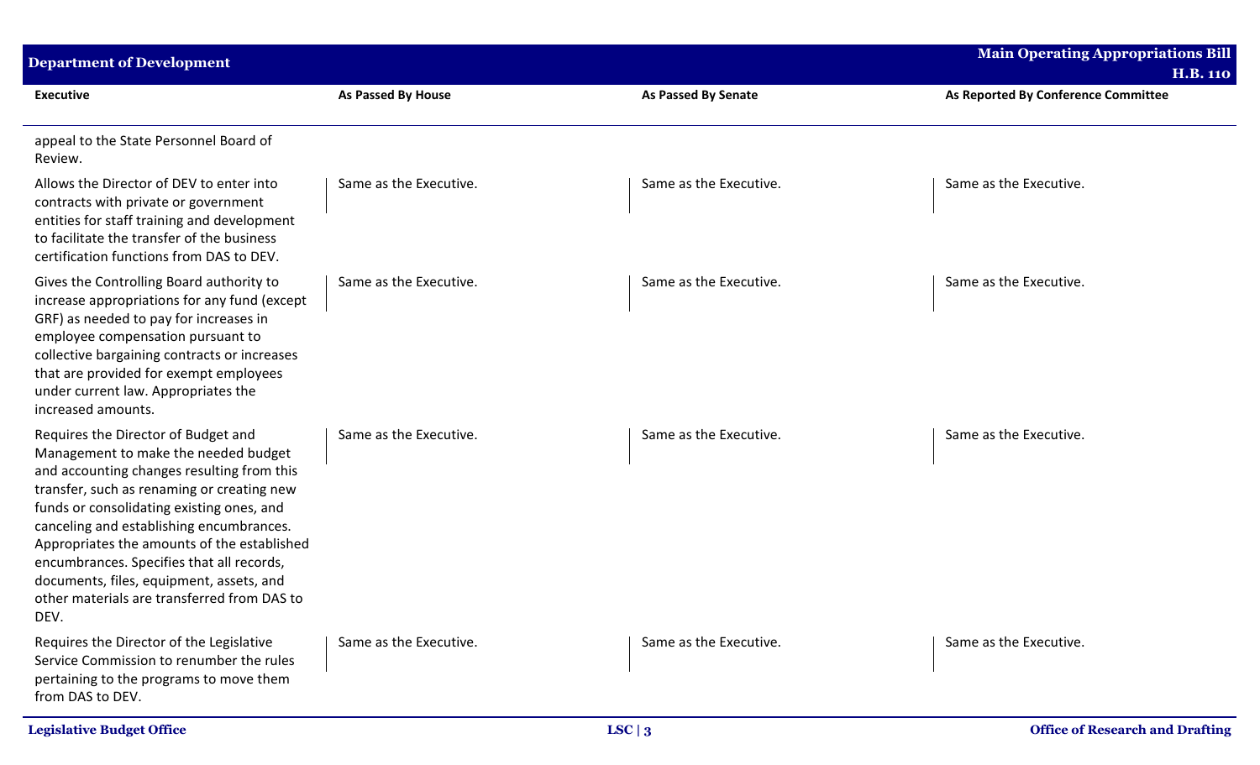| <b>Department of Development</b>                                                                                                                                                                                                                                                                                                                                                                                                                                |                        |                            | <b>Main Operating Appropriations Bill</b><br><b>H.B. 110</b> |
|-----------------------------------------------------------------------------------------------------------------------------------------------------------------------------------------------------------------------------------------------------------------------------------------------------------------------------------------------------------------------------------------------------------------------------------------------------------------|------------------------|----------------------------|--------------------------------------------------------------|
| <b>Executive</b>                                                                                                                                                                                                                                                                                                                                                                                                                                                | As Passed By House     | <b>As Passed By Senate</b> | As Reported By Conference Committee                          |
| appeal to the State Personnel Board of<br>Review.                                                                                                                                                                                                                                                                                                                                                                                                               |                        |                            |                                                              |
| Allows the Director of DEV to enter into<br>contracts with private or government<br>entities for staff training and development<br>to facilitate the transfer of the business<br>certification functions from DAS to DEV.                                                                                                                                                                                                                                       | Same as the Executive. | Same as the Executive.     | Same as the Executive.                                       |
| Gives the Controlling Board authority to<br>increase appropriations for any fund (except<br>GRF) as needed to pay for increases in<br>employee compensation pursuant to<br>collective bargaining contracts or increases<br>that are provided for exempt employees<br>under current law. Appropriates the<br>increased amounts.                                                                                                                                  | Same as the Executive. | Same as the Executive.     | Same as the Executive.                                       |
| Requires the Director of Budget and<br>Management to make the needed budget<br>and accounting changes resulting from this<br>transfer, such as renaming or creating new<br>funds or consolidating existing ones, and<br>canceling and establishing encumbrances.<br>Appropriates the amounts of the established<br>encumbrances. Specifies that all records,<br>documents, files, equipment, assets, and<br>other materials are transferred from DAS to<br>DEV. | Same as the Executive. | Same as the Executive.     | Same as the Executive.                                       |
| Requires the Director of the Legislative<br>Service Commission to renumber the rules<br>pertaining to the programs to move them<br>from DAS to DEV.                                                                                                                                                                                                                                                                                                             | Same as the Executive. | Same as the Executive.     | Same as the Executive.                                       |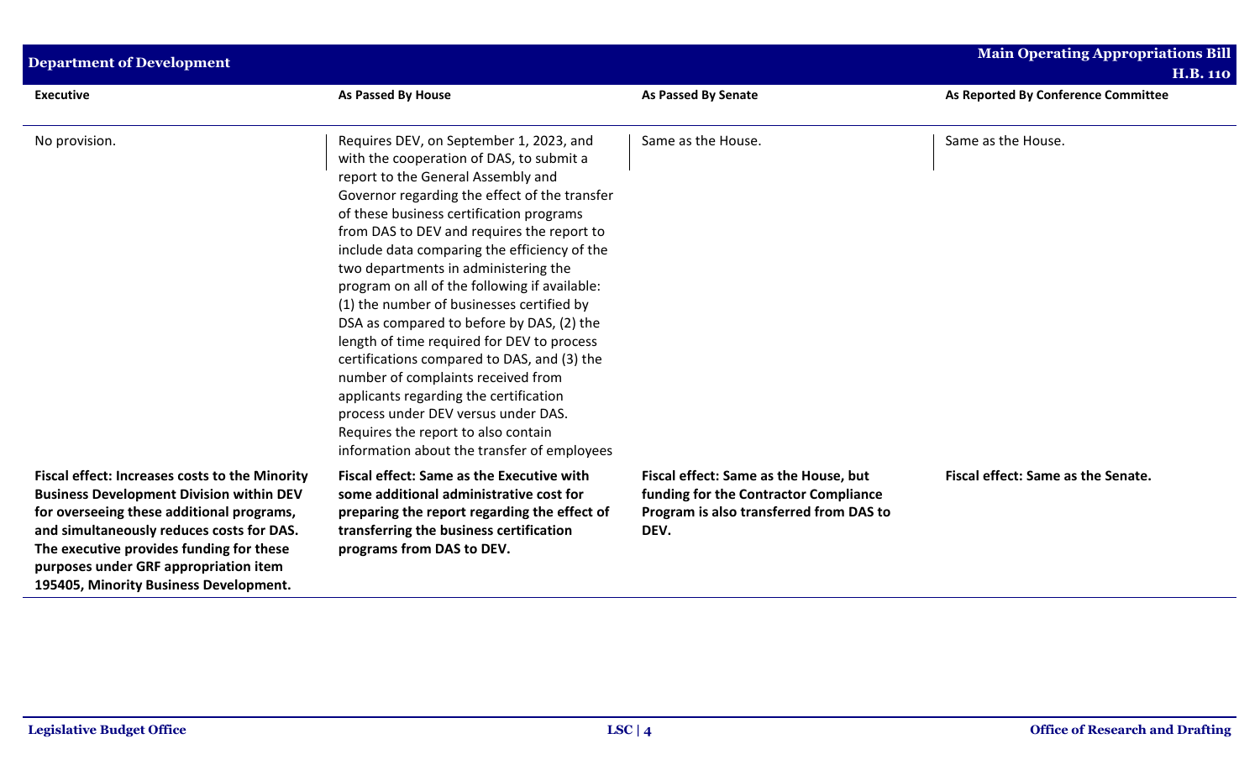| <b>Department of Development</b>                                                                                                                                                                                                                                                                                                  |                                                                                                                                                                                                                                                                                                                                                                                                                                                                                                                                                                                                                                                                                                                                                                                                                   |                                                                                                                                   | <b>Main Operating Appropriations Bill</b><br><b>H.B. 110</b> |
|-----------------------------------------------------------------------------------------------------------------------------------------------------------------------------------------------------------------------------------------------------------------------------------------------------------------------------------|-------------------------------------------------------------------------------------------------------------------------------------------------------------------------------------------------------------------------------------------------------------------------------------------------------------------------------------------------------------------------------------------------------------------------------------------------------------------------------------------------------------------------------------------------------------------------------------------------------------------------------------------------------------------------------------------------------------------------------------------------------------------------------------------------------------------|-----------------------------------------------------------------------------------------------------------------------------------|--------------------------------------------------------------|
| <b>Executive</b>                                                                                                                                                                                                                                                                                                                  | As Passed By House                                                                                                                                                                                                                                                                                                                                                                                                                                                                                                                                                                                                                                                                                                                                                                                                | <b>As Passed By Senate</b>                                                                                                        | As Reported By Conference Committee                          |
| No provision.                                                                                                                                                                                                                                                                                                                     | Requires DEV, on September 1, 2023, and<br>with the cooperation of DAS, to submit a<br>report to the General Assembly and<br>Governor regarding the effect of the transfer<br>of these business certification programs<br>from DAS to DEV and requires the report to<br>include data comparing the efficiency of the<br>two departments in administering the<br>program on all of the following if available:<br>(1) the number of businesses certified by<br>DSA as compared to before by DAS, (2) the<br>length of time required for DEV to process<br>certifications compared to DAS, and (3) the<br>number of complaints received from<br>applicants regarding the certification<br>process under DEV versus under DAS.<br>Requires the report to also contain<br>information about the transfer of employees | Same as the House.                                                                                                                | Same as the House.                                           |
| <b>Fiscal effect: Increases costs to the Minority</b><br><b>Business Development Division within DEV</b><br>for overseeing these additional programs,<br>and simultaneously reduces costs for DAS.<br>The executive provides funding for these<br>purposes under GRF appropriation item<br>195405, Minority Business Development. | <b>Fiscal effect: Same as the Executive with</b><br>some additional administrative cost for<br>preparing the report regarding the effect of<br>transferring the business certification<br>programs from DAS to DEV.                                                                                                                                                                                                                                                                                                                                                                                                                                                                                                                                                                                               | Fiscal effect: Same as the House, but<br>funding for the Contractor Compliance<br>Program is also transferred from DAS to<br>DEV. | Fiscal effect: Same as the Senate.                           |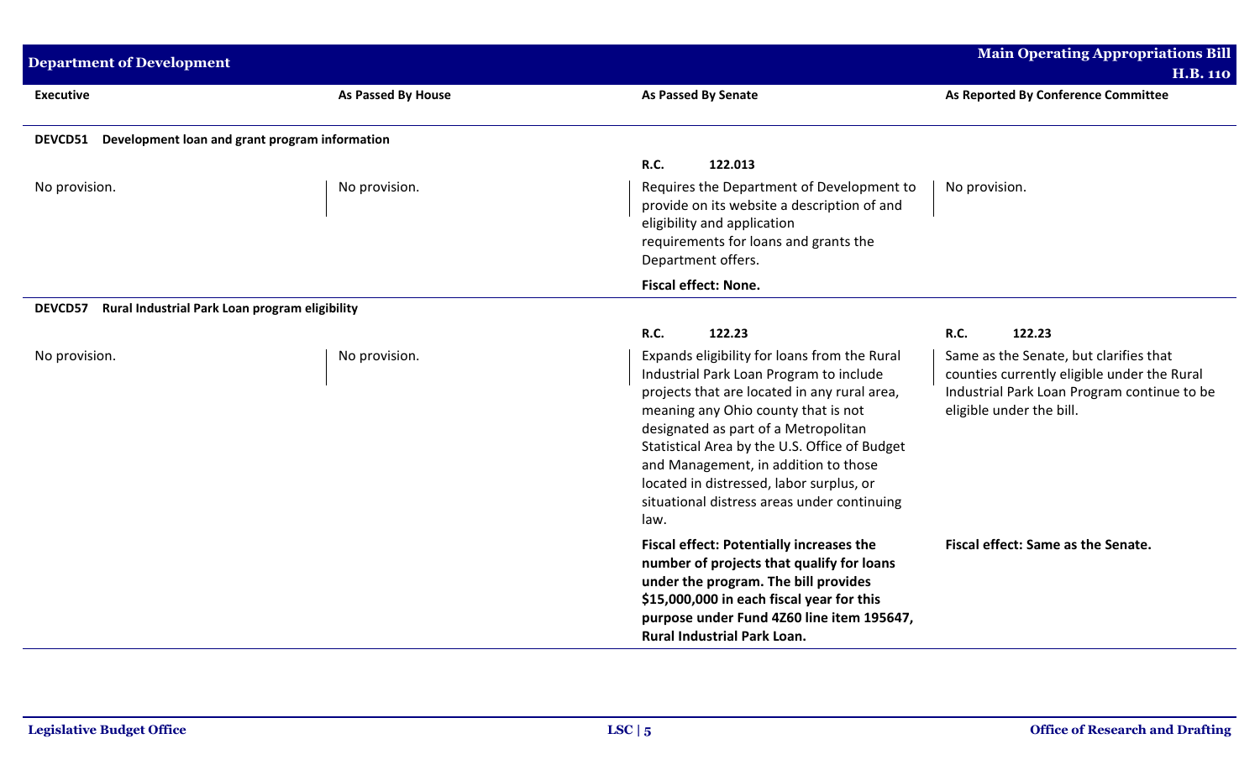| <b>Department of Development</b>                          |                    | <b>Main Operating Appropriations Bill</b>                                                                                                                                                                                                                                                                                                                                                                          |                                                                                                                                                                  |  |  |
|-----------------------------------------------------------|--------------------|--------------------------------------------------------------------------------------------------------------------------------------------------------------------------------------------------------------------------------------------------------------------------------------------------------------------------------------------------------------------------------------------------------------------|------------------------------------------------------------------------------------------------------------------------------------------------------------------|--|--|
|                                                           |                    |                                                                                                                                                                                                                                                                                                                                                                                                                    | <b>H.B. 110</b>                                                                                                                                                  |  |  |
| <b>Executive</b>                                          | As Passed By House | <b>As Passed By Senate</b>                                                                                                                                                                                                                                                                                                                                                                                         | As Reported By Conference Committee                                                                                                                              |  |  |
| DEVCD51 Development loan and grant program information    |                    |                                                                                                                                                                                                                                                                                                                                                                                                                    |                                                                                                                                                                  |  |  |
|                                                           |                    | R.C.<br>122.013                                                                                                                                                                                                                                                                                                                                                                                                    |                                                                                                                                                                  |  |  |
| No provision.                                             | No provision.      | Requires the Department of Development to<br>provide on its website a description of and<br>eligibility and application<br>requirements for loans and grants the<br>Department offers.                                                                                                                                                                                                                             | No provision.                                                                                                                                                    |  |  |
|                                                           |                    | <b>Fiscal effect: None.</b>                                                                                                                                                                                                                                                                                                                                                                                        |                                                                                                                                                                  |  |  |
| Rural Industrial Park Loan program eligibility<br>DEVCD57 |                    |                                                                                                                                                                                                                                                                                                                                                                                                                    |                                                                                                                                                                  |  |  |
|                                                           |                    | R.C.<br>122.23                                                                                                                                                                                                                                                                                                                                                                                                     | <b>R.C.</b><br>122.23                                                                                                                                            |  |  |
| No provision.                                             | No provision.      | Expands eligibility for loans from the Rural<br>Industrial Park Loan Program to include<br>projects that are located in any rural area,<br>meaning any Ohio county that is not<br>designated as part of a Metropolitan<br>Statistical Area by the U.S. Office of Budget<br>and Management, in addition to those<br>located in distressed, labor surplus, or<br>situational distress areas under continuing<br>law. | Same as the Senate, but clarifies that<br>counties currently eligible under the Rural<br>Industrial Park Loan Program continue to be<br>eligible under the bill. |  |  |
|                                                           |                    | <b>Fiscal effect: Potentially increases the</b><br>number of projects that qualify for loans<br>under the program. The bill provides<br>\$15,000,000 in each fiscal year for this<br>purpose under Fund 4Z60 line item 195647,<br><b>Rural Industrial Park Loan.</b>                                                                                                                                               | Fiscal effect: Same as the Senate.                                                                                                                               |  |  |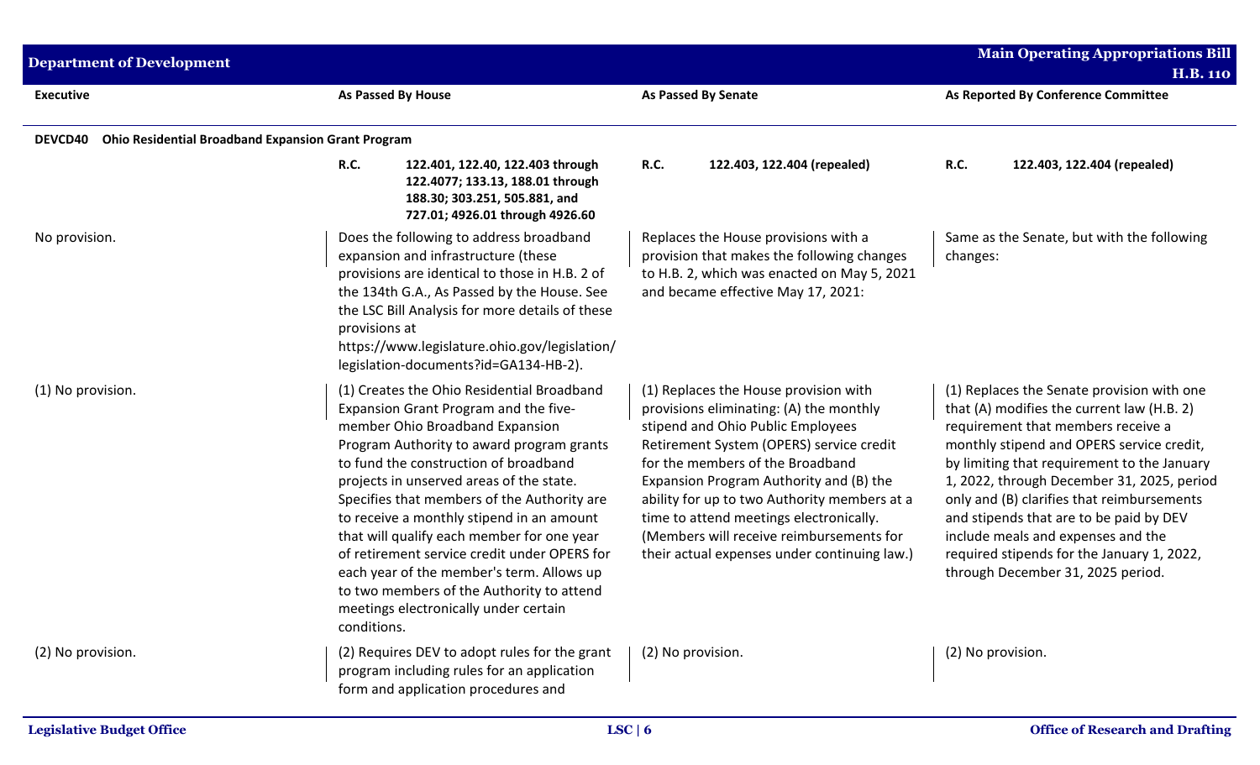| <b>Department of Development</b> |                                                                                                                                                                                                                                                                                                                                                                                                                                                                                                                                                                                                      |                                                                                                                                                                                                                                                                                                                                                                                                                                         | <b>Main Operating Appropriations Bill</b><br><b>H.B. 110</b>                                                                                                                                                                                                                                                                                                                                                                                                                               |  |
|----------------------------------|------------------------------------------------------------------------------------------------------------------------------------------------------------------------------------------------------------------------------------------------------------------------------------------------------------------------------------------------------------------------------------------------------------------------------------------------------------------------------------------------------------------------------------------------------------------------------------------------------|-----------------------------------------------------------------------------------------------------------------------------------------------------------------------------------------------------------------------------------------------------------------------------------------------------------------------------------------------------------------------------------------------------------------------------------------|--------------------------------------------------------------------------------------------------------------------------------------------------------------------------------------------------------------------------------------------------------------------------------------------------------------------------------------------------------------------------------------------------------------------------------------------------------------------------------------------|--|
| <b>Executive</b>                 | As Passed By House                                                                                                                                                                                                                                                                                                                                                                                                                                                                                                                                                                                   |                                                                                                                                                                                                                                                                                                                                                                                                                                         | As Reported By Conference Committee                                                                                                                                                                                                                                                                                                                                                                                                                                                        |  |
| DEVCD40                          | <b>Ohio Residential Broadband Expansion Grant Program</b>                                                                                                                                                                                                                                                                                                                                                                                                                                                                                                                                            |                                                                                                                                                                                                                                                                                                                                                                                                                                         |                                                                                                                                                                                                                                                                                                                                                                                                                                                                                            |  |
|                                  | <b>R.C.</b><br>122.401, 122.40, 122.403 through<br>122.4077; 133.13, 188.01 through<br>188.30; 303.251, 505.881, and<br>727.01; 4926.01 through 4926.60                                                                                                                                                                                                                                                                                                                                                                                                                                              | <b>R.C.</b><br>122.403, 122.404 (repealed)                                                                                                                                                                                                                                                                                                                                                                                              | R.C.<br>122.403, 122.404 (repealed)                                                                                                                                                                                                                                                                                                                                                                                                                                                        |  |
| No provision.                    | Does the following to address broadband<br>expansion and infrastructure (these<br>provisions are identical to those in H.B. 2 of<br>the 134th G.A., As Passed by the House. See<br>the LSC Bill Analysis for more details of these<br>provisions at<br>https://www.legislature.ohio.gov/legislation/<br>legislation-documents?id=GA134-HB-2).                                                                                                                                                                                                                                                        | Replaces the House provisions with a<br>provision that makes the following changes<br>to H.B. 2, which was enacted on May 5, 2021<br>and became effective May 17, 2021:                                                                                                                                                                                                                                                                 | Same as the Senate, but with the following<br>changes:                                                                                                                                                                                                                                                                                                                                                                                                                                     |  |
| (1) No provision.                | (1) Creates the Ohio Residential Broadband<br>Expansion Grant Program and the five-<br>member Ohio Broadband Expansion<br>Program Authority to award program grants<br>to fund the construction of broadband<br>projects in unserved areas of the state.<br>Specifies that members of the Authority are<br>to receive a monthly stipend in an amount<br>that will qualify each member for one year<br>of retirement service credit under OPERS for<br>each year of the member's term. Allows up<br>to two members of the Authority to attend<br>meetings electronically under certain<br>conditions. | (1) Replaces the House provision with<br>provisions eliminating: (A) the monthly<br>stipend and Ohio Public Employees<br>Retirement System (OPERS) service credit<br>for the members of the Broadband<br>Expansion Program Authority and (B) the<br>ability for up to two Authority members at a<br>time to attend meetings electronically.<br>(Members will receive reimbursements for<br>their actual expenses under continuing law.) | (1) Replaces the Senate provision with one<br>that (A) modifies the current law (H.B. 2)<br>requirement that members receive a<br>monthly stipend and OPERS service credit,<br>by limiting that requirement to the January<br>1, 2022, through December 31, 2025, period<br>only and (B) clarifies that reimbursements<br>and stipends that are to be paid by DEV<br>include meals and expenses and the<br>required stipends for the January 1, 2022,<br>through December 31, 2025 period. |  |
| (2) No provision.                | (2) Requires DEV to adopt rules for the grant<br>program including rules for an application<br>form and application procedures and                                                                                                                                                                                                                                                                                                                                                                                                                                                                   | (2) No provision.                                                                                                                                                                                                                                                                                                                                                                                                                       | (2) No provision.                                                                                                                                                                                                                                                                                                                                                                                                                                                                          |  |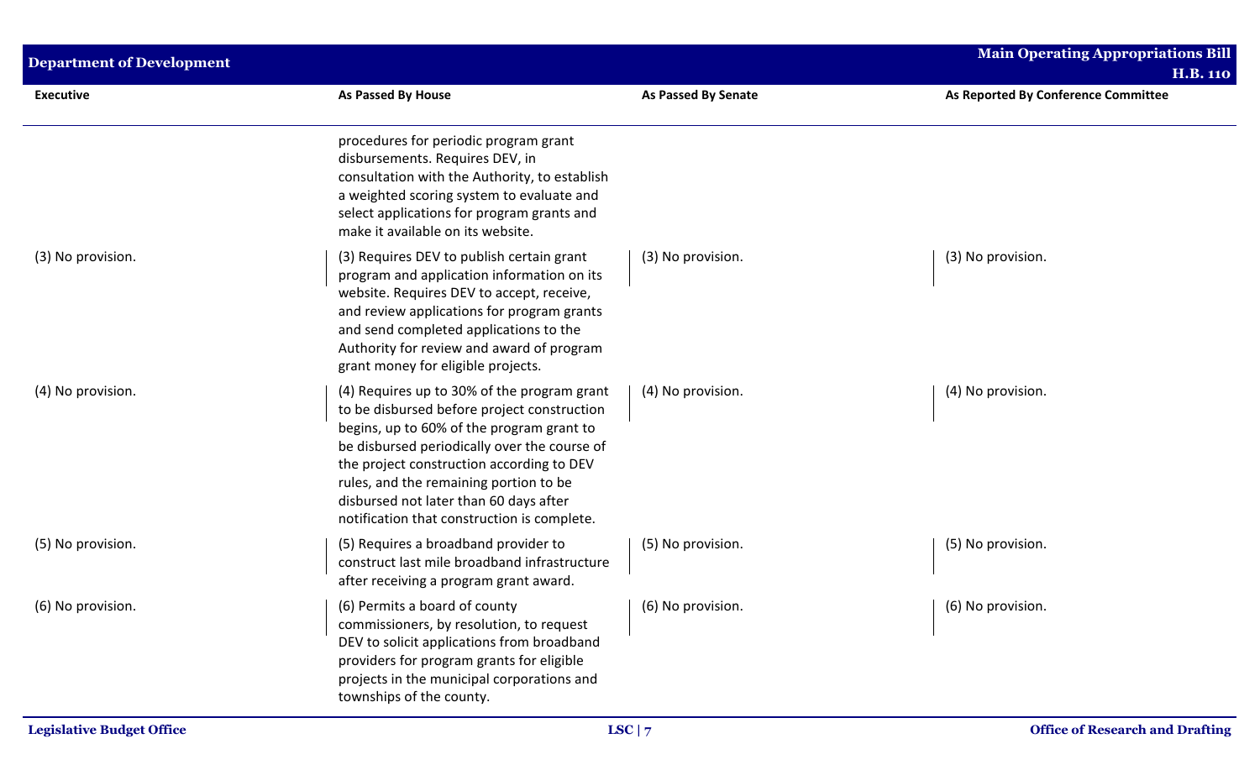| <b>Department of Development</b> |                                                                                                                                                                                                                                                                                                                                                                         |                            | <b>Main Operating Appropriations Bill</b><br><b>H.B. 110</b> |
|----------------------------------|-------------------------------------------------------------------------------------------------------------------------------------------------------------------------------------------------------------------------------------------------------------------------------------------------------------------------------------------------------------------------|----------------------------|--------------------------------------------------------------|
| <b>Executive</b>                 | As Passed By House                                                                                                                                                                                                                                                                                                                                                      | <b>As Passed By Senate</b> | As Reported By Conference Committee                          |
|                                  | procedures for periodic program grant<br>disbursements. Requires DEV, in<br>consultation with the Authority, to establish<br>a weighted scoring system to evaluate and<br>select applications for program grants and<br>make it available on its website.                                                                                                               |                            |                                                              |
| (3) No provision.                | (3) Requires DEV to publish certain grant<br>program and application information on its<br>website. Requires DEV to accept, receive,<br>and review applications for program grants<br>and send completed applications to the<br>Authority for review and award of program<br>grant money for eligible projects.                                                         | (3) No provision.          | (3) No provision.                                            |
| (4) No provision.                | (4) Requires up to 30% of the program grant<br>to be disbursed before project construction<br>begins, up to 60% of the program grant to<br>be disbursed periodically over the course of<br>the project construction according to DEV<br>rules, and the remaining portion to be<br>disbursed not later than 60 days after<br>notification that construction is complete. | (4) No provision.          | (4) No provision.                                            |
| (5) No provision.                | (5) Requires a broadband provider to<br>construct last mile broadband infrastructure<br>after receiving a program grant award.                                                                                                                                                                                                                                          | (5) No provision.          | (5) No provision.                                            |
| (6) No provision.                | (6) Permits a board of county<br>commissioners, by resolution, to request<br>DEV to solicit applications from broadband<br>providers for program grants for eligible<br>projects in the municipal corporations and<br>townships of the county.                                                                                                                          | (6) No provision.          | (6) No provision.                                            |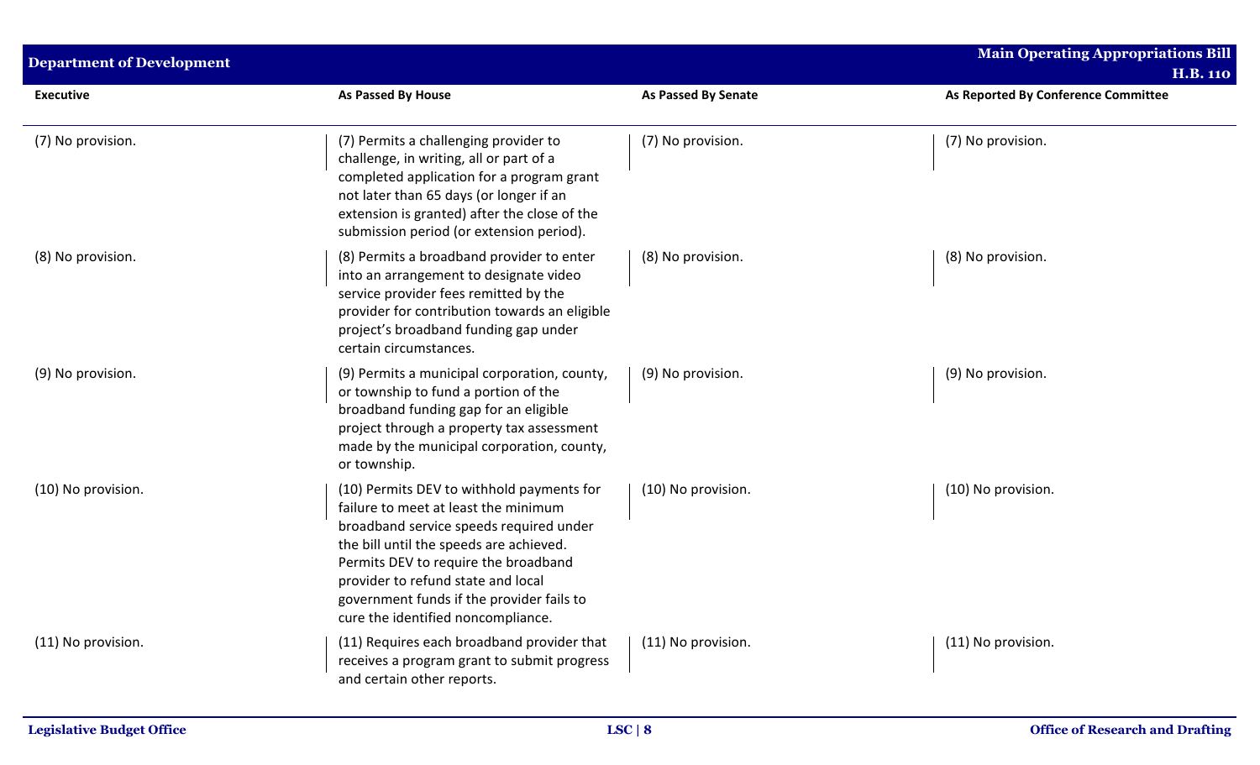| <b>Department of Development</b> |                                                                                                                                                                                                                                                                                                                                          |                            | <b>Main Operating Appropriations Bill</b><br><b>H.B. 110</b> |
|----------------------------------|------------------------------------------------------------------------------------------------------------------------------------------------------------------------------------------------------------------------------------------------------------------------------------------------------------------------------------------|----------------------------|--------------------------------------------------------------|
| <b>Executive</b>                 | <b>As Passed By House</b>                                                                                                                                                                                                                                                                                                                | <b>As Passed By Senate</b> | As Reported By Conference Committee                          |
| (7) No provision.                | (7) Permits a challenging provider to<br>challenge, in writing, all or part of a<br>completed application for a program grant<br>not later than 65 days (or longer if an<br>extension is granted) after the close of the<br>submission period (or extension period).                                                                     | (7) No provision.          | (7) No provision.                                            |
| (8) No provision.                | (8) Permits a broadband provider to enter<br>into an arrangement to designate video<br>service provider fees remitted by the<br>provider for contribution towards an eligible<br>project's broadband funding gap under<br>certain circumstances.                                                                                         | (8) No provision.          | (8) No provision.                                            |
| (9) No provision.                | (9) Permits a municipal corporation, county,<br>or township to fund a portion of the<br>broadband funding gap for an eligible<br>project through a property tax assessment<br>made by the municipal corporation, county,<br>or township.                                                                                                 | (9) No provision.          | (9) No provision.                                            |
| (10) No provision.               | (10) Permits DEV to withhold payments for<br>failure to meet at least the minimum<br>broadband service speeds required under<br>the bill until the speeds are achieved.<br>Permits DEV to require the broadband<br>provider to refund state and local<br>government funds if the provider fails to<br>cure the identified noncompliance. | (10) No provision.         | (10) No provision.                                           |
| (11) No provision.               | (11) Requires each broadband provider that<br>receives a program grant to submit progress<br>and certain other reports.                                                                                                                                                                                                                  | (11) No provision.         | (11) No provision.                                           |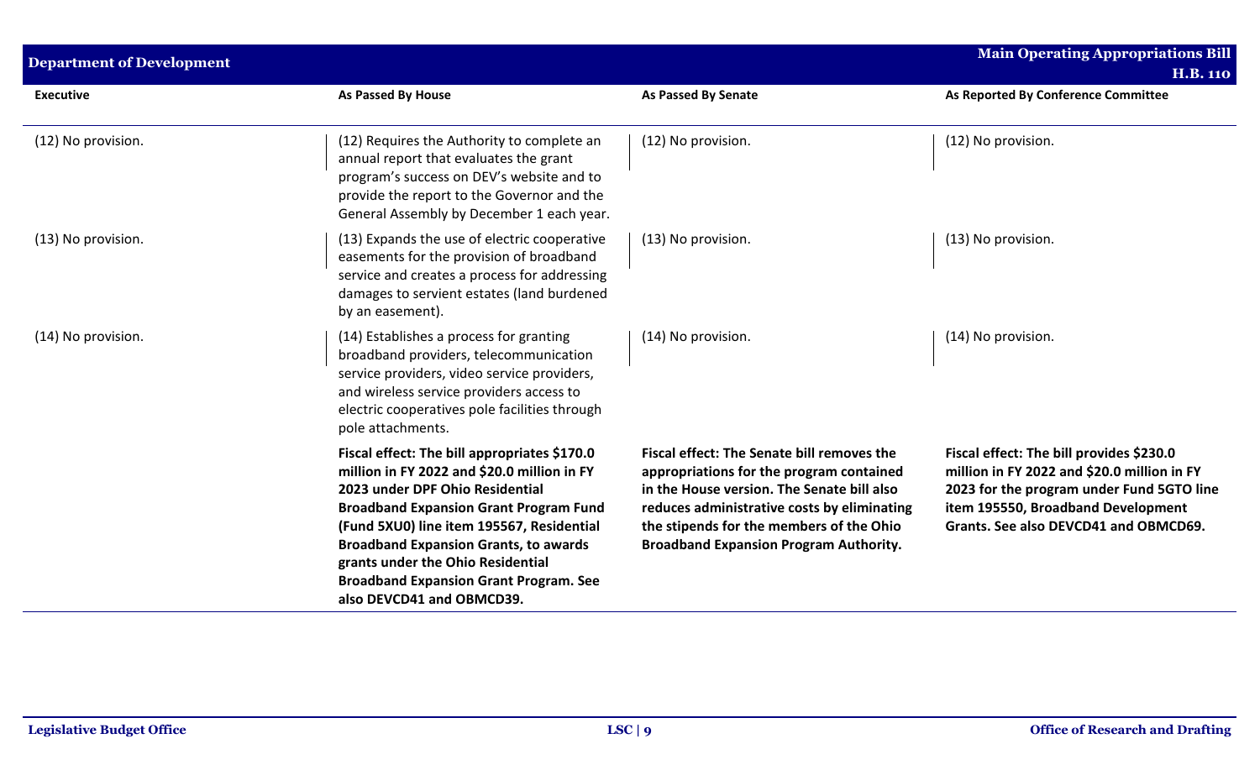| <b>Department of Development</b> |                                                                                                                                                                                                                                                                                                                                                                                                 |                                                                                                                                                                                                                                                                                  | <b>Main Operating Appropriations Bill</b><br><b>H.B. 110</b>                                                                                                                                                        |  |  |
|----------------------------------|-------------------------------------------------------------------------------------------------------------------------------------------------------------------------------------------------------------------------------------------------------------------------------------------------------------------------------------------------------------------------------------------------|----------------------------------------------------------------------------------------------------------------------------------------------------------------------------------------------------------------------------------------------------------------------------------|---------------------------------------------------------------------------------------------------------------------------------------------------------------------------------------------------------------------|--|--|
| <b>Executive</b>                 | As Passed By House                                                                                                                                                                                                                                                                                                                                                                              | <b>As Passed By Senate</b>                                                                                                                                                                                                                                                       | As Reported By Conference Committee                                                                                                                                                                                 |  |  |
| (12) No provision.               | (12) Requires the Authority to complete an<br>annual report that evaluates the grant<br>program's success on DEV's website and to<br>provide the report to the Governor and the<br>General Assembly by December 1 each year.                                                                                                                                                                    | (12) No provision.                                                                                                                                                                                                                                                               | (12) No provision.                                                                                                                                                                                                  |  |  |
| (13) No provision.               | (13) Expands the use of electric cooperative<br>easements for the provision of broadband<br>service and creates a process for addressing<br>damages to servient estates (land burdened<br>by an easement).                                                                                                                                                                                      | (13) No provision.                                                                                                                                                                                                                                                               | (13) No provision.                                                                                                                                                                                                  |  |  |
| (14) No provision.               | (14) Establishes a process for granting<br>broadband providers, telecommunication<br>service providers, video service providers,<br>and wireless service providers access to<br>electric cooperatives pole facilities through<br>pole attachments.                                                                                                                                              | (14) No provision.                                                                                                                                                                                                                                                               | (14) No provision.                                                                                                                                                                                                  |  |  |
|                                  | Fiscal effect: The bill appropriates \$170.0<br>million in FY 2022 and \$20.0 million in FY<br>2023 under DPF Ohio Residential<br><b>Broadband Expansion Grant Program Fund</b><br>(Fund 5XU0) line item 195567, Residential<br><b>Broadband Expansion Grants, to awards</b><br>grants under the Ohio Residential<br><b>Broadband Expansion Grant Program. See</b><br>also DEVCD41 and OBMCD39. | Fiscal effect: The Senate bill removes the<br>appropriations for the program contained<br>in the House version. The Senate bill also<br>reduces administrative costs by eliminating<br>the stipends for the members of the Ohio<br><b>Broadband Expansion Program Authority.</b> | Fiscal effect: The bill provides \$230.0<br>million in FY 2022 and \$20.0 million in FY<br>2023 for the program under Fund 5GTO line<br>item 195550, Broadband Development<br>Grants. See also DEVCD41 and OBMCD69. |  |  |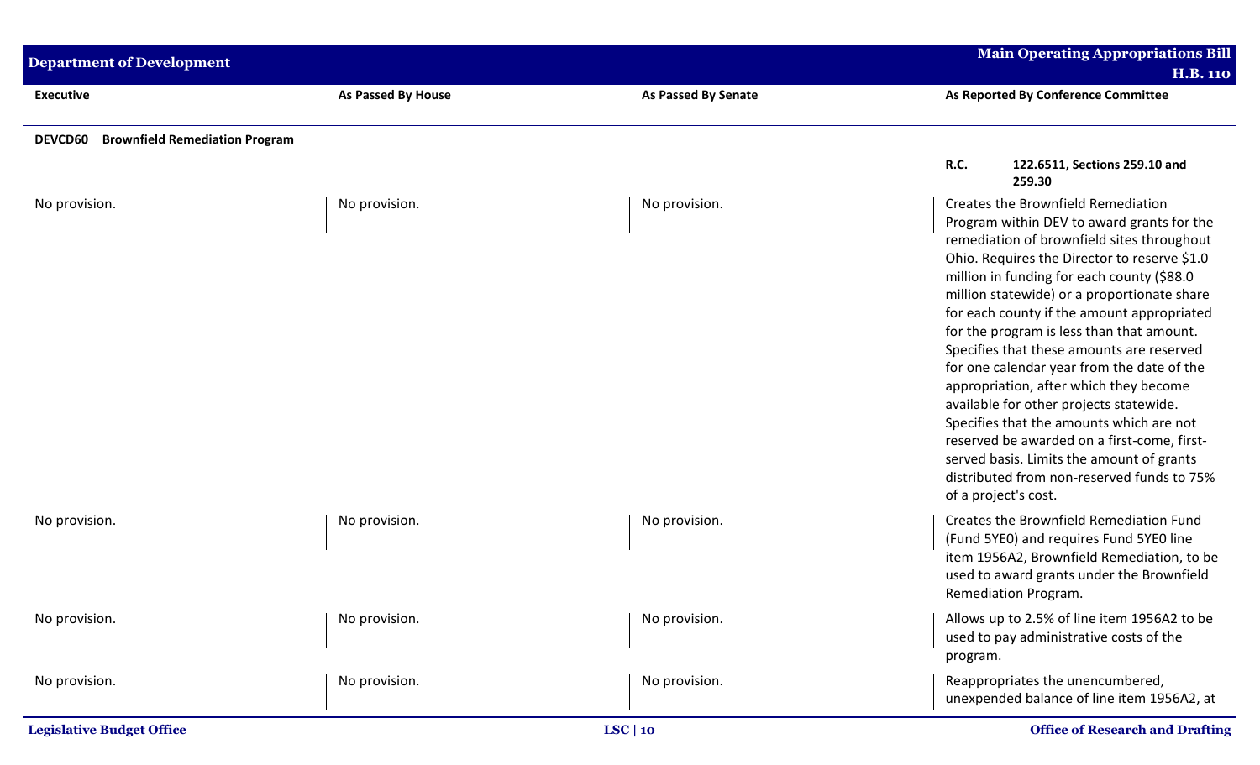| <b>Department of Development</b>                        |                           |                     | <b>Main Operating Appropriations Bill</b><br><b>H.B. 110</b>                                                                                                                                                                                                                                                                                                                                                                                                                                                                                                                                                                                                                                                                                                         |
|---------------------------------------------------------|---------------------------|---------------------|----------------------------------------------------------------------------------------------------------------------------------------------------------------------------------------------------------------------------------------------------------------------------------------------------------------------------------------------------------------------------------------------------------------------------------------------------------------------------------------------------------------------------------------------------------------------------------------------------------------------------------------------------------------------------------------------------------------------------------------------------------------------|
| <b>Executive</b>                                        | <b>As Passed By House</b> | As Passed By Senate | As Reported By Conference Committee                                                                                                                                                                                                                                                                                                                                                                                                                                                                                                                                                                                                                                                                                                                                  |
| <b>Brownfield Remediation Program</b><br><b>DEVCD60</b> |                           |                     | R.C.<br>122.6511, Sections 259.10 and<br>259.30                                                                                                                                                                                                                                                                                                                                                                                                                                                                                                                                                                                                                                                                                                                      |
| No provision.                                           | No provision.             | No provision.       | Creates the Brownfield Remediation<br>Program within DEV to award grants for the<br>remediation of brownfield sites throughout<br>Ohio. Requires the Director to reserve \$1.0<br>million in funding for each county (\$88.0<br>million statewide) or a proportionate share<br>for each county if the amount appropriated<br>for the program is less than that amount.<br>Specifies that these amounts are reserved<br>for one calendar year from the date of the<br>appropriation, after which they become<br>available for other projects statewide.<br>Specifies that the amounts which are not<br>reserved be awarded on a first-come, first-<br>served basis. Limits the amount of grants<br>distributed from non-reserved funds to 75%<br>of a project's cost. |
| No provision.                                           | No provision.             | No provision.       | Creates the Brownfield Remediation Fund<br>(Fund 5YE0) and requires Fund 5YE0 line<br>item 1956A2, Brownfield Remediation, to be<br>used to award grants under the Brownfield<br>Remediation Program.                                                                                                                                                                                                                                                                                                                                                                                                                                                                                                                                                                |
| No provision.                                           | No provision.             | No provision.       | Allows up to 2.5% of line item 1956A2 to be<br>used to pay administrative costs of the<br>program.                                                                                                                                                                                                                                                                                                                                                                                                                                                                                                                                                                                                                                                                   |
| No provision.                                           | No provision.             | No provision.       | Reappropriates the unencumbered,<br>unexpended balance of line item 1956A2, at                                                                                                                                                                                                                                                                                                                                                                                                                                                                                                                                                                                                                                                                                       |
| <b>Legislative Budget Office</b>                        |                           | LSC   10            | <b>Office of Research and Drafting</b>                                                                                                                                                                                                                                                                                                                                                                                                                                                                                                                                                                                                                                                                                                                               |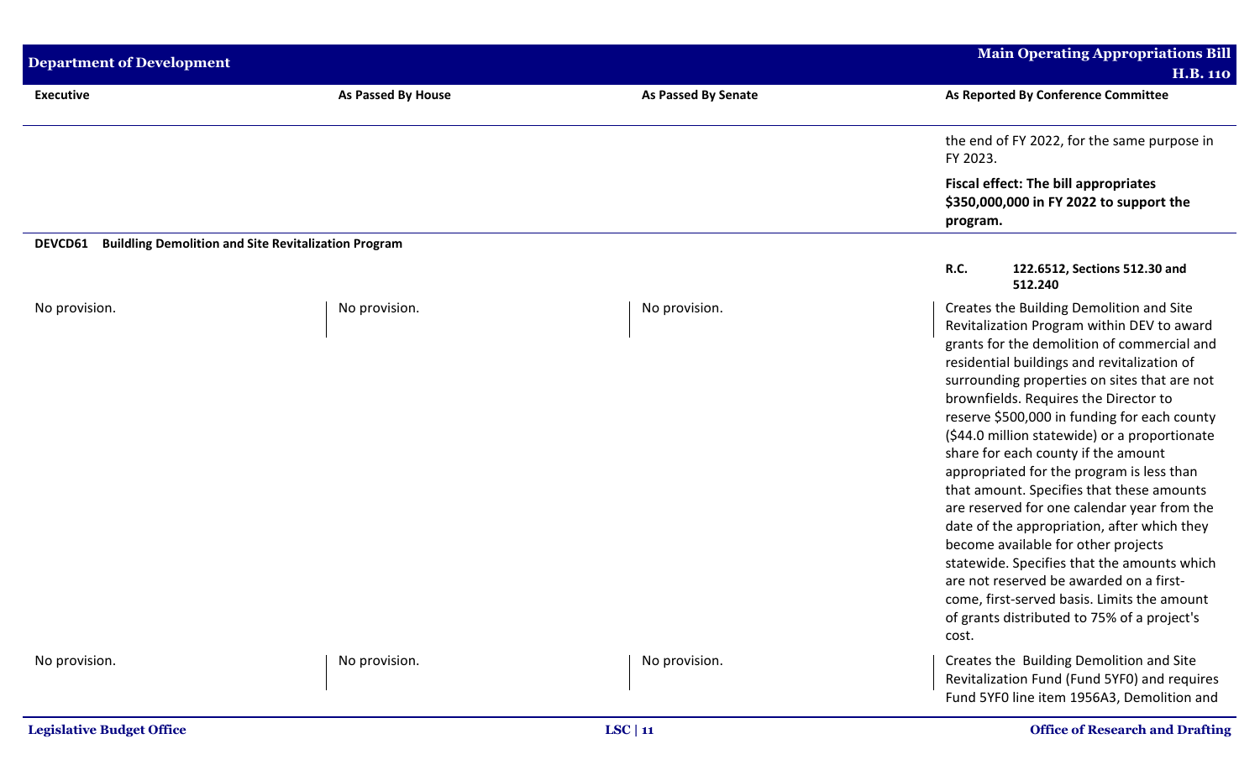| <b>Department of Development</b> |                                                             | <b>Main Operating Appropriations Bill</b><br><b>H.B. 110</b> |                                                                                                                                                                                                                                                                                                                                                                                                                                                                                                                                                                                                                                                                                                                                                                                                                                                       |
|----------------------------------|-------------------------------------------------------------|--------------------------------------------------------------|-------------------------------------------------------------------------------------------------------------------------------------------------------------------------------------------------------------------------------------------------------------------------------------------------------------------------------------------------------------------------------------------------------------------------------------------------------------------------------------------------------------------------------------------------------------------------------------------------------------------------------------------------------------------------------------------------------------------------------------------------------------------------------------------------------------------------------------------------------|
| <b>Executive</b>                 | As Passed By House                                          | <b>As Passed By Senate</b>                                   | As Reported By Conference Committee                                                                                                                                                                                                                                                                                                                                                                                                                                                                                                                                                                                                                                                                                                                                                                                                                   |
|                                  |                                                             |                                                              | the end of FY 2022, for the same purpose in<br>FY 2023.                                                                                                                                                                                                                                                                                                                                                                                                                                                                                                                                                                                                                                                                                                                                                                                               |
|                                  |                                                             |                                                              | <b>Fiscal effect: The bill appropriates</b><br>\$350,000,000 in FY 2022 to support the<br>program.                                                                                                                                                                                                                                                                                                                                                                                                                                                                                                                                                                                                                                                                                                                                                    |
| DEVCD61                          | <b>Buildling Demolition and Site Revitalization Program</b> |                                                              |                                                                                                                                                                                                                                                                                                                                                                                                                                                                                                                                                                                                                                                                                                                                                                                                                                                       |
|                                  |                                                             |                                                              | R.C.<br>122.6512, Sections 512.30 and<br>512.240                                                                                                                                                                                                                                                                                                                                                                                                                                                                                                                                                                                                                                                                                                                                                                                                      |
| No provision.                    | No provision.                                               | No provision.                                                | Creates the Building Demolition and Site<br>Revitalization Program within DEV to award<br>grants for the demolition of commercial and<br>residential buildings and revitalization of<br>surrounding properties on sites that are not<br>brownfields. Requires the Director to<br>reserve \$500,000 in funding for each county<br>(\$44.0 million statewide) or a proportionate<br>share for each county if the amount<br>appropriated for the program is less than<br>that amount. Specifies that these amounts<br>are reserved for one calendar year from the<br>date of the appropriation, after which they<br>become available for other projects<br>statewide. Specifies that the amounts which<br>are not reserved be awarded on a first-<br>come, first-served basis. Limits the amount<br>of grants distributed to 75% of a project's<br>cost. |
| No provision.                    | No provision.                                               | No provision.                                                | Creates the Building Demolition and Site<br>Revitalization Fund (Fund 5YF0) and requires<br>Fund 5YF0 line item 1956A3, Demolition and                                                                                                                                                                                                                                                                                                                                                                                                                                                                                                                                                                                                                                                                                                                |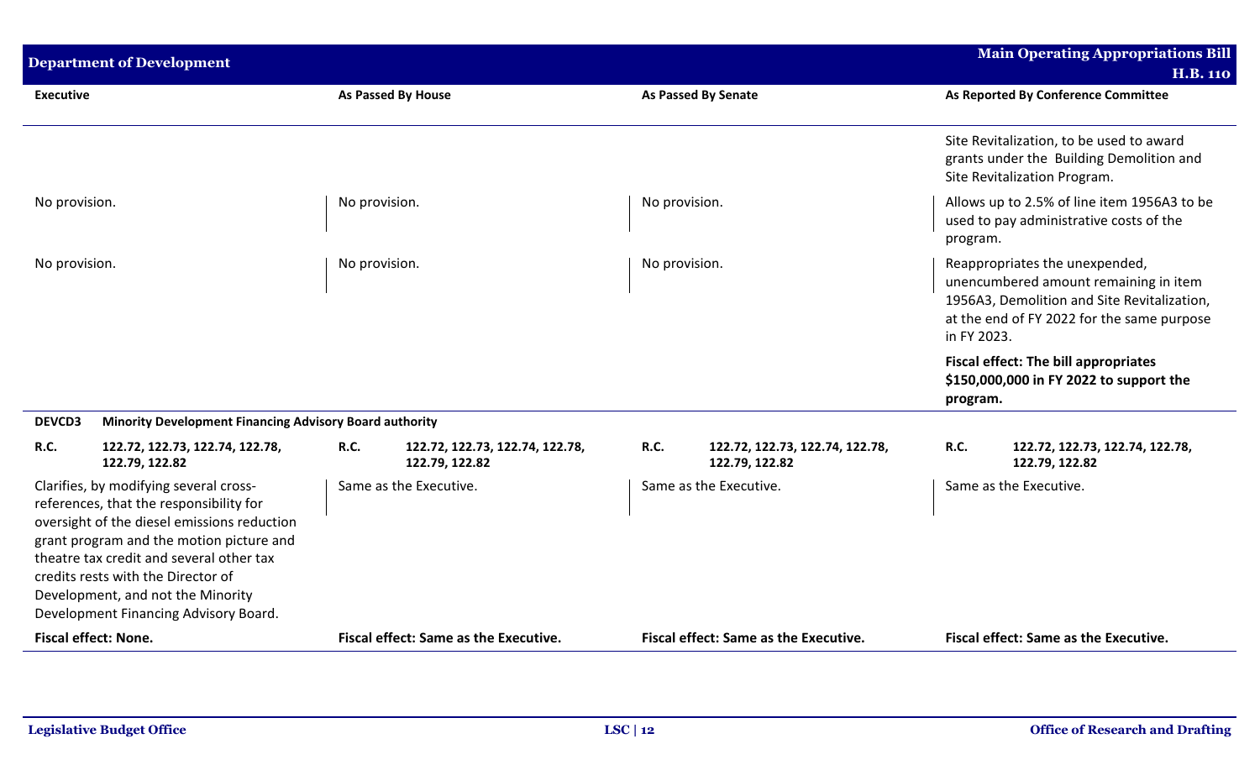| <b>Department of Development</b>                                                                                                                                                                                                                                                                                                             |               |                                                   |               |                                                   |                                                                                                                                                                                     | <b>Main Operating Appropriations Bill</b>                                                                            |
|----------------------------------------------------------------------------------------------------------------------------------------------------------------------------------------------------------------------------------------------------------------------------------------------------------------------------------------------|---------------|---------------------------------------------------|---------------|---------------------------------------------------|-------------------------------------------------------------------------------------------------------------------------------------------------------------------------------------|----------------------------------------------------------------------------------------------------------------------|
|                                                                                                                                                                                                                                                                                                                                              |               |                                                   |               |                                                   |                                                                                                                                                                                     | <b>H.B. 110</b>                                                                                                      |
| <b>Executive</b>                                                                                                                                                                                                                                                                                                                             |               | <b>As Passed By House</b>                         |               | <b>As Passed By Senate</b>                        |                                                                                                                                                                                     | As Reported By Conference Committee                                                                                  |
|                                                                                                                                                                                                                                                                                                                                              |               |                                                   |               |                                                   |                                                                                                                                                                                     | Site Revitalization, to be used to award<br>grants under the Building Demolition and<br>Site Revitalization Program. |
| No provision.                                                                                                                                                                                                                                                                                                                                | No provision. |                                                   | No provision. |                                                   | program.                                                                                                                                                                            | Allows up to 2.5% of line item 1956A3 to be<br>used to pay administrative costs of the                               |
| No provision.                                                                                                                                                                                                                                                                                                                                | No provision. |                                                   | No provision. |                                                   | Reappropriates the unexpended,<br>unencumbered amount remaining in item<br>1956A3, Demolition and Site Revitalization,<br>at the end of FY 2022 for the same purpose<br>in FY 2023. |                                                                                                                      |
|                                                                                                                                                                                                                                                                                                                                              |               |                                                   |               |                                                   | program.                                                                                                                                                                            | <b>Fiscal effect: The bill appropriates</b><br>\$150,000,000 in FY 2022 to support the                               |
| <b>DEVCD3</b><br><b>Minority Development Financing Advisory Board authority</b>                                                                                                                                                                                                                                                              |               |                                                   |               |                                                   |                                                                                                                                                                                     |                                                                                                                      |
| R.C.<br>122.72, 122.73, 122.74, 122.78,<br>122.79, 122.82                                                                                                                                                                                                                                                                                    | R.C.          | 122.72, 122.73, 122.74, 122.78,<br>122.79, 122.82 | <b>R.C.</b>   | 122.72, 122.73, 122.74, 122.78,<br>122.79, 122.82 | <b>R.C.</b>                                                                                                                                                                         | 122.72, 122.73, 122.74, 122.78,<br>122.79, 122.82                                                                    |
| Clarifies, by modifying several cross-<br>references, that the responsibility for<br>oversight of the diesel emissions reduction<br>grant program and the motion picture and<br>theatre tax credit and several other tax<br>credits rests with the Director of<br>Development, and not the Minority<br>Development Financing Advisory Board. |               | Same as the Executive.                            |               | Same as the Executive.                            |                                                                                                                                                                                     | Same as the Executive.                                                                                               |
| <b>Fiscal effect: None.</b>                                                                                                                                                                                                                                                                                                                  |               | Fiscal effect: Same as the Executive.             |               | Fiscal effect: Same as the Executive.             |                                                                                                                                                                                     | Fiscal effect: Same as the Executive.                                                                                |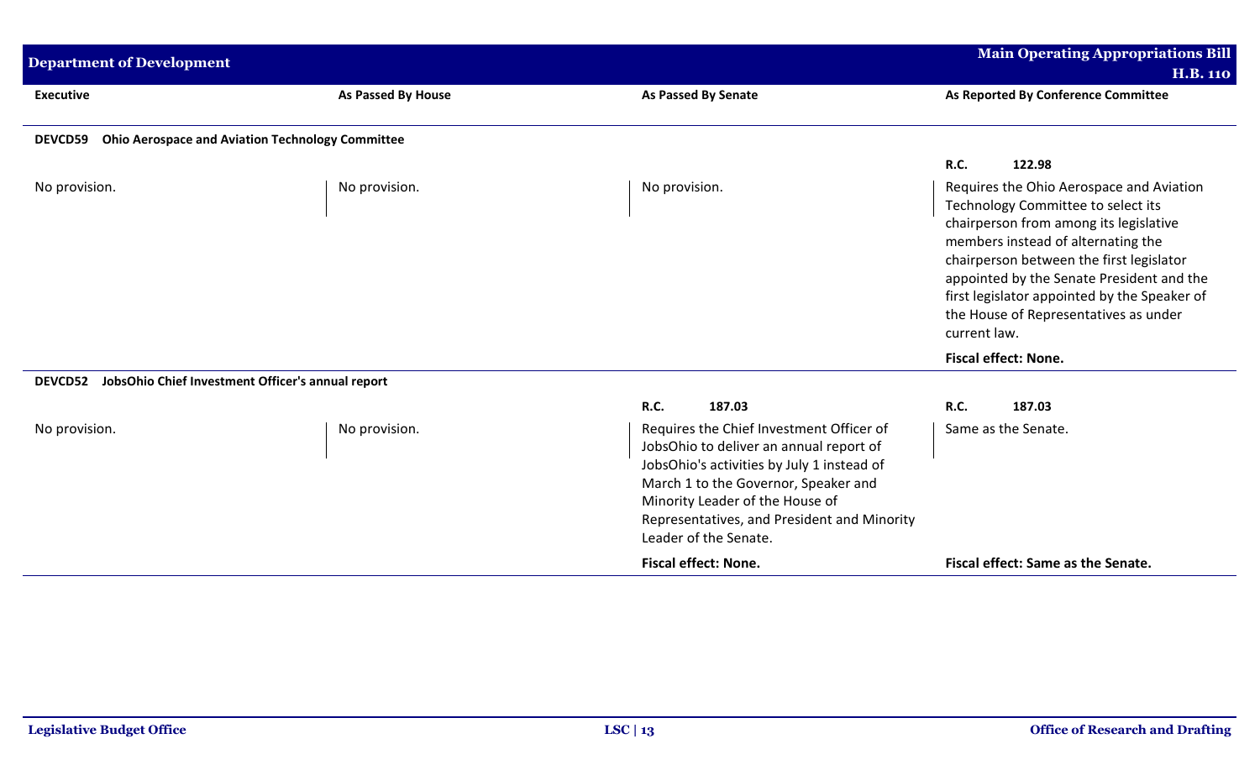| <b>Department of Development</b>                                          |                    |                                                                                                                                                                                                                                                                                      | <b>Main Operating Appropriations Bill</b><br><b>H.B. 110</b>                                                                                                                                                                                                                                                                                                     |
|---------------------------------------------------------------------------|--------------------|--------------------------------------------------------------------------------------------------------------------------------------------------------------------------------------------------------------------------------------------------------------------------------------|------------------------------------------------------------------------------------------------------------------------------------------------------------------------------------------------------------------------------------------------------------------------------------------------------------------------------------------------------------------|
| <b>Executive</b>                                                          | As Passed By House | <b>As Passed By Senate</b>                                                                                                                                                                                                                                                           | As Reported By Conference Committee                                                                                                                                                                                                                                                                                                                              |
| <b>Ohio Aerospace and Aviation Technology Committee</b><br><b>DEVCD59</b> |                    |                                                                                                                                                                                                                                                                                      |                                                                                                                                                                                                                                                                                                                                                                  |
|                                                                           |                    |                                                                                                                                                                                                                                                                                      | <b>R.C.</b><br>122.98                                                                                                                                                                                                                                                                                                                                            |
| No provision.                                                             | No provision.      | No provision.                                                                                                                                                                                                                                                                        | Requires the Ohio Aerospace and Aviation<br>Technology Committee to select its<br>chairperson from among its legislative<br>members instead of alternating the<br>chairperson between the first legislator<br>appointed by the Senate President and the<br>first legislator appointed by the Speaker of<br>the House of Representatives as under<br>current law. |
|                                                                           |                    |                                                                                                                                                                                                                                                                                      | <b>Fiscal effect: None.</b>                                                                                                                                                                                                                                                                                                                                      |
| JobsOhio Chief Investment Officer's annual report<br><b>DEVCD52</b>       |                    |                                                                                                                                                                                                                                                                                      |                                                                                                                                                                                                                                                                                                                                                                  |
|                                                                           |                    | <b>R.C.</b><br>187.03                                                                                                                                                                                                                                                                | R.C.<br>187.03                                                                                                                                                                                                                                                                                                                                                   |
| No provision.                                                             | No provision.      | Requires the Chief Investment Officer of<br>JobsOhio to deliver an annual report of<br>JobsOhio's activities by July 1 instead of<br>March 1 to the Governor, Speaker and<br>Minority Leader of the House of<br>Representatives, and President and Minority<br>Leader of the Senate. | Same as the Senate.                                                                                                                                                                                                                                                                                                                                              |
|                                                                           |                    | <b>Fiscal effect: None.</b>                                                                                                                                                                                                                                                          | Fiscal effect: Same as the Senate.                                                                                                                                                                                                                                                                                                                               |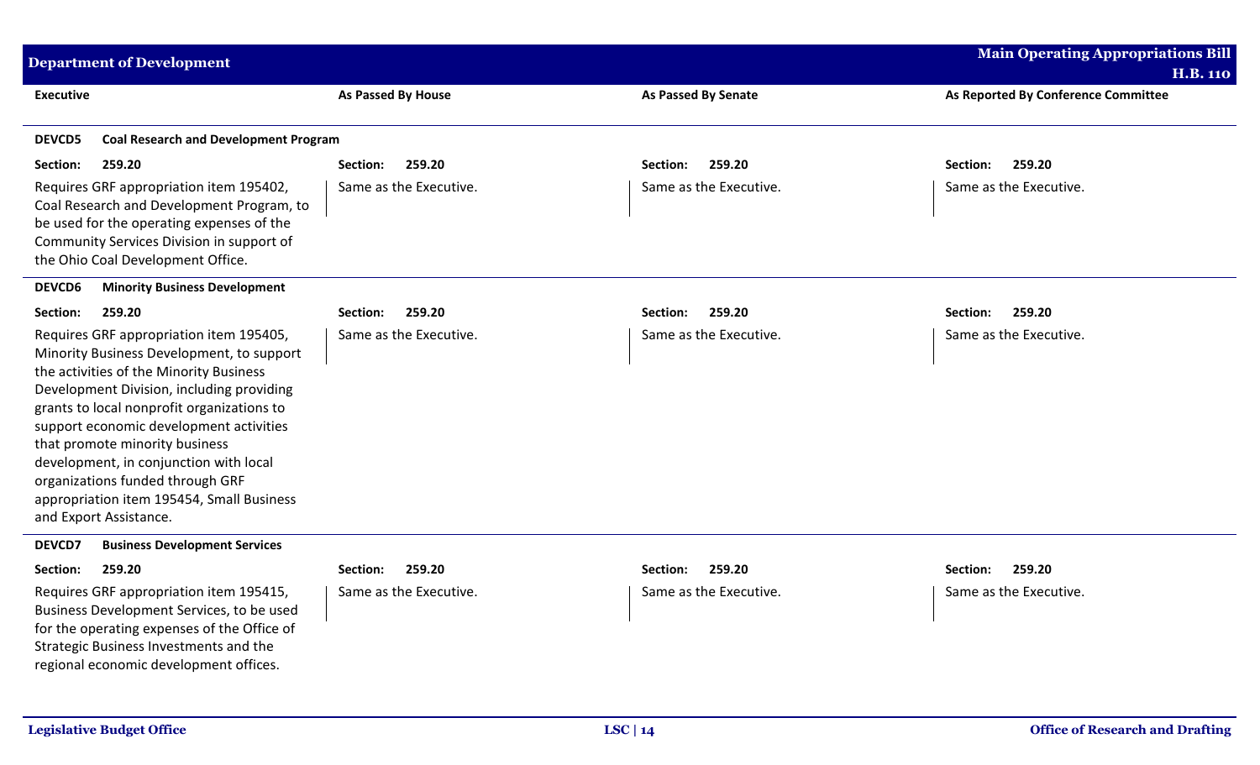| <b>Department of Development</b>                                                                                                                                                                                                                                                                                                                                                                                                                             |                           |                            | <b>Main Operating Appropriations Bill</b>              |
|--------------------------------------------------------------------------------------------------------------------------------------------------------------------------------------------------------------------------------------------------------------------------------------------------------------------------------------------------------------------------------------------------------------------------------------------------------------|---------------------------|----------------------------|--------------------------------------------------------|
| <b>Executive</b>                                                                                                                                                                                                                                                                                                                                                                                                                                             | <b>As Passed By House</b> | <b>As Passed By Senate</b> | <b>H.B. 110</b><br>As Reported By Conference Committee |
| <b>Coal Research and Development Program</b><br><b>DEVCD5</b>                                                                                                                                                                                                                                                                                                                                                                                                |                           |                            |                                                        |
| 259.20<br>Section:                                                                                                                                                                                                                                                                                                                                                                                                                                           | 259.20<br>Section:        | 259.20<br>Section:         | 259.20<br>Section:                                     |
| Requires GRF appropriation item 195402,<br>Coal Research and Development Program, to<br>be used for the operating expenses of the<br>Community Services Division in support of<br>the Ohio Coal Development Office.                                                                                                                                                                                                                                          | Same as the Executive.    | Same as the Executive.     | Same as the Executive.                                 |
| <b>DEVCD6</b><br><b>Minority Business Development</b>                                                                                                                                                                                                                                                                                                                                                                                                        |                           |                            |                                                        |
| Section:<br>259.20                                                                                                                                                                                                                                                                                                                                                                                                                                           | 259.20<br>Section:        | 259.20<br>Section:         | 259.20<br>Section:                                     |
| Requires GRF appropriation item 195405,<br>Minority Business Development, to support<br>the activities of the Minority Business<br>Development Division, including providing<br>grants to local nonprofit organizations to<br>support economic development activities<br>that promote minority business<br>development, in conjunction with local<br>organizations funded through GRF<br>appropriation item 195454, Small Business<br>and Export Assistance. | Same as the Executive.    | Same as the Executive.     | Same as the Executive.                                 |
| DEVCD7<br><b>Business Development Services</b>                                                                                                                                                                                                                                                                                                                                                                                                               |                           |                            |                                                        |
| Section:<br>259.20                                                                                                                                                                                                                                                                                                                                                                                                                                           | 259.20<br>Section:        | 259.20<br>Section:         | 259.20<br>Section:                                     |
| Requires GRF appropriation item 195415,<br>Business Development Services, to be used<br>for the operating expenses of the Office of<br>Strategic Business Investments and the<br>regional economic development offices.                                                                                                                                                                                                                                      | Same as the Executive.    | Same as the Executive.     | Same as the Executive.                                 |
|                                                                                                                                                                                                                                                                                                                                                                                                                                                              |                           |                            |                                                        |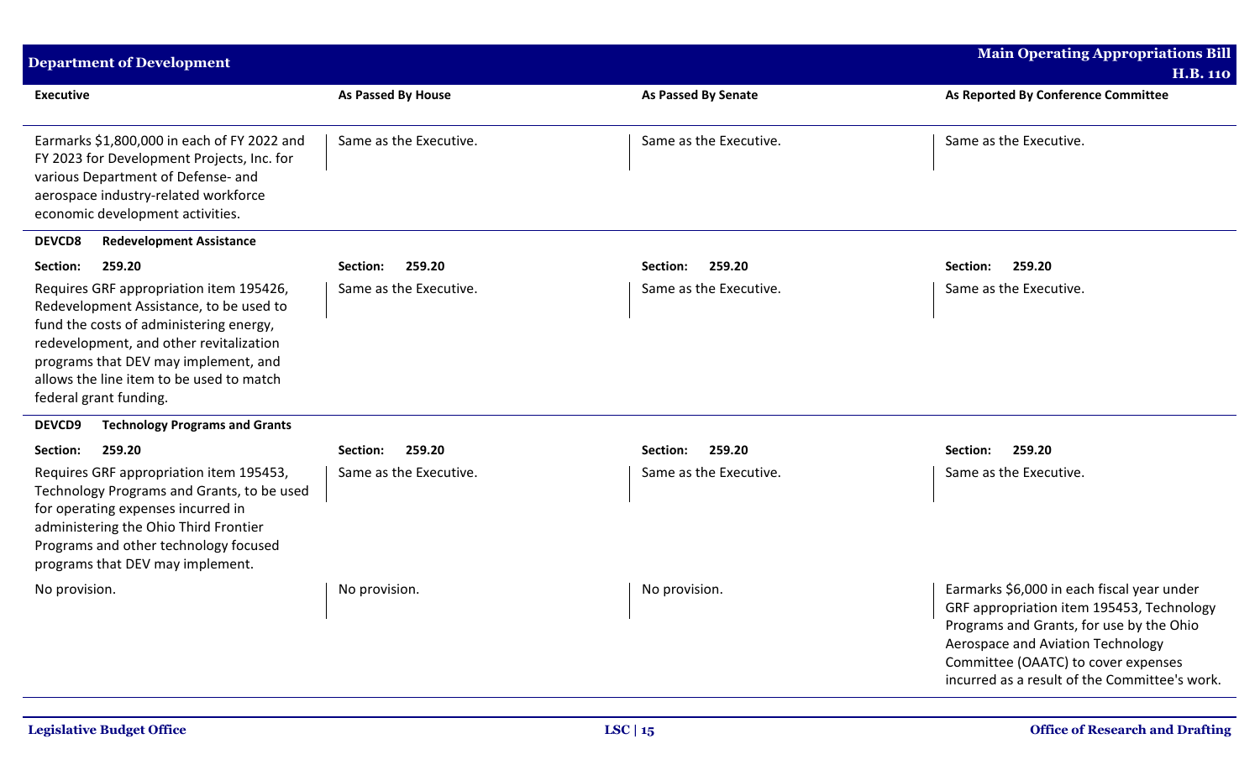| <b>Department of Development</b>                                                                                                                                                                                                                                                       |                        |                            | Main Operating Appropriations Bill                                                                                                                                                                                                                               |
|----------------------------------------------------------------------------------------------------------------------------------------------------------------------------------------------------------------------------------------------------------------------------------------|------------------------|----------------------------|------------------------------------------------------------------------------------------------------------------------------------------------------------------------------------------------------------------------------------------------------------------|
|                                                                                                                                                                                                                                                                                        |                        |                            | <b>H.B. 110</b>                                                                                                                                                                                                                                                  |
| <b>Executive</b>                                                                                                                                                                                                                                                                       | As Passed By House     | <b>As Passed By Senate</b> | As Reported By Conference Committee                                                                                                                                                                                                                              |
| Earmarks \$1,800,000 in each of FY 2022 and<br>FY 2023 for Development Projects, Inc. for<br>various Department of Defense- and<br>aerospace industry-related workforce<br>economic development activities.                                                                            | Same as the Executive. | Same as the Executive.     | Same as the Executive.                                                                                                                                                                                                                                           |
| <b>DEVCD8</b><br><b>Redevelopment Assistance</b>                                                                                                                                                                                                                                       |                        |                            |                                                                                                                                                                                                                                                                  |
| Section:<br>259.20                                                                                                                                                                                                                                                                     | 259.20<br>Section:     | 259.20<br>Section:         | 259.20<br>Section:                                                                                                                                                                                                                                               |
| Requires GRF appropriation item 195426,<br>Redevelopment Assistance, to be used to<br>fund the costs of administering energy,<br>redevelopment, and other revitalization<br>programs that DEV may implement, and<br>allows the line item to be used to match<br>federal grant funding. | Same as the Executive. | Same as the Executive.     | Same as the Executive.                                                                                                                                                                                                                                           |
| <b>Technology Programs and Grants</b><br><b>DEVCD9</b>                                                                                                                                                                                                                                 |                        |                            |                                                                                                                                                                                                                                                                  |
| 259.20<br>Section:                                                                                                                                                                                                                                                                     | 259.20<br>Section:     | 259.20<br>Section:         | 259.20<br>Section:                                                                                                                                                                                                                                               |
| Requires GRF appropriation item 195453,<br>Technology Programs and Grants, to be used<br>for operating expenses incurred in<br>administering the Ohio Third Frontier<br>Programs and other technology focused<br>programs that DEV may implement.                                      | Same as the Executive. | Same as the Executive.     | Same as the Executive.                                                                                                                                                                                                                                           |
| No provision.                                                                                                                                                                                                                                                                          | No provision.          | No provision.              | Earmarks \$6,000 in each fiscal year under<br>GRF appropriation item 195453, Technology<br>Programs and Grants, for use by the Ohio<br>Aerospace and Aviation Technology<br>Committee (OAATC) to cover expenses<br>incurred as a result of the Committee's work. |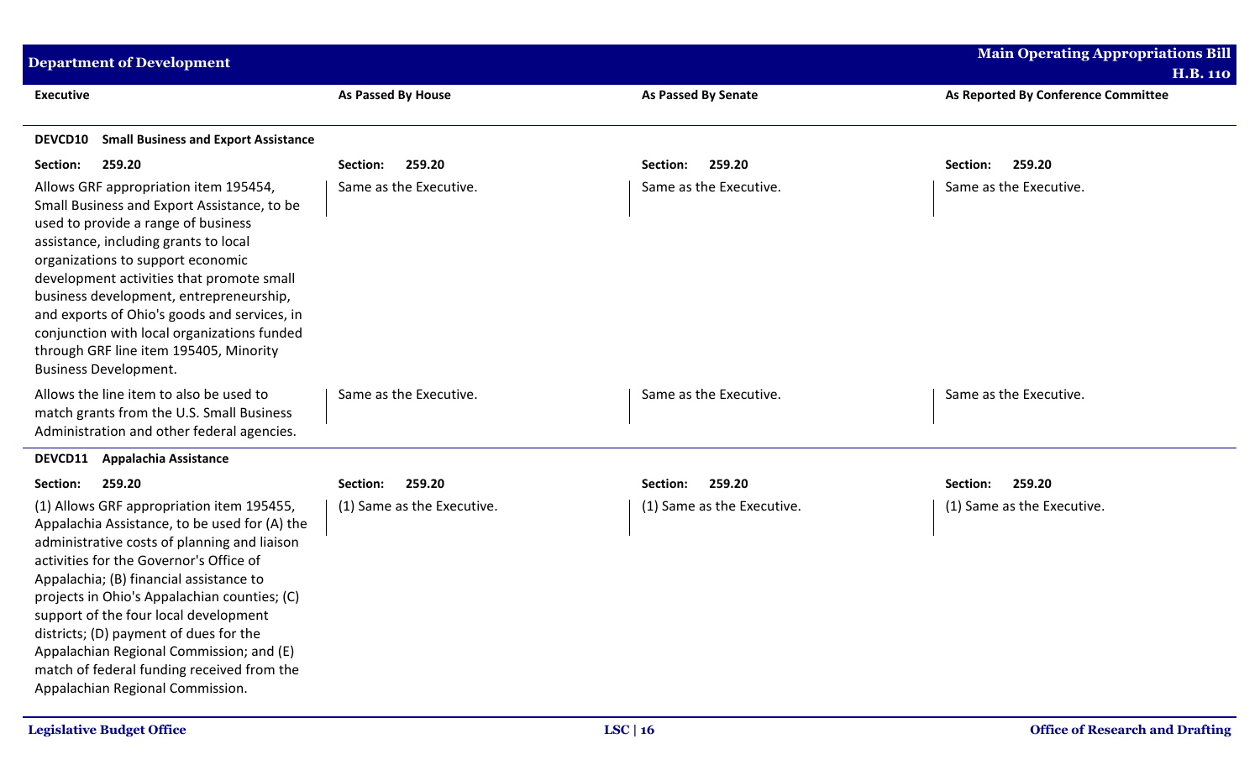| <b>Department of Development</b>                                                                                                                                                                                                                                                                                                                                                                                                                                                                  |                            |                            | <b>Main Operating Appropriations Bill</b> |
|---------------------------------------------------------------------------------------------------------------------------------------------------------------------------------------------------------------------------------------------------------------------------------------------------------------------------------------------------------------------------------------------------------------------------------------------------------------------------------------------------|----------------------------|----------------------------|-------------------------------------------|
|                                                                                                                                                                                                                                                                                                                                                                                                                                                                                                   |                            |                            | <b>H.B. 110</b>                           |
| <b>Executive</b>                                                                                                                                                                                                                                                                                                                                                                                                                                                                                  | <b>As Passed By House</b>  | As Passed By Senate        | As Reported By Conference Committee       |
| <b>Small Business and Export Assistance</b><br><b>DEVCD10</b>                                                                                                                                                                                                                                                                                                                                                                                                                                     |                            |                            |                                           |
| 259.20<br>Section:                                                                                                                                                                                                                                                                                                                                                                                                                                                                                | 259.20<br>Section:         | 259.20<br>Section:         | 259.20<br>Section:                        |
| Allows GRF appropriation item 195454,<br>Small Business and Export Assistance, to be<br>used to provide a range of business<br>assistance, including grants to local<br>organizations to support economic<br>development activities that promote small<br>business development, entrepreneurship,<br>and exports of Ohio's goods and services, in<br>conjunction with local organizations funded<br>through GRF line item 195405, Minority<br><b>Business Development.</b>                        | Same as the Executive.     | Same as the Executive.     | Same as the Executive.                    |
| Allows the line item to also be used to<br>match grants from the U.S. Small Business<br>Administration and other federal agencies.                                                                                                                                                                                                                                                                                                                                                                | Same as the Executive.     | Same as the Executive.     | Same as the Executive.                    |
| <b>DEVCD11</b><br><b>Appalachia Assistance</b>                                                                                                                                                                                                                                                                                                                                                                                                                                                    |                            |                            |                                           |
| 259.20<br>Section:                                                                                                                                                                                                                                                                                                                                                                                                                                                                                | Section:<br>259.20         | 259.20<br>Section:         | 259.20<br>Section:                        |
| (1) Allows GRF appropriation item 195455,<br>Appalachia Assistance, to be used for (A) the<br>administrative costs of planning and liaison<br>activities for the Governor's Office of<br>Appalachia; (B) financial assistance to<br>projects in Ohio's Appalachian counties; (C)<br>support of the four local development<br>districts; (D) payment of dues for the<br>Appalachian Regional Commission; and (E)<br>match of federal funding received from the<br>Appalachian Regional Commission. | (1) Same as the Executive. | (1) Same as the Executive. | (1) Same as the Executive.                |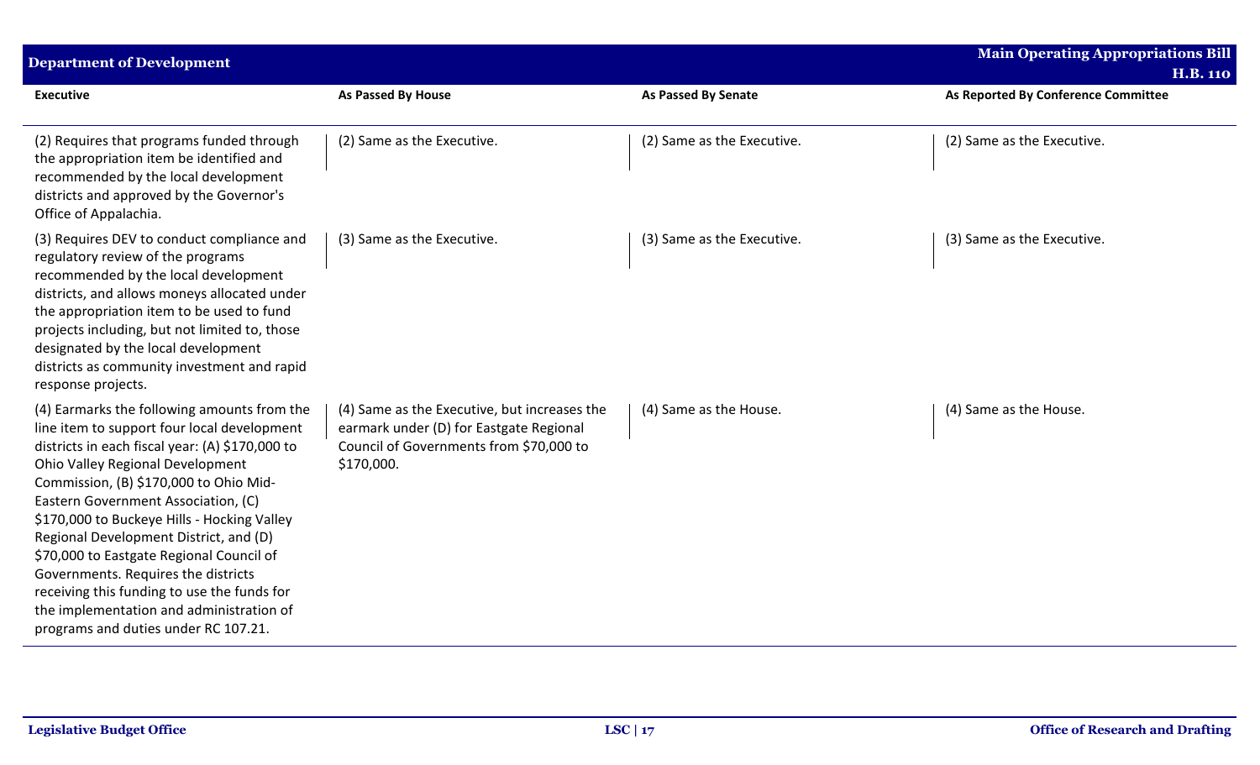| <b>Department of Development</b>                                                                                                                                                                                                                                                                                                                                                                                                                                                                                                                                                  |                                                                                                                                                  |                            | <b>Main Operating Appropriations Bill</b><br><b>H.B. 110</b> |
|-----------------------------------------------------------------------------------------------------------------------------------------------------------------------------------------------------------------------------------------------------------------------------------------------------------------------------------------------------------------------------------------------------------------------------------------------------------------------------------------------------------------------------------------------------------------------------------|--------------------------------------------------------------------------------------------------------------------------------------------------|----------------------------|--------------------------------------------------------------|
| <b>Executive</b>                                                                                                                                                                                                                                                                                                                                                                                                                                                                                                                                                                  | As Passed By House                                                                                                                               | <b>As Passed By Senate</b> | As Reported By Conference Committee                          |
| (2) Requires that programs funded through<br>the appropriation item be identified and<br>recommended by the local development<br>districts and approved by the Governor's<br>Office of Appalachia.                                                                                                                                                                                                                                                                                                                                                                                | (2) Same as the Executive.                                                                                                                       | (2) Same as the Executive. | (2) Same as the Executive.                                   |
| (3) Requires DEV to conduct compliance and<br>regulatory review of the programs<br>recommended by the local development<br>districts, and allows moneys allocated under<br>the appropriation item to be used to fund<br>projects including, but not limited to, those<br>designated by the local development<br>districts as community investment and rapid<br>response projects.                                                                                                                                                                                                 | (3) Same as the Executive.                                                                                                                       | (3) Same as the Executive. | (3) Same as the Executive.                                   |
| (4) Earmarks the following amounts from the<br>line item to support four local development<br>districts in each fiscal year: (A) \$170,000 to<br>Ohio Valley Regional Development<br>Commission, (B) \$170,000 to Ohio Mid-<br>Eastern Government Association, (C)<br>\$170,000 to Buckeye Hills - Hocking Valley<br>Regional Development District, and (D)<br>\$70,000 to Eastgate Regional Council of<br>Governments. Requires the districts<br>receiving this funding to use the funds for<br>the implementation and administration of<br>programs and duties under RC 107.21. | (4) Same as the Executive, but increases the<br>earmark under (D) for Eastgate Regional<br>Council of Governments from \$70,000 to<br>\$170,000. | (4) Same as the House.     | (4) Same as the House.                                       |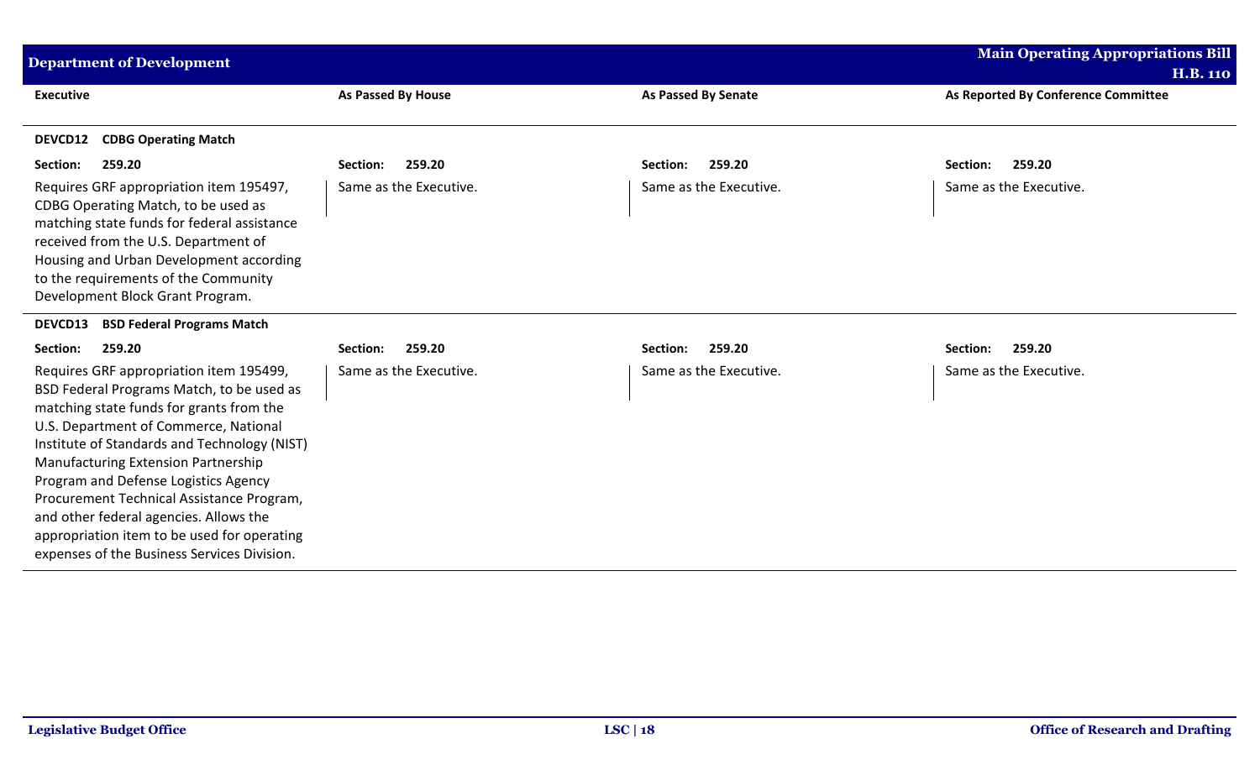| <b>Department of Development</b>                                                                                                                                                                                                                                                                                                                                                                                                                                                                     |                        |                            | <b>Main Operating Appropriations Bill</b> |
|------------------------------------------------------------------------------------------------------------------------------------------------------------------------------------------------------------------------------------------------------------------------------------------------------------------------------------------------------------------------------------------------------------------------------------------------------------------------------------------------------|------------------------|----------------------------|-------------------------------------------|
|                                                                                                                                                                                                                                                                                                                                                                                                                                                                                                      |                        |                            | <b>H.B. 110</b>                           |
| <b>Executive</b>                                                                                                                                                                                                                                                                                                                                                                                                                                                                                     | As Passed By House     | <b>As Passed By Senate</b> | As Reported By Conference Committee       |
| <b>CDBG Operating Match</b><br>DEVCD12                                                                                                                                                                                                                                                                                                                                                                                                                                                               |                        |                            |                                           |
| Section:<br>259.20                                                                                                                                                                                                                                                                                                                                                                                                                                                                                   | 259.20<br>Section:     | 259.20<br>Section:         | Section:<br>259.20                        |
| Requires GRF appropriation item 195497,<br>CDBG Operating Match, to be used as<br>matching state funds for federal assistance<br>received from the U.S. Department of<br>Housing and Urban Development according<br>to the requirements of the Community<br>Development Block Grant Program.                                                                                                                                                                                                         | Same as the Executive. | Same as the Executive.     | Same as the Executive.                    |
| <b>BSD Federal Programs Match</b><br>DEVCD13                                                                                                                                                                                                                                                                                                                                                                                                                                                         |                        |                            |                                           |
| 259.20<br>Section:                                                                                                                                                                                                                                                                                                                                                                                                                                                                                   | 259.20<br>Section:     | 259.20<br>Section:         | 259.20<br>Section:                        |
| Requires GRF appropriation item 195499,<br>BSD Federal Programs Match, to be used as<br>matching state funds for grants from the<br>U.S. Department of Commerce, National<br>Institute of Standards and Technology (NIST)<br><b>Manufacturing Extension Partnership</b><br>Program and Defense Logistics Agency<br>Procurement Technical Assistance Program,<br>and other federal agencies. Allows the<br>appropriation item to be used for operating<br>expenses of the Business Services Division. | Same as the Executive. | Same as the Executive.     | Same as the Executive.                    |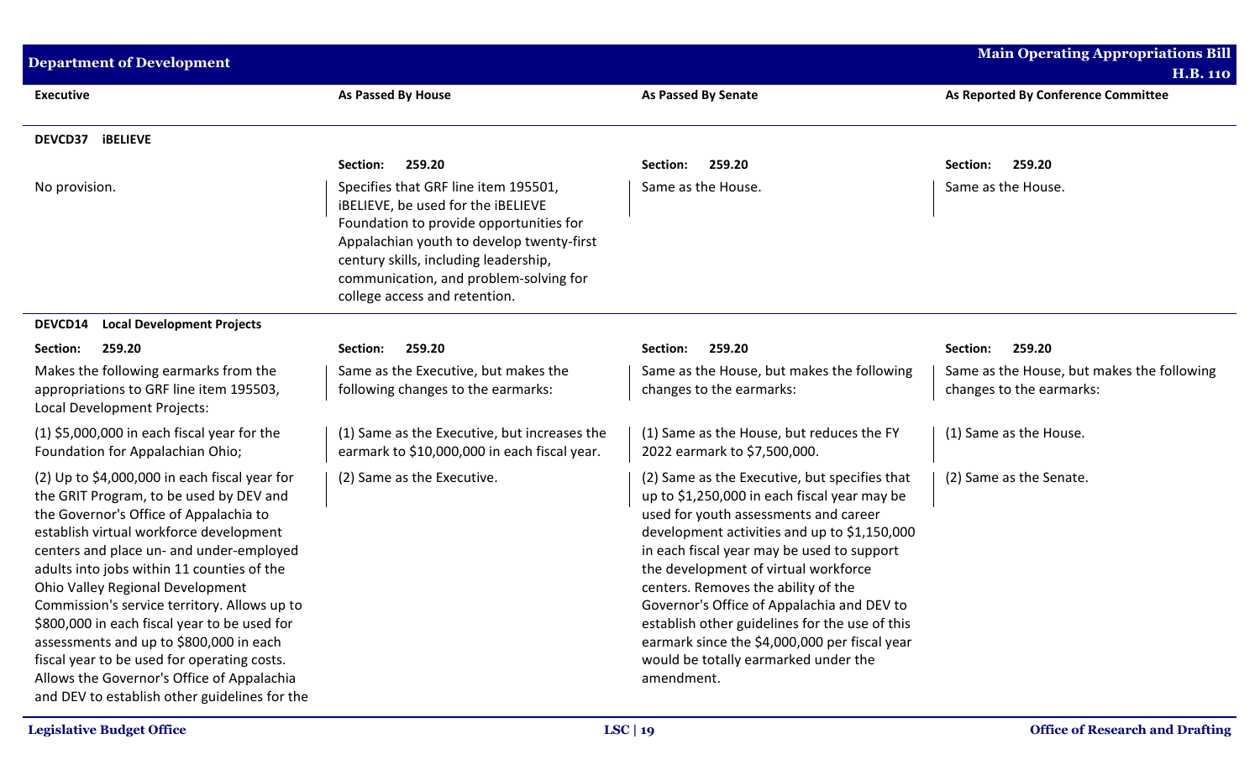| <b>Department of Development</b>                                                                                                                                                                                                                                                                                                                                                                                                                                                                                                                                                                       |                                                                                                                                                                                                                                                                                        |                                                                                                                                                                                                                                                                                                                                                                                                                                                                                                                            | <b>Main Operating Appropriations Bill</b>                              |
|--------------------------------------------------------------------------------------------------------------------------------------------------------------------------------------------------------------------------------------------------------------------------------------------------------------------------------------------------------------------------------------------------------------------------------------------------------------------------------------------------------------------------------------------------------------------------------------------------------|----------------------------------------------------------------------------------------------------------------------------------------------------------------------------------------------------------------------------------------------------------------------------------------|----------------------------------------------------------------------------------------------------------------------------------------------------------------------------------------------------------------------------------------------------------------------------------------------------------------------------------------------------------------------------------------------------------------------------------------------------------------------------------------------------------------------------|------------------------------------------------------------------------|
|                                                                                                                                                                                                                                                                                                                                                                                                                                                                                                                                                                                                        |                                                                                                                                                                                                                                                                                        |                                                                                                                                                                                                                                                                                                                                                                                                                                                                                                                            | <b>H.B. 110</b>                                                        |
| <b>Executive</b>                                                                                                                                                                                                                                                                                                                                                                                                                                                                                                                                                                                       | As Passed By House                                                                                                                                                                                                                                                                     | <b>As Passed By Senate</b>                                                                                                                                                                                                                                                                                                                                                                                                                                                                                                 | As Reported By Conference Committee                                    |
| DEVCD37 iBELIEVE                                                                                                                                                                                                                                                                                                                                                                                                                                                                                                                                                                                       |                                                                                                                                                                                                                                                                                        |                                                                                                                                                                                                                                                                                                                                                                                                                                                                                                                            |                                                                        |
|                                                                                                                                                                                                                                                                                                                                                                                                                                                                                                                                                                                                        | 259.20<br>Section:                                                                                                                                                                                                                                                                     | 259.20<br>Section:                                                                                                                                                                                                                                                                                                                                                                                                                                                                                                         | 259.20<br>Section:                                                     |
| No provision.                                                                                                                                                                                                                                                                                                                                                                                                                                                                                                                                                                                          | Specifies that GRF line item 195501,<br>iBELIEVE, be used for the iBELIEVE<br>Foundation to provide opportunities for<br>Appalachian youth to develop twenty-first<br>century skills, including leadership,<br>communication, and problem-solving for<br>college access and retention. | Same as the House.                                                                                                                                                                                                                                                                                                                                                                                                                                                                                                         | Same as the House.                                                     |
| <b>Local Development Projects</b><br><b>DEVCD14</b>                                                                                                                                                                                                                                                                                                                                                                                                                                                                                                                                                    |                                                                                                                                                                                                                                                                                        |                                                                                                                                                                                                                                                                                                                                                                                                                                                                                                                            |                                                                        |
| Section:<br>259.20                                                                                                                                                                                                                                                                                                                                                                                                                                                                                                                                                                                     | 259.20<br>Section:                                                                                                                                                                                                                                                                     | 259.20<br>Section:                                                                                                                                                                                                                                                                                                                                                                                                                                                                                                         | 259.20<br>Section:                                                     |
| Makes the following earmarks from the<br>appropriations to GRF line item 195503,<br>Local Development Projects:                                                                                                                                                                                                                                                                                                                                                                                                                                                                                        | Same as the Executive, but makes the<br>following changes to the earmarks:                                                                                                                                                                                                             | Same as the House, but makes the following<br>changes to the earmarks:                                                                                                                                                                                                                                                                                                                                                                                                                                                     | Same as the House, but makes the following<br>changes to the earmarks: |
| $(1)$ \$5,000,000 in each fiscal year for the<br>Foundation for Appalachian Ohio;                                                                                                                                                                                                                                                                                                                                                                                                                                                                                                                      | (1) Same as the Executive, but increases the<br>earmark to \$10,000,000 in each fiscal year.                                                                                                                                                                                           | (1) Same as the House, but reduces the FY<br>2022 earmark to \$7,500,000.                                                                                                                                                                                                                                                                                                                                                                                                                                                  | (1) Same as the House.                                                 |
| $(2)$ Up to \$4,000,000 in each fiscal year for<br>the GRIT Program, to be used by DEV and<br>the Governor's Office of Appalachia to<br>establish virtual workforce development<br>centers and place un- and under-employed<br>adults into jobs within 11 counties of the<br>Ohio Valley Regional Development<br>Commission's service territory. Allows up to<br>\$800,000 in each fiscal year to be used for<br>assessments and up to \$800,000 in each<br>fiscal year to be used for operating costs.<br>Allows the Governor's Office of Appalachia<br>and DEV to establish other guidelines for the | (2) Same as the Executive.                                                                                                                                                                                                                                                             | (2) Same as the Executive, but specifies that<br>up to \$1,250,000 in each fiscal year may be<br>used for youth assessments and career<br>development activities and up to \$1,150,000<br>in each fiscal year may be used to support<br>the development of virtual workforce<br>centers. Removes the ability of the<br>Governor's Office of Appalachia and DEV to<br>establish other guidelines for the use of this<br>earmark since the \$4,000,000 per fiscal year<br>would be totally earmarked under the<br>amendment. | (2) Same as the Senate.                                                |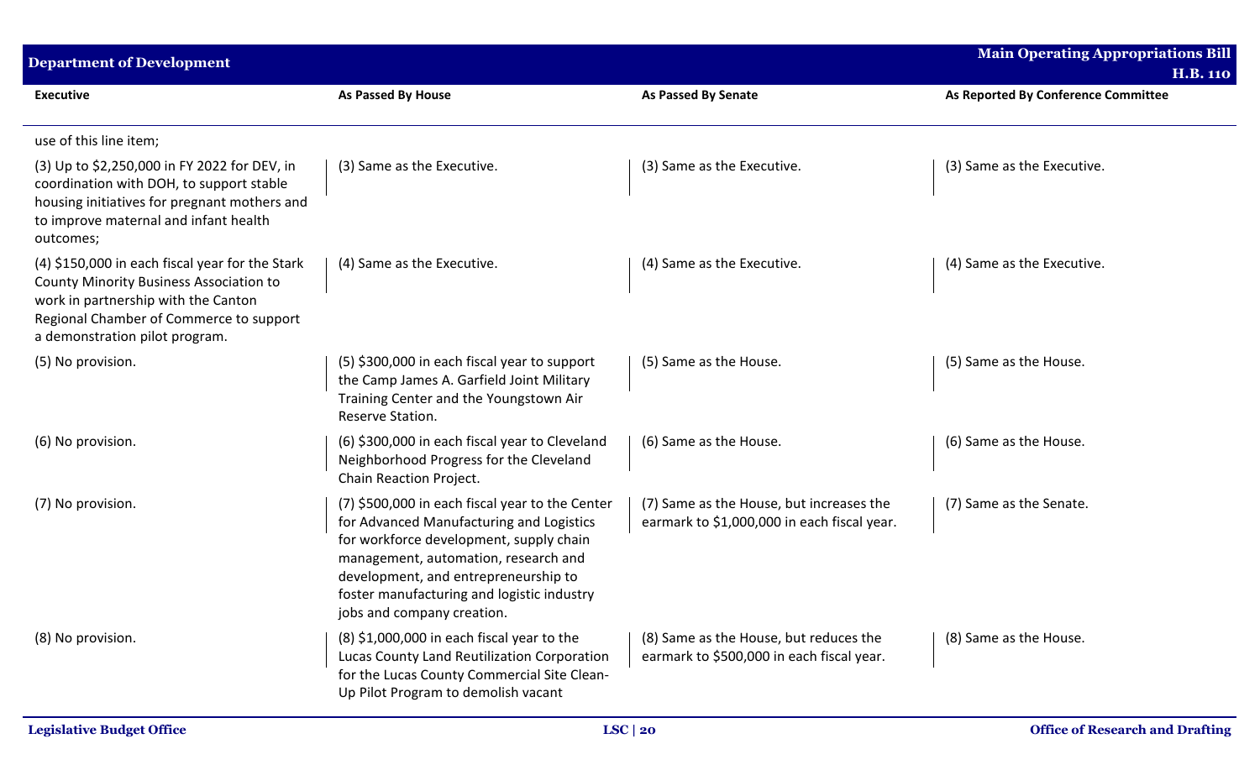| <b>Department of Development</b>                                                                                                                                                                                      |                                                                                                                                                                                                                                                                                                    |                                                                                         | <b>Main Operating Appropriations Bill</b><br><b>H.B. 110</b> |  |
|-----------------------------------------------------------------------------------------------------------------------------------------------------------------------------------------------------------------------|----------------------------------------------------------------------------------------------------------------------------------------------------------------------------------------------------------------------------------------------------------------------------------------------------|-----------------------------------------------------------------------------------------|--------------------------------------------------------------|--|
| <b>Executive</b>                                                                                                                                                                                                      | <b>As Passed By House</b>                                                                                                                                                                                                                                                                          | <b>As Passed By Senate</b>                                                              | As Reported By Conference Committee                          |  |
| use of this line item;                                                                                                                                                                                                |                                                                                                                                                                                                                                                                                                    |                                                                                         |                                                              |  |
| (3) Up to \$2,250,000 in FY 2022 for DEV, in<br>coordination with DOH, to support stable<br>housing initiatives for pregnant mothers and<br>to improve maternal and infant health<br>outcomes;                        | (3) Same as the Executive.                                                                                                                                                                                                                                                                         | (3) Same as the Executive.                                                              | (3) Same as the Executive.                                   |  |
| (4) \$150,000 in each fiscal year for the Stark<br><b>County Minority Business Association to</b><br>work in partnership with the Canton<br>Regional Chamber of Commerce to support<br>a demonstration pilot program. | (4) Same as the Executive.                                                                                                                                                                                                                                                                         | (4) Same as the Executive.                                                              | (4) Same as the Executive.                                   |  |
| (5) No provision.                                                                                                                                                                                                     | (5) \$300,000 in each fiscal year to support<br>the Camp James A. Garfield Joint Military<br>Training Center and the Youngstown Air<br>Reserve Station.                                                                                                                                            | (5) Same as the House.                                                                  | (5) Same as the House.                                       |  |
| (6) No provision.                                                                                                                                                                                                     | (6) \$300,000 in each fiscal year to Cleveland<br>Neighborhood Progress for the Cleveland<br>Chain Reaction Project.                                                                                                                                                                               | (6) Same as the House.                                                                  | (6) Same as the House.                                       |  |
| (7) No provision.                                                                                                                                                                                                     | (7) \$500,000 in each fiscal year to the Center<br>for Advanced Manufacturing and Logistics<br>for workforce development, supply chain<br>management, automation, research and<br>development, and entrepreneurship to<br>foster manufacturing and logistic industry<br>jobs and company creation. | (7) Same as the House, but increases the<br>earmark to \$1,000,000 in each fiscal year. | (7) Same as the Senate.                                      |  |
| (8) No provision.                                                                                                                                                                                                     | (8) \$1,000,000 in each fiscal year to the<br>Lucas County Land Reutilization Corporation<br>for the Lucas County Commercial Site Clean-<br>Up Pilot Program to demolish vacant                                                                                                                    | (8) Same as the House, but reduces the<br>earmark to \$500,000 in each fiscal year.     | (8) Same as the House.                                       |  |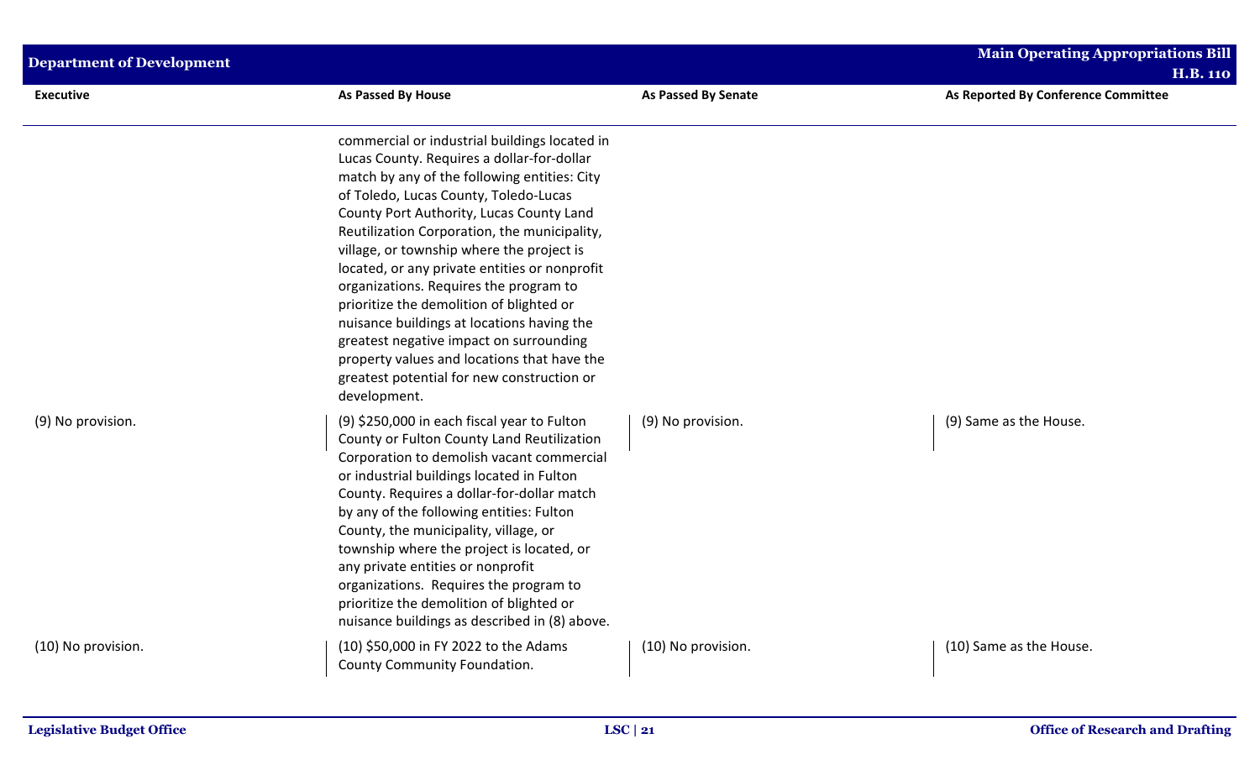| <b>Department of Development</b> |                                                                                                                                                                                                                                                                                                                                                                                                                                                                                                                                                                                                                                                                            |                            | <b>Main Operating Appropriations Bill</b><br><b>H.B. 110</b> |
|----------------------------------|----------------------------------------------------------------------------------------------------------------------------------------------------------------------------------------------------------------------------------------------------------------------------------------------------------------------------------------------------------------------------------------------------------------------------------------------------------------------------------------------------------------------------------------------------------------------------------------------------------------------------------------------------------------------------|----------------------------|--------------------------------------------------------------|
| <b>Executive</b>                 | As Passed By House                                                                                                                                                                                                                                                                                                                                                                                                                                                                                                                                                                                                                                                         | <b>As Passed By Senate</b> | As Reported By Conference Committee                          |
|                                  | commercial or industrial buildings located in<br>Lucas County. Requires a dollar-for-dollar<br>match by any of the following entities: City<br>of Toledo, Lucas County, Toledo-Lucas<br>County Port Authority, Lucas County Land<br>Reutilization Corporation, the municipality,<br>village, or township where the project is<br>located, or any private entities or nonprofit<br>organizations. Requires the program to<br>prioritize the demolition of blighted or<br>nuisance buildings at locations having the<br>greatest negative impact on surrounding<br>property values and locations that have the<br>greatest potential for new construction or<br>development. |                            |                                                              |
| (9) No provision.                | (9) \$250,000 in each fiscal year to Fulton<br>County or Fulton County Land Reutilization<br>Corporation to demolish vacant commercial<br>or industrial buildings located in Fulton<br>County. Requires a dollar-for-dollar match<br>by any of the following entities: Fulton<br>County, the municipality, village, or<br>township where the project is located, or<br>any private entities or nonprofit<br>organizations. Requires the program to<br>prioritize the demolition of blighted or<br>nuisance buildings as described in (8) above.                                                                                                                            | (9) No provision.          | (9) Same as the House.                                       |
| (10) No provision.               | (10) \$50,000 in FY 2022 to the Adams<br>County Community Foundation.                                                                                                                                                                                                                                                                                                                                                                                                                                                                                                                                                                                                      | (10) No provision.         | (10) Same as the House.                                      |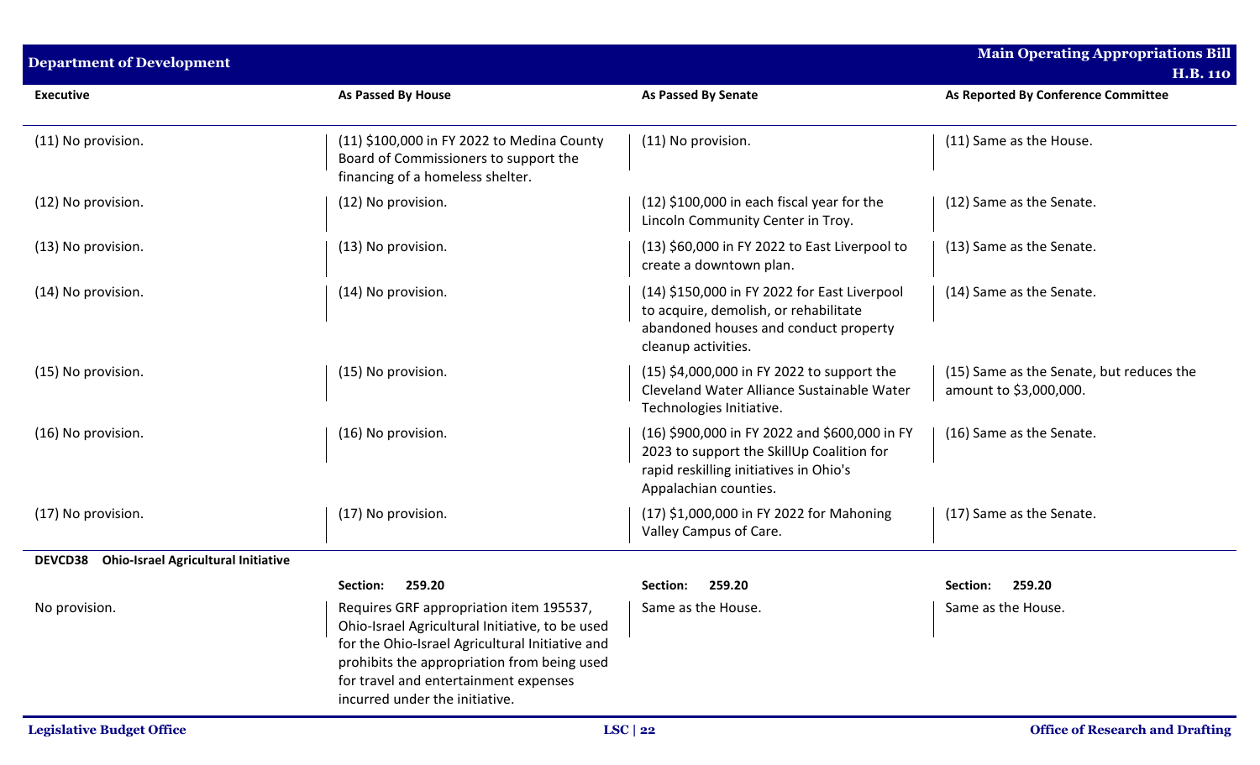| <b>Department of Development</b>                             |                                                                                                                                                                                                                                                                         |                                                                                                                                                               | <b>Main Operating Appropriations Bill</b><br><b>H.B. 110</b>       |
|--------------------------------------------------------------|-------------------------------------------------------------------------------------------------------------------------------------------------------------------------------------------------------------------------------------------------------------------------|---------------------------------------------------------------------------------------------------------------------------------------------------------------|--------------------------------------------------------------------|
| <b>Executive</b>                                             | As Passed By House                                                                                                                                                                                                                                                      | <b>As Passed By Senate</b>                                                                                                                                    | As Reported By Conference Committee                                |
| (11) No provision.                                           | (11) \$100,000 in FY 2022 to Medina County<br>Board of Commissioners to support the<br>financing of a homeless shelter.                                                                                                                                                 | (11) No provision.                                                                                                                                            | (11) Same as the House.                                            |
| (12) No provision.                                           | (12) No provision.                                                                                                                                                                                                                                                      | $(12)$ \$100,000 in each fiscal year for the<br>Lincoln Community Center in Troy.                                                                             | (12) Same as the Senate.                                           |
| (13) No provision.                                           | (13) No provision.                                                                                                                                                                                                                                                      | (13) \$60,000 in FY 2022 to East Liverpool to<br>create a downtown plan.                                                                                      | (13) Same as the Senate.                                           |
| (14) No provision.                                           | (14) No provision.                                                                                                                                                                                                                                                      | (14) \$150,000 in FY 2022 for East Liverpool<br>to acquire, demolish, or rehabilitate<br>abandoned houses and conduct property<br>cleanup activities.         | (14) Same as the Senate.                                           |
| (15) No provision.                                           | (15) No provision.                                                                                                                                                                                                                                                      | (15) \$4,000,000 in FY 2022 to support the<br>Cleveland Water Alliance Sustainable Water<br>Technologies Initiative.                                          | (15) Same as the Senate, but reduces the<br>amount to \$3,000,000. |
| (16) No provision.                                           | (16) No provision.                                                                                                                                                                                                                                                      | (16) \$900,000 in FY 2022 and \$600,000 in FY<br>2023 to support the SkillUp Coalition for<br>rapid reskilling initiatives in Ohio's<br>Appalachian counties. | (16) Same as the Senate.                                           |
| (17) No provision.                                           | (17) No provision.                                                                                                                                                                                                                                                      | (17) \$1,000,000 in FY 2022 for Mahoning<br>Valley Campus of Care.                                                                                            | (17) Same as the Senate.                                           |
| <b>DEVCD38</b><br><b>Ohio-Israel Agricultural Initiative</b> |                                                                                                                                                                                                                                                                         |                                                                                                                                                               |                                                                    |
|                                                              | Section:<br>259.20                                                                                                                                                                                                                                                      | <b>Section:</b><br>259.20                                                                                                                                     | 259.20<br>Section:                                                 |
| No provision.                                                | Requires GRF appropriation item 195537,<br>Ohio-Israel Agricultural Initiative, to be used<br>for the Ohio-Israel Agricultural Initiative and<br>prohibits the appropriation from being used<br>for travel and entertainment expenses<br>incurred under the initiative. | Same as the House.                                                                                                                                            | Same as the House.                                                 |
| <b>Legislative Budget Office</b>                             |                                                                                                                                                                                                                                                                         | $LSC$   22                                                                                                                                                    | <b>Office of Research and Drafting</b>                             |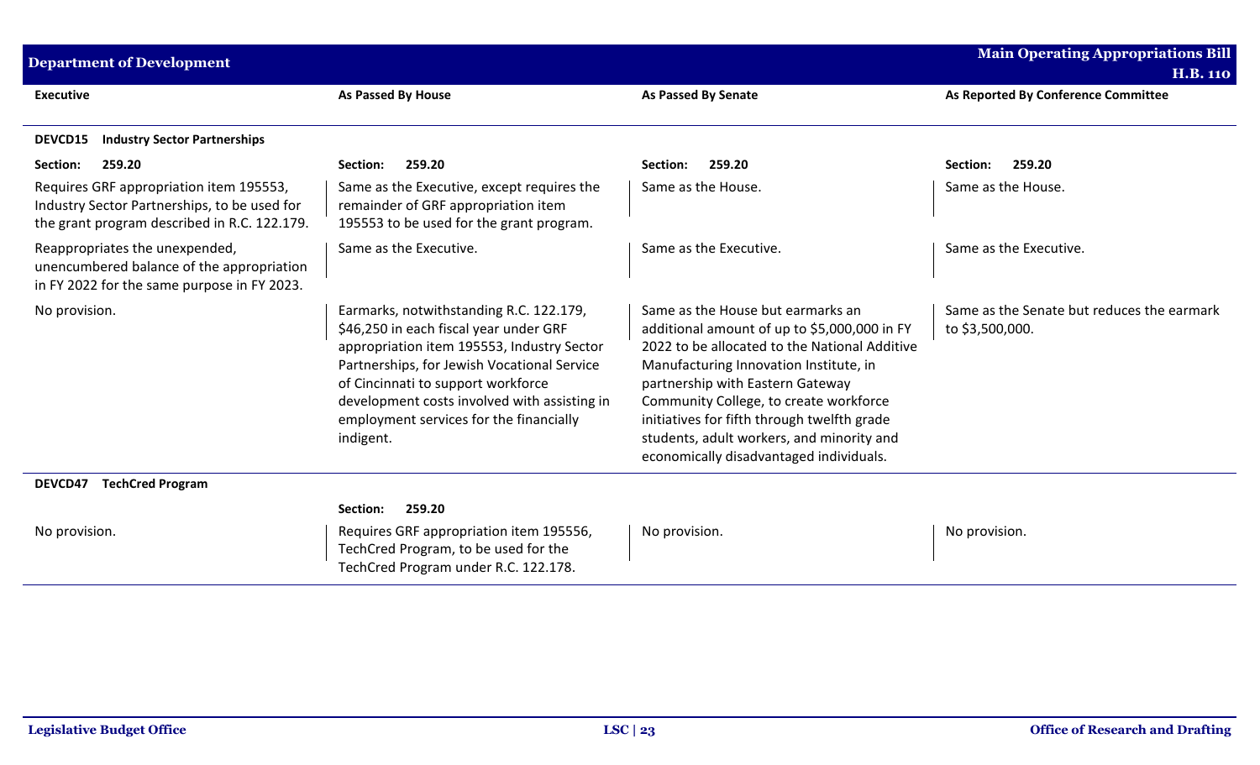| <b>Department of Development</b>                                                                                                        |                                                                                                                                                                                                                                                                                                                              |                                                                                                                                                                                                                                                                                                                                                                                                   | <b>Main Operating Appropriations Bill</b><br><b>H.B. 110</b>  |
|-----------------------------------------------------------------------------------------------------------------------------------------|------------------------------------------------------------------------------------------------------------------------------------------------------------------------------------------------------------------------------------------------------------------------------------------------------------------------------|---------------------------------------------------------------------------------------------------------------------------------------------------------------------------------------------------------------------------------------------------------------------------------------------------------------------------------------------------------------------------------------------------|---------------------------------------------------------------|
| <b>Executive</b>                                                                                                                        | <b>As Passed By House</b>                                                                                                                                                                                                                                                                                                    | <b>As Passed By Senate</b>                                                                                                                                                                                                                                                                                                                                                                        | As Reported By Conference Committee                           |
| <b>Industry Sector Partnerships</b><br>DEVCD15                                                                                          |                                                                                                                                                                                                                                                                                                                              |                                                                                                                                                                                                                                                                                                                                                                                                   |                                                               |
| 259.20<br>Section:                                                                                                                      | Section:<br>259.20                                                                                                                                                                                                                                                                                                           | Section:<br>259.20                                                                                                                                                                                                                                                                                                                                                                                | 259.20<br>Section:                                            |
| Requires GRF appropriation item 195553,<br>Industry Sector Partnerships, to be used for<br>the grant program described in R.C. 122.179. | Same as the Executive, except requires the<br>remainder of GRF appropriation item<br>195553 to be used for the grant program.                                                                                                                                                                                                | Same as the House.                                                                                                                                                                                                                                                                                                                                                                                | Same as the House.                                            |
| Reappropriates the unexpended,<br>unencumbered balance of the appropriation<br>in FY 2022 for the same purpose in FY 2023.              | Same as the Executive.                                                                                                                                                                                                                                                                                                       | Same as the Executive.                                                                                                                                                                                                                                                                                                                                                                            | Same as the Executive.                                        |
| No provision.                                                                                                                           | Earmarks, notwithstanding R.C. 122.179,<br>\$46,250 in each fiscal year under GRF<br>appropriation item 195553, Industry Sector<br>Partnerships, for Jewish Vocational Service<br>of Cincinnati to support workforce<br>development costs involved with assisting in<br>employment services for the financially<br>indigent. | Same as the House but earmarks an<br>additional amount of up to \$5,000,000 in FY<br>2022 to be allocated to the National Additive<br>Manufacturing Innovation Institute, in<br>partnership with Eastern Gateway<br>Community College, to create workforce<br>initiatives for fifth through twelfth grade<br>students, adult workers, and minority and<br>economically disadvantaged individuals. | Same as the Senate but reduces the earmark<br>to \$3,500,000. |
| <b>TechCred Program</b><br>DEVCD47                                                                                                      |                                                                                                                                                                                                                                                                                                                              |                                                                                                                                                                                                                                                                                                                                                                                                   |                                                               |
| No provision.                                                                                                                           | 259.20<br>Section:<br>Requires GRF appropriation item 195556,<br>TechCred Program, to be used for the<br>TechCred Program under R.C. 122.178.                                                                                                                                                                                | No provision.                                                                                                                                                                                                                                                                                                                                                                                     | No provision.                                                 |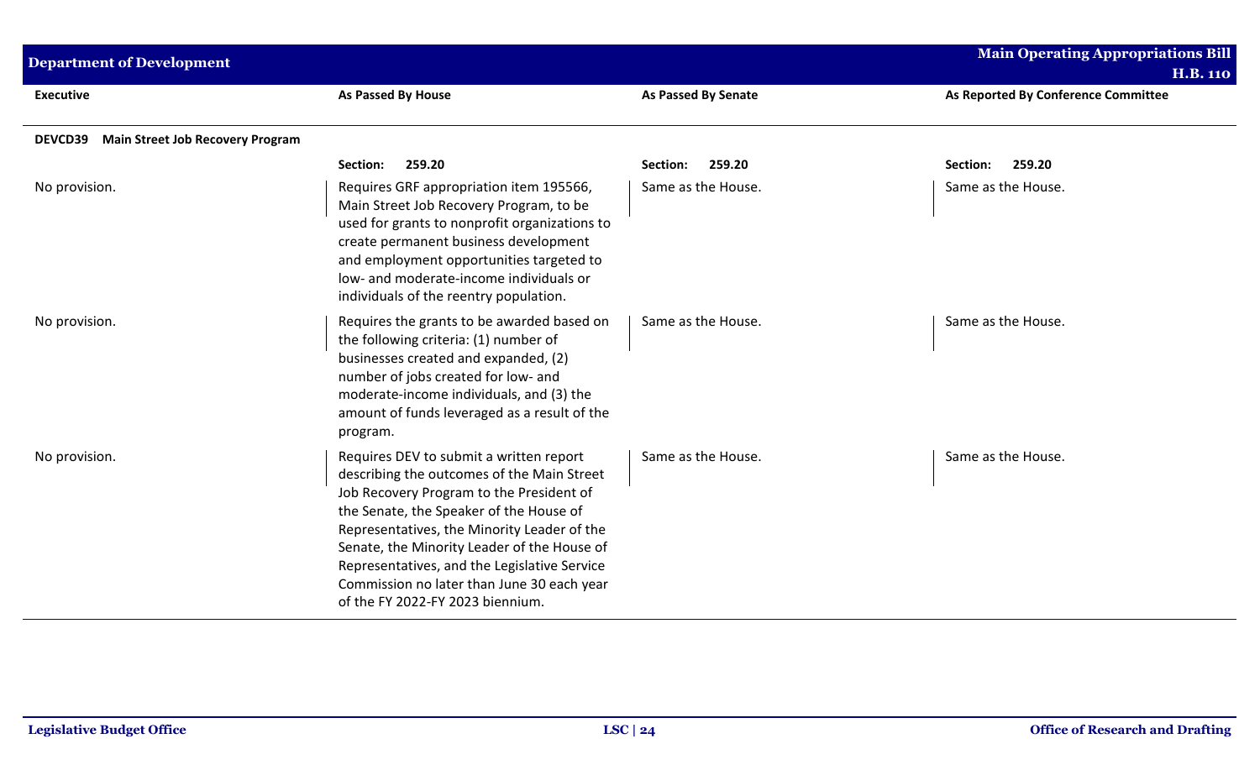| <b>Department of Development</b>                   |                                                                                                                                                                                                                                                                                                                                                                                                              |                            | <b>Main Operating Appropriations Bill</b><br><b>H.B. 110</b> |
|----------------------------------------------------|--------------------------------------------------------------------------------------------------------------------------------------------------------------------------------------------------------------------------------------------------------------------------------------------------------------------------------------------------------------------------------------------------------------|----------------------------|--------------------------------------------------------------|
| <b>Executive</b>                                   | As Passed By House                                                                                                                                                                                                                                                                                                                                                                                           | <b>As Passed By Senate</b> | As Reported By Conference Committee                          |
| <b>Main Street Job Recovery Program</b><br>DEVCD39 |                                                                                                                                                                                                                                                                                                                                                                                                              |                            |                                                              |
|                                                    | 259.20<br>Section:                                                                                                                                                                                                                                                                                                                                                                                           | 259.20<br>Section:         | 259.20<br>Section:                                           |
| No provision.                                      | Requires GRF appropriation item 195566,<br>Main Street Job Recovery Program, to be<br>used for grants to nonprofit organizations to<br>create permanent business development<br>and employment opportunities targeted to<br>low- and moderate-income individuals or<br>individuals of the reentry population.                                                                                                | Same as the House.         | Same as the House.                                           |
| No provision.                                      | Requires the grants to be awarded based on<br>the following criteria: (1) number of<br>businesses created and expanded, (2)<br>number of jobs created for low- and<br>moderate-income individuals, and (3) the<br>amount of funds leveraged as a result of the<br>program.                                                                                                                                   | Same as the House.         | Same as the House.                                           |
| No provision.                                      | Requires DEV to submit a written report<br>describing the outcomes of the Main Street<br>Job Recovery Program to the President of<br>the Senate, the Speaker of the House of<br>Representatives, the Minority Leader of the<br>Senate, the Minority Leader of the House of<br>Representatives, and the Legislative Service<br>Commission no later than June 30 each year<br>of the FY 2022-FY 2023 biennium. | Same as the House.         | Same as the House.                                           |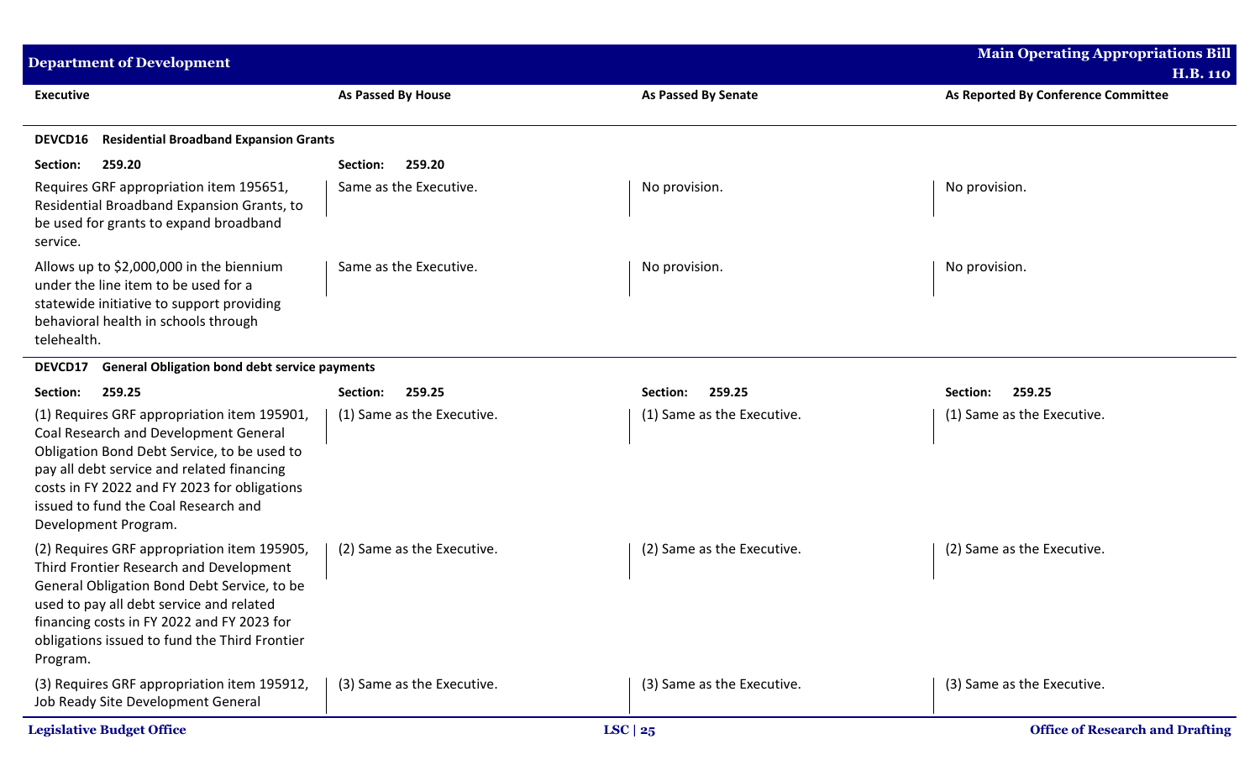| <b>Department of Development</b>                                                                                                                                                                                                                                                                  |                            |                            | <b>Main Operating Appropriations Bill</b><br><b>H.B. 110</b> |
|---------------------------------------------------------------------------------------------------------------------------------------------------------------------------------------------------------------------------------------------------------------------------------------------------|----------------------------|----------------------------|--------------------------------------------------------------|
| <b>Executive</b>                                                                                                                                                                                                                                                                                  | <b>As Passed By House</b>  | As Passed By Senate        | As Reported By Conference Committee                          |
| <b>Residential Broadband Expansion Grants</b><br><b>DEVCD16</b>                                                                                                                                                                                                                                   |                            |                            |                                                              |
| Section:<br>259.20                                                                                                                                                                                                                                                                                | 259.20<br>Section:         |                            |                                                              |
| Requires GRF appropriation item 195651,<br>Residential Broadband Expansion Grants, to<br>be used for grants to expand broadband<br>service.                                                                                                                                                       | Same as the Executive.     | No provision.              | No provision.                                                |
| Allows up to \$2,000,000 in the biennium<br>under the line item to be used for a<br>statewide initiative to support providing<br>behavioral health in schools through<br>telehealth.                                                                                                              | Same as the Executive.     | No provision.              | No provision.                                                |
| <b>General Obligation bond debt service payments</b><br>DEVCD17                                                                                                                                                                                                                                   |                            |                            |                                                              |
| 259.25<br>Section:                                                                                                                                                                                                                                                                                | 259.25<br>Section:         | 259.25<br>Section:         | 259.25<br>Section:                                           |
| (1) Requires GRF appropriation item 195901,<br>Coal Research and Development General<br>Obligation Bond Debt Service, to be used to<br>pay all debt service and related financing<br>costs in FY 2022 and FY 2023 for obligations<br>issued to fund the Coal Research and<br>Development Program. | (1) Same as the Executive. | (1) Same as the Executive. | (1) Same as the Executive.                                   |
| (2) Requires GRF appropriation item 195905,<br>Third Frontier Research and Development<br>General Obligation Bond Debt Service, to be<br>used to pay all debt service and related<br>financing costs in FY 2022 and FY 2023 for<br>obligations issued to fund the Third Frontier<br>Program.      | (2) Same as the Executive. | (2) Same as the Executive. | (2) Same as the Executive.                                   |
| (3) Requires GRF appropriation item 195912,<br>Job Ready Site Development General                                                                                                                                                                                                                 | (3) Same as the Executive. | (3) Same as the Executive. | (3) Same as the Executive.                                   |
| <b>Legislative Budget Office</b>                                                                                                                                                                                                                                                                  |                            | LSC $ 25$                  | <b>Office of Research and Drafting</b>                       |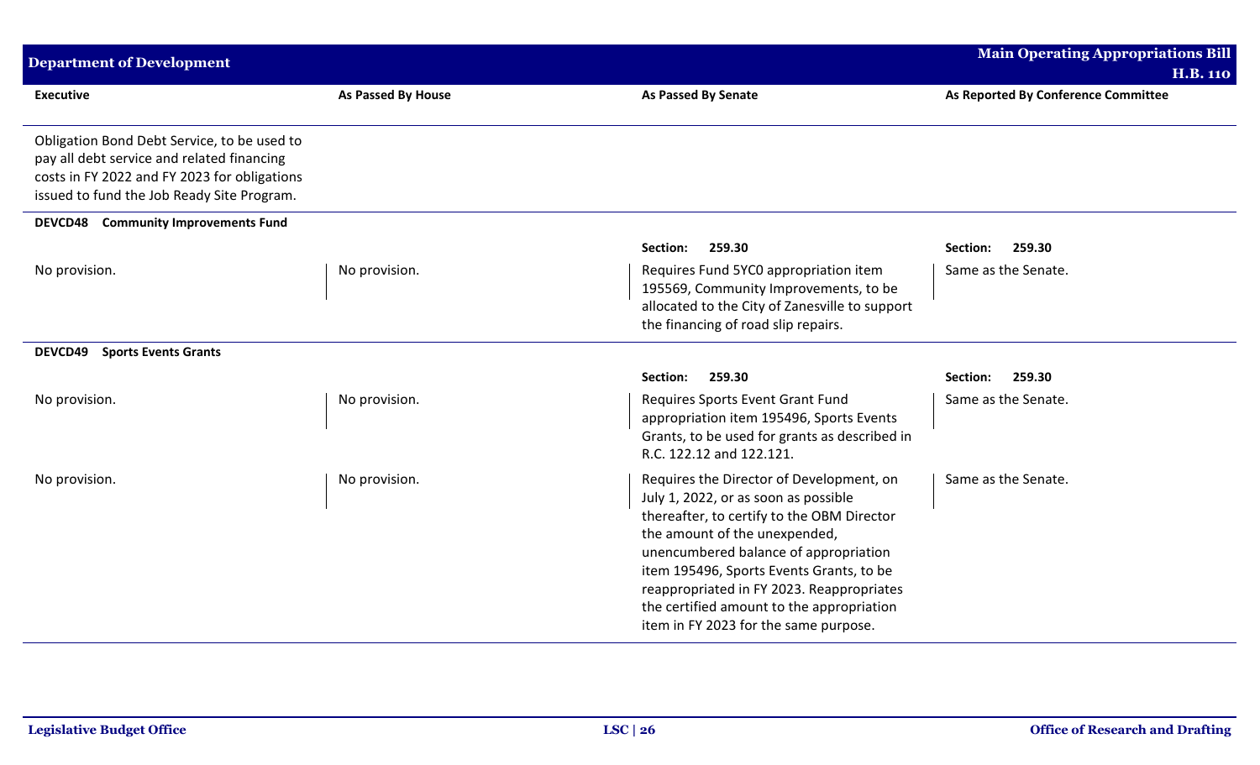| <b>Department of Development</b>                                                                                                                                                        |                           |                                                                                                                                                                                                                                                                                                                                                                                         | <b>Main Operating Appropriations Bill</b> |
|-----------------------------------------------------------------------------------------------------------------------------------------------------------------------------------------|---------------------------|-----------------------------------------------------------------------------------------------------------------------------------------------------------------------------------------------------------------------------------------------------------------------------------------------------------------------------------------------------------------------------------------|-------------------------------------------|
|                                                                                                                                                                                         |                           |                                                                                                                                                                                                                                                                                                                                                                                         | <b>H.B. 110</b>                           |
| <b>Executive</b>                                                                                                                                                                        | <b>As Passed By House</b> | <b>As Passed By Senate</b>                                                                                                                                                                                                                                                                                                                                                              | As Reported By Conference Committee       |
| Obligation Bond Debt Service, to be used to<br>pay all debt service and related financing<br>costs in FY 2022 and FY 2023 for obligations<br>issued to fund the Job Ready Site Program. |                           |                                                                                                                                                                                                                                                                                                                                                                                         |                                           |
| <b>DEVCD48</b> Community Improvements Fund                                                                                                                                              |                           |                                                                                                                                                                                                                                                                                                                                                                                         |                                           |
|                                                                                                                                                                                         |                           | 259.30<br>Section:                                                                                                                                                                                                                                                                                                                                                                      | Section:<br>259.30                        |
| No provision.                                                                                                                                                                           | No provision.             | Requires Fund 5YC0 appropriation item<br>195569, Community Improvements, to be<br>allocated to the City of Zanesville to support<br>the financing of road slip repairs.                                                                                                                                                                                                                 | Same as the Senate.                       |
| <b>Sports Events Grants</b><br><b>DEVCD49</b>                                                                                                                                           |                           |                                                                                                                                                                                                                                                                                                                                                                                         |                                           |
|                                                                                                                                                                                         |                           | Section:<br>259.30                                                                                                                                                                                                                                                                                                                                                                      | Section:<br>259.30                        |
| No provision.                                                                                                                                                                           | No provision.             | Requires Sports Event Grant Fund<br>appropriation item 195496, Sports Events<br>Grants, to be used for grants as described in<br>R.C. 122.12 and 122.121.                                                                                                                                                                                                                               | Same as the Senate.                       |
| No provision.                                                                                                                                                                           | No provision.             | Requires the Director of Development, on<br>July 1, 2022, or as soon as possible<br>thereafter, to certify to the OBM Director<br>the amount of the unexpended,<br>unencumbered balance of appropriation<br>item 195496, Sports Events Grants, to be<br>reappropriated in FY 2023. Reappropriates<br>the certified amount to the appropriation<br>item in FY 2023 for the same purpose. | Same as the Senate.                       |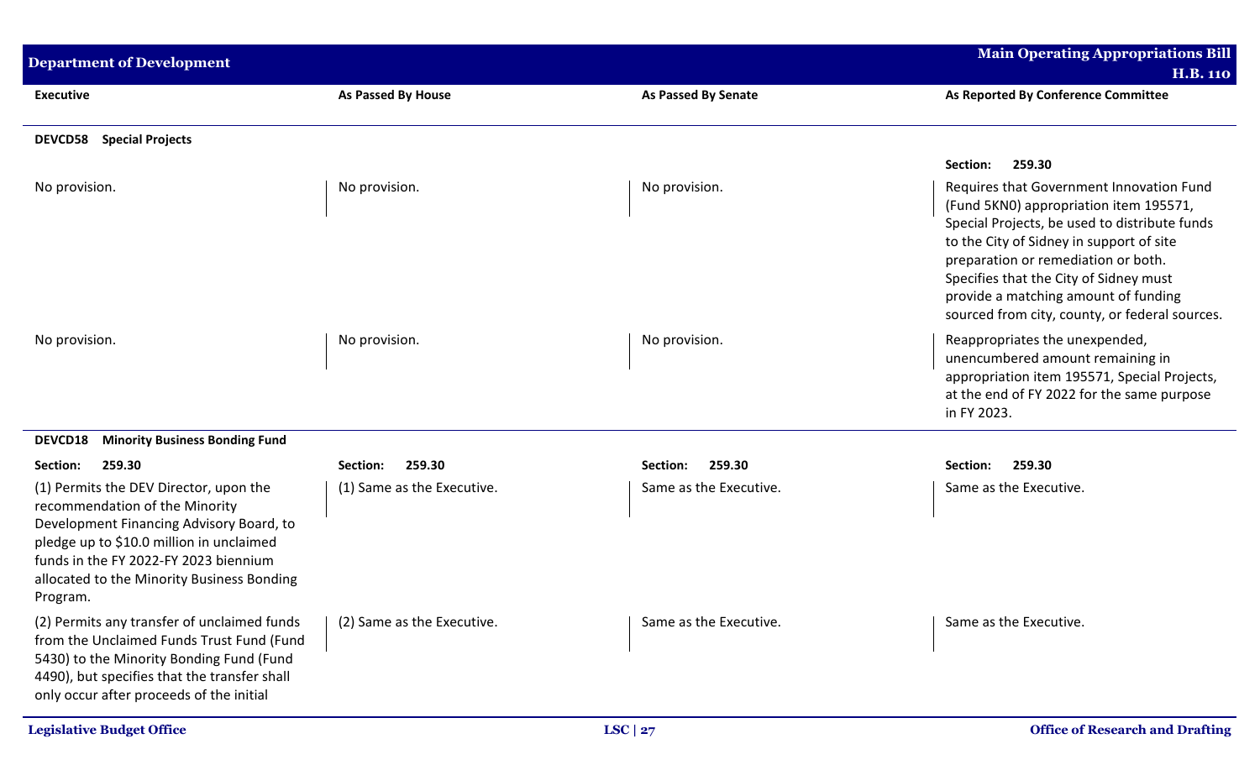| <b>Department of Development</b>                                                                                                                                                                                                                                    |                            |                            | <b>Main Operating Appropriations Bill</b>                                                                                                                                                                                                                                                                                                                  |
|---------------------------------------------------------------------------------------------------------------------------------------------------------------------------------------------------------------------------------------------------------------------|----------------------------|----------------------------|------------------------------------------------------------------------------------------------------------------------------------------------------------------------------------------------------------------------------------------------------------------------------------------------------------------------------------------------------------|
|                                                                                                                                                                                                                                                                     |                            |                            | <b>H.B. 110</b>                                                                                                                                                                                                                                                                                                                                            |
| <b>Executive</b>                                                                                                                                                                                                                                                    | <b>As Passed By House</b>  | <b>As Passed By Senate</b> | As Reported By Conference Committee                                                                                                                                                                                                                                                                                                                        |
| <b>DEVCD58</b> Special Projects                                                                                                                                                                                                                                     |                            |                            |                                                                                                                                                                                                                                                                                                                                                            |
|                                                                                                                                                                                                                                                                     |                            |                            | 259.30<br>Section:                                                                                                                                                                                                                                                                                                                                         |
| No provision.                                                                                                                                                                                                                                                       | No provision.              | No provision.              | Requires that Government Innovation Fund<br>(Fund 5KN0) appropriation item 195571,<br>Special Projects, be used to distribute funds<br>to the City of Sidney in support of site<br>preparation or remediation or both.<br>Specifies that the City of Sidney must<br>provide a matching amount of funding<br>sourced from city, county, or federal sources. |
| No provision.                                                                                                                                                                                                                                                       | No provision.              | No provision.              | Reappropriates the unexpended,<br>unencumbered amount remaining in<br>appropriation item 195571, Special Projects,<br>at the end of FY 2022 for the same purpose<br>in FY 2023.                                                                                                                                                                            |
| DEVCD18<br><b>Minority Business Bonding Fund</b>                                                                                                                                                                                                                    |                            |                            |                                                                                                                                                                                                                                                                                                                                                            |
| 259.30<br>Section:                                                                                                                                                                                                                                                  | 259.30<br>Section:         | 259.30<br>Section:         | Section:<br>259.30                                                                                                                                                                                                                                                                                                                                         |
| (1) Permits the DEV Director, upon the<br>recommendation of the Minority<br>Development Financing Advisory Board, to<br>pledge up to \$10.0 million in unclaimed<br>funds in the FY 2022-FY 2023 biennium<br>allocated to the Minority Business Bonding<br>Program. | (1) Same as the Executive. | Same as the Executive.     | Same as the Executive.                                                                                                                                                                                                                                                                                                                                     |
| (2) Permits any transfer of unclaimed funds<br>from the Unclaimed Funds Trust Fund (Fund<br>5430) to the Minority Bonding Fund (Fund<br>4490), but specifies that the transfer shall<br>only occur after proceeds of the initial                                    | (2) Same as the Executive. | Same as the Executive.     | Same as the Executive.                                                                                                                                                                                                                                                                                                                                     |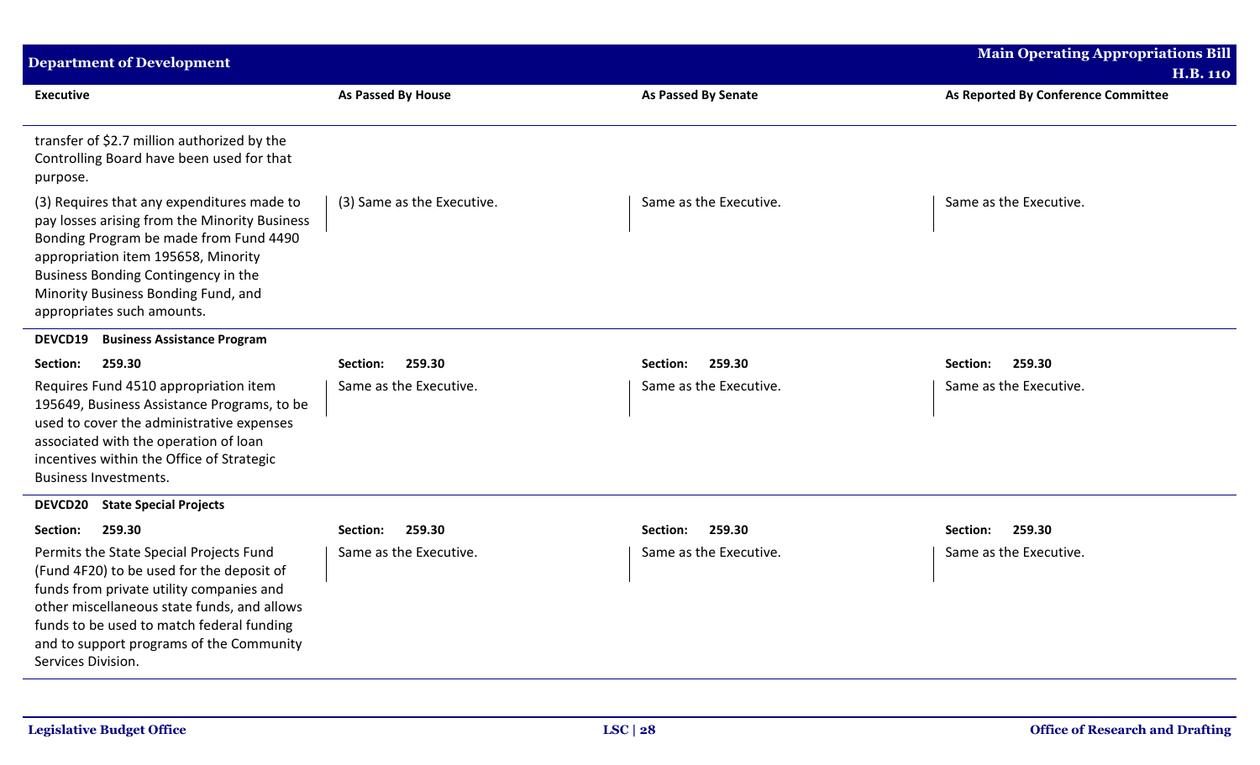| <b>Department of Development</b>                                                                                                                                                                                                                                                               |                            |                            | <b>Main Operating Appropriations Bill</b><br><b>H.B. 110</b> |
|------------------------------------------------------------------------------------------------------------------------------------------------------------------------------------------------------------------------------------------------------------------------------------------------|----------------------------|----------------------------|--------------------------------------------------------------|
| <b>Executive</b>                                                                                                                                                                                                                                                                               | As Passed By House         | <b>As Passed By Senate</b> | As Reported By Conference Committee                          |
| transfer of \$2.7 million authorized by the<br>Controlling Board have been used for that<br>purpose.                                                                                                                                                                                           |                            |                            |                                                              |
| (3) Requires that any expenditures made to<br>pay losses arising from the Minority Business<br>Bonding Program be made from Fund 4490<br>appropriation item 195658, Minority<br>Business Bonding Contingency in the<br>Minority Business Bonding Fund, and<br>appropriates such amounts.       | (3) Same as the Executive. | Same as the Executive.     | Same as the Executive.                                       |
| <b>DEVCD19</b><br><b>Business Assistance Program</b>                                                                                                                                                                                                                                           |                            |                            |                                                              |
| 259.30<br>Section:                                                                                                                                                                                                                                                                             | 259.30<br>Section:         | 259.30<br>Section:         | 259.30<br>Section:                                           |
| Requires Fund 4510 appropriation item<br>195649, Business Assistance Programs, to be<br>used to cover the administrative expenses<br>associated with the operation of loan<br>incentives within the Office of Strategic<br><b>Business Investments.</b>                                        | Same as the Executive.     | Same as the Executive.     | Same as the Executive.                                       |
| <b>DEVCD20</b><br><b>State Special Projects</b>                                                                                                                                                                                                                                                |                            |                            |                                                              |
| 259.30<br>Section:                                                                                                                                                                                                                                                                             | Section:<br>259.30         | 259.30<br>Section:         | Section:<br>259.30                                           |
| Permits the State Special Projects Fund<br>(Fund 4F20) to be used for the deposit of<br>funds from private utility companies and<br>other miscellaneous state funds, and allows<br>funds to be used to match federal funding<br>and to support programs of the Community<br>Services Division. | Same as the Executive.     | Same as the Executive.     | Same as the Executive.                                       |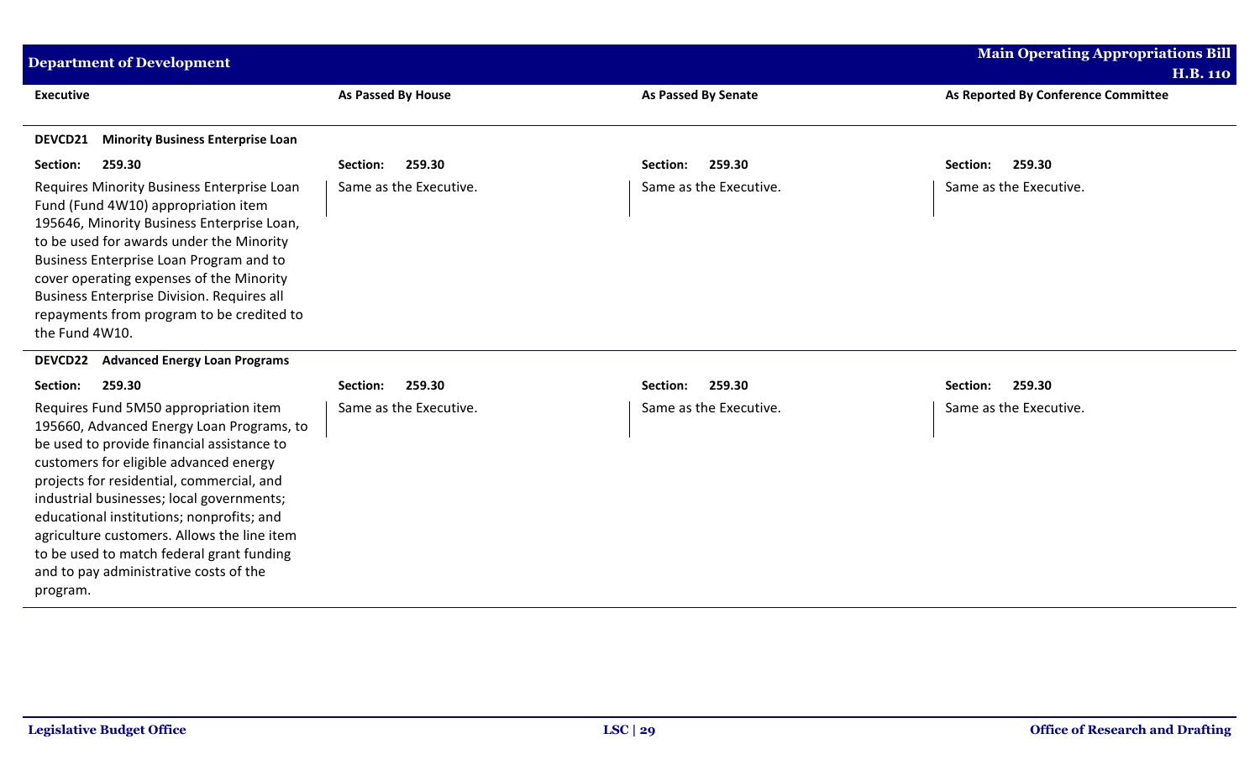| <b>Department of Development</b>                                                                                                                                                                                                                                                                                                                                                                                                                                    |                        |                            | <b>Main Operating Appropriations Bill</b><br><b>H.B. 110</b> |
|---------------------------------------------------------------------------------------------------------------------------------------------------------------------------------------------------------------------------------------------------------------------------------------------------------------------------------------------------------------------------------------------------------------------------------------------------------------------|------------------------|----------------------------|--------------------------------------------------------------|
| <b>Executive</b>                                                                                                                                                                                                                                                                                                                                                                                                                                                    | As Passed By House     | <b>As Passed By Senate</b> | As Reported By Conference Committee                          |
| <b>Minority Business Enterprise Loan</b><br>DEVCD21                                                                                                                                                                                                                                                                                                                                                                                                                 |                        |                            |                                                              |
| 259.30<br>Section:                                                                                                                                                                                                                                                                                                                                                                                                                                                  | 259.30<br>Section:     | 259.30<br>Section:         | 259.30<br>Section:                                           |
| Requires Minority Business Enterprise Loan<br>Fund (Fund 4W10) appropriation item<br>195646, Minority Business Enterprise Loan,<br>to be used for awards under the Minority<br>Business Enterprise Loan Program and to<br>cover operating expenses of the Minority<br><b>Business Enterprise Division. Requires all</b><br>repayments from program to be credited to<br>the Fund 4W10.                                                                              | Same as the Executive. | Same as the Executive.     | Same as the Executive.                                       |
| <b>Advanced Energy Loan Programs</b><br><b>DEVCD22</b>                                                                                                                                                                                                                                                                                                                                                                                                              |                        |                            |                                                              |
| Section:<br>259.30                                                                                                                                                                                                                                                                                                                                                                                                                                                  | 259.30<br>Section:     | 259.30<br>Section:         | 259.30<br>Section:                                           |
| Requires Fund 5M50 appropriation item<br>195660, Advanced Energy Loan Programs, to<br>be used to provide financial assistance to<br>customers for eligible advanced energy<br>projects for residential, commercial, and<br>industrial businesses; local governments;<br>educational institutions; nonprofits; and<br>agriculture customers. Allows the line item<br>to be used to match federal grant funding<br>and to pay administrative costs of the<br>program. | Same as the Executive. | Same as the Executive.     | Same as the Executive.                                       |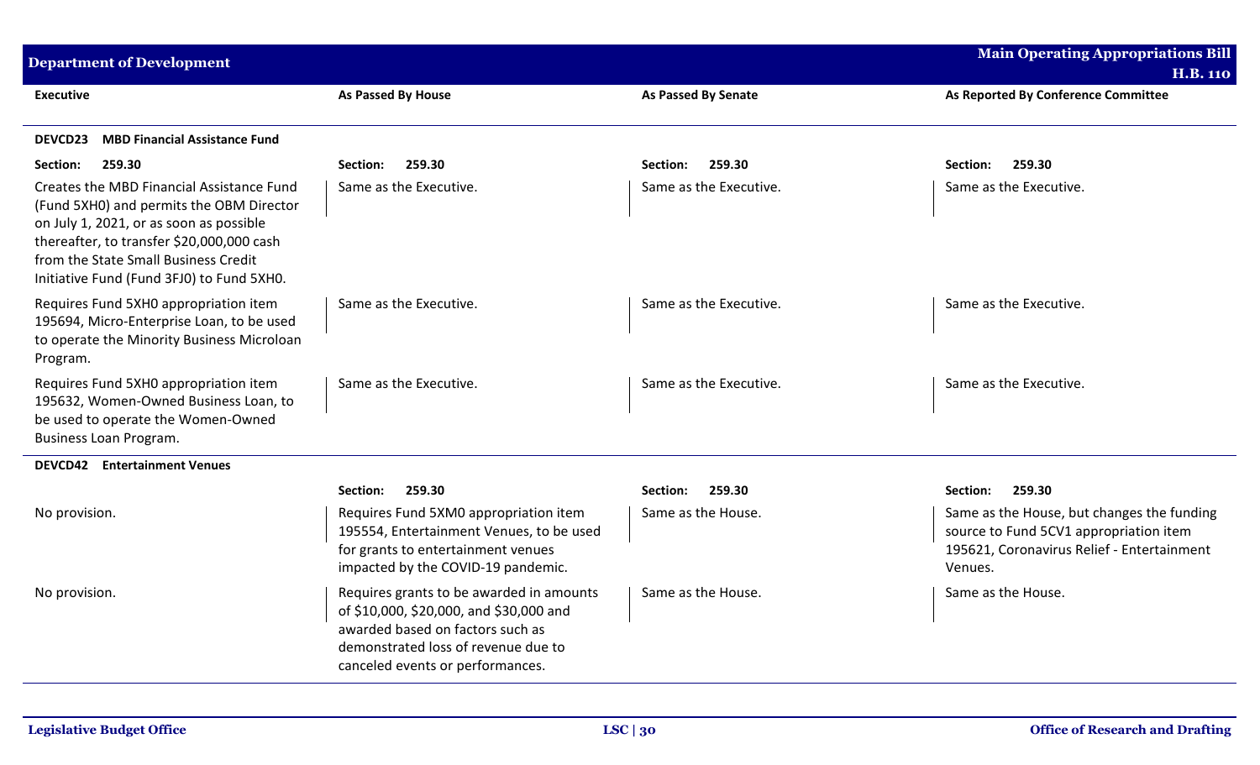| <b>Department of Development</b>                                                                                                                                                                                                                                   |                                                                                                                                                                                                    |                            | <b>Main Operating Appropriations Bill</b><br><b>H.B. 110</b>                                                                                  |
|--------------------------------------------------------------------------------------------------------------------------------------------------------------------------------------------------------------------------------------------------------------------|----------------------------------------------------------------------------------------------------------------------------------------------------------------------------------------------------|----------------------------|-----------------------------------------------------------------------------------------------------------------------------------------------|
| Executive                                                                                                                                                                                                                                                          | As Passed By House                                                                                                                                                                                 | <b>As Passed By Senate</b> | As Reported By Conference Committee                                                                                                           |
| <b>MBD Financial Assistance Fund</b><br><b>DEVCD23</b>                                                                                                                                                                                                             |                                                                                                                                                                                                    |                            |                                                                                                                                               |
| 259.30<br>Section:                                                                                                                                                                                                                                                 | 259.30<br>Section:                                                                                                                                                                                 | 259.30<br>Section:         | 259.30<br>Section:                                                                                                                            |
| Creates the MBD Financial Assistance Fund<br>(Fund 5XH0) and permits the OBM Director<br>on July 1, 2021, or as soon as possible<br>thereafter, to transfer \$20,000,000 cash<br>from the State Small Business Credit<br>Initiative Fund (Fund 3FJ0) to Fund 5XH0. | Same as the Executive.                                                                                                                                                                             | Same as the Executive.     | Same as the Executive.                                                                                                                        |
| Requires Fund 5XH0 appropriation item<br>195694, Micro-Enterprise Loan, to be used<br>to operate the Minority Business Microloan<br>Program.                                                                                                                       | Same as the Executive.                                                                                                                                                                             | Same as the Executive.     | Same as the Executive.                                                                                                                        |
| Requires Fund 5XH0 appropriation item<br>195632, Women-Owned Business Loan, to<br>be used to operate the Women-Owned<br>Business Loan Program.                                                                                                                     | Same as the Executive.                                                                                                                                                                             | Same as the Executive.     | Same as the Executive.                                                                                                                        |
| <b>DEVCD42</b> Entertainment Venues                                                                                                                                                                                                                                |                                                                                                                                                                                                    |                            |                                                                                                                                               |
|                                                                                                                                                                                                                                                                    | 259.30<br><b>Section:</b>                                                                                                                                                                          | Section:<br>259.30         | Section:<br>259.30                                                                                                                            |
| No provision.                                                                                                                                                                                                                                                      | Requires Fund 5XM0 appropriation item<br>195554, Entertainment Venues, to be used<br>for grants to entertainment venues<br>impacted by the COVID-19 pandemic.                                      | Same as the House.         | Same as the House, but changes the funding<br>source to Fund 5CV1 appropriation item<br>195621, Coronavirus Relief - Entertainment<br>Venues. |
| No provision.                                                                                                                                                                                                                                                      | Requires grants to be awarded in amounts<br>of \$10,000, \$20,000, and \$30,000 and<br>awarded based on factors such as<br>demonstrated loss of revenue due to<br>canceled events or performances. | Same as the House.         | Same as the House.                                                                                                                            |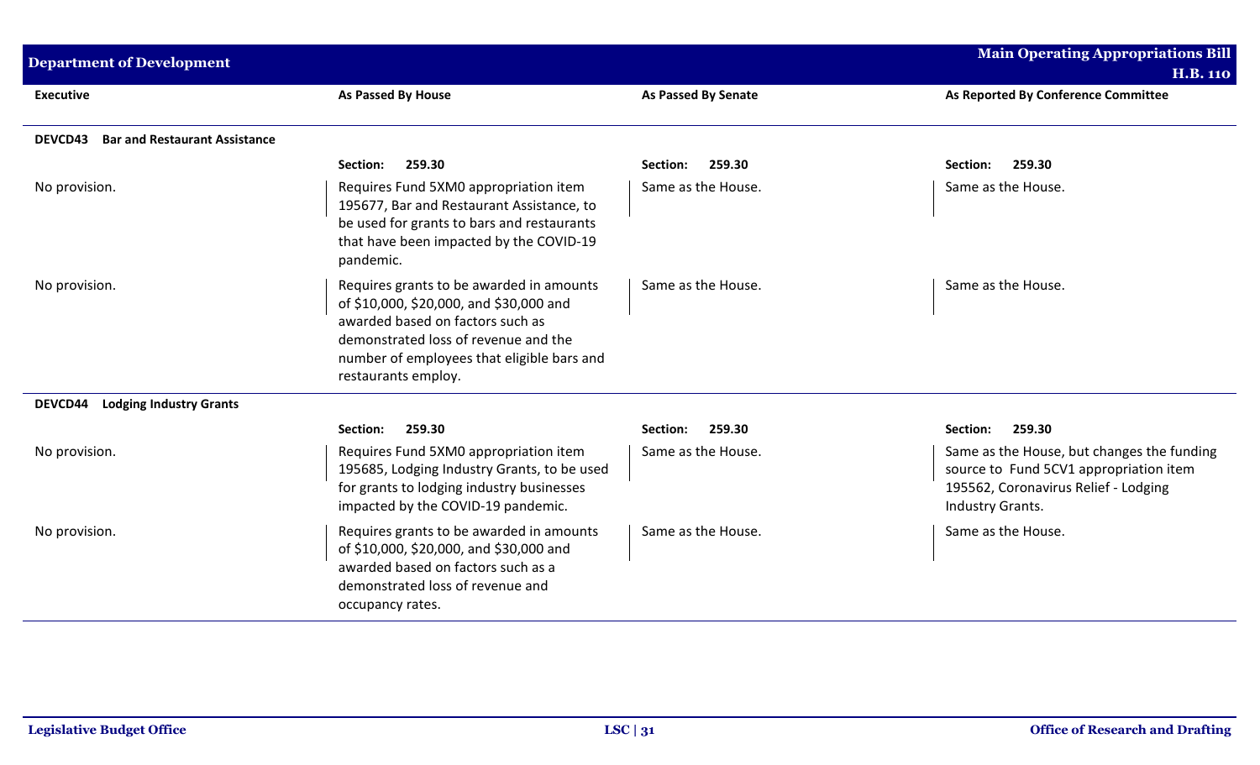| <b>Department of Development</b>                       |                                                                                                                                                                                                                                      |                            | <b>Main Operating Appropriations Bill</b><br><b>H.B. 110</b>                                                                                     |
|--------------------------------------------------------|--------------------------------------------------------------------------------------------------------------------------------------------------------------------------------------------------------------------------------------|----------------------------|--------------------------------------------------------------------------------------------------------------------------------------------------|
| <b>Executive</b>                                       | As Passed By House                                                                                                                                                                                                                   | <b>As Passed By Senate</b> | As Reported By Conference Committee                                                                                                              |
| <b>Bar and Restaurant Assistance</b><br><b>DEVCD43</b> |                                                                                                                                                                                                                                      |                            |                                                                                                                                                  |
|                                                        | 259.30<br>Section:                                                                                                                                                                                                                   | Section:<br>259.30         | 259.30<br>Section:                                                                                                                               |
| No provision.                                          | Requires Fund 5XM0 appropriation item<br>195677, Bar and Restaurant Assistance, to<br>be used for grants to bars and restaurants<br>that have been impacted by the COVID-19<br>pandemic.                                             | Same as the House.         | Same as the House.                                                                                                                               |
| No provision.                                          | Requires grants to be awarded in amounts<br>of \$10,000, \$20,000, and \$30,000 and<br>awarded based on factors such as<br>demonstrated loss of revenue and the<br>number of employees that eligible bars and<br>restaurants employ. | Same as the House.         | Same as the House.                                                                                                                               |
| <b>Lodging Industry Grants</b><br>DEVCD44              |                                                                                                                                                                                                                                      |                            |                                                                                                                                                  |
|                                                        | 259.30<br>Section:                                                                                                                                                                                                                   | 259.30<br>Section:         | 259.30<br>Section:                                                                                                                               |
| No provision.                                          | Requires Fund 5XM0 appropriation item<br>195685, Lodging Industry Grants, to be used<br>for grants to lodging industry businesses<br>impacted by the COVID-19 pandemic.                                                              | Same as the House.         | Same as the House, but changes the funding<br>source to Fund 5CV1 appropriation item<br>195562, Coronavirus Relief - Lodging<br>Industry Grants. |
| No provision.                                          | Requires grants to be awarded in amounts<br>of \$10,000, \$20,000, and \$30,000 and<br>awarded based on factors such as a<br>demonstrated loss of revenue and<br>occupancy rates.                                                    | Same as the House.         | Same as the House.                                                                                                                               |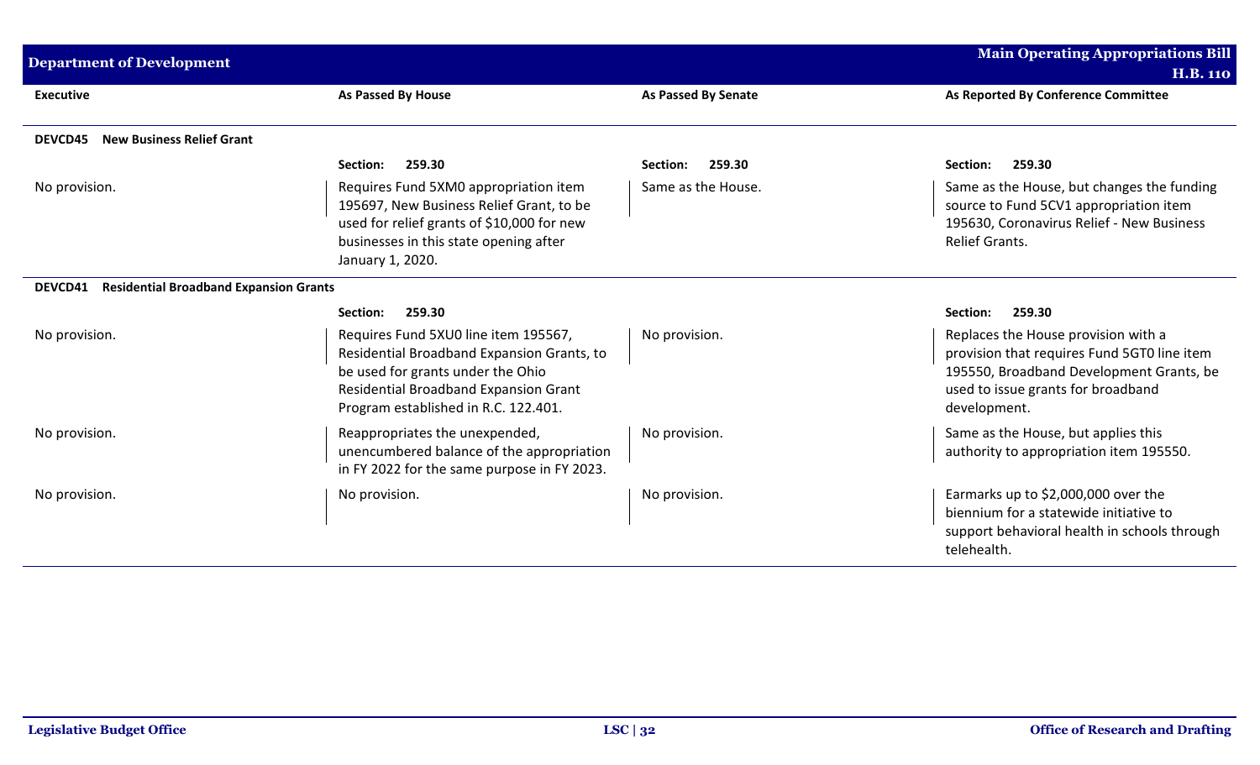| <b>Department of Development</b>                         |                                                                                                                                                                                                          |                            | <b>Main Operating Appropriations Bill</b>                                                                                                                                            |
|----------------------------------------------------------|----------------------------------------------------------------------------------------------------------------------------------------------------------------------------------------------------------|----------------------------|--------------------------------------------------------------------------------------------------------------------------------------------------------------------------------------|
|                                                          |                                                                                                                                                                                                          |                            | <b>H.B. 110</b>                                                                                                                                                                      |
| <b>Executive</b>                                         | <b>As Passed By House</b>                                                                                                                                                                                | <b>As Passed By Senate</b> | As Reported By Conference Committee                                                                                                                                                  |
| <b>New Business Relief Grant</b><br><b>DEVCD45</b>       |                                                                                                                                                                                                          |                            |                                                                                                                                                                                      |
|                                                          | Section:<br>259.30                                                                                                                                                                                       | 259.30<br>Section:         | Section:<br>259.30                                                                                                                                                                   |
| No provision.                                            | Requires Fund 5XM0 appropriation item<br>195697, New Business Relief Grant, to be<br>used for relief grants of \$10,000 for new<br>businesses in this state opening after<br>January 1, 2020.            | Same as the House.         | Same as the House, but changes the funding<br>source to Fund 5CV1 appropriation item<br>195630, Coronavirus Relief - New Business<br><b>Relief Grants.</b>                           |
| <b>Residential Broadband Expansion Grants</b><br>DEVCD41 |                                                                                                                                                                                                          |                            |                                                                                                                                                                                      |
|                                                          | Section:<br>259.30                                                                                                                                                                                       |                            | Section:<br>259.30                                                                                                                                                                   |
| No provision.                                            | Requires Fund 5XU0 line item 195567,<br>Residential Broadband Expansion Grants, to<br>be used for grants under the Ohio<br>Residential Broadband Expansion Grant<br>Program established in R.C. 122.401. | No provision.              | Replaces the House provision with a<br>provision that requires Fund 5GT0 line item<br>195550, Broadband Development Grants, be<br>used to issue grants for broadband<br>development. |
| No provision.                                            | Reappropriates the unexpended,<br>unencumbered balance of the appropriation<br>in FY 2022 for the same purpose in FY 2023.                                                                               | No provision.              | Same as the House, but applies this<br>authority to appropriation item 195550.                                                                                                       |
| No provision.                                            | No provision.                                                                                                                                                                                            | No provision.              | Earmarks up to \$2,000,000 over the<br>biennium for a statewide initiative to<br>support behavioral health in schools through<br>telehealth.                                         |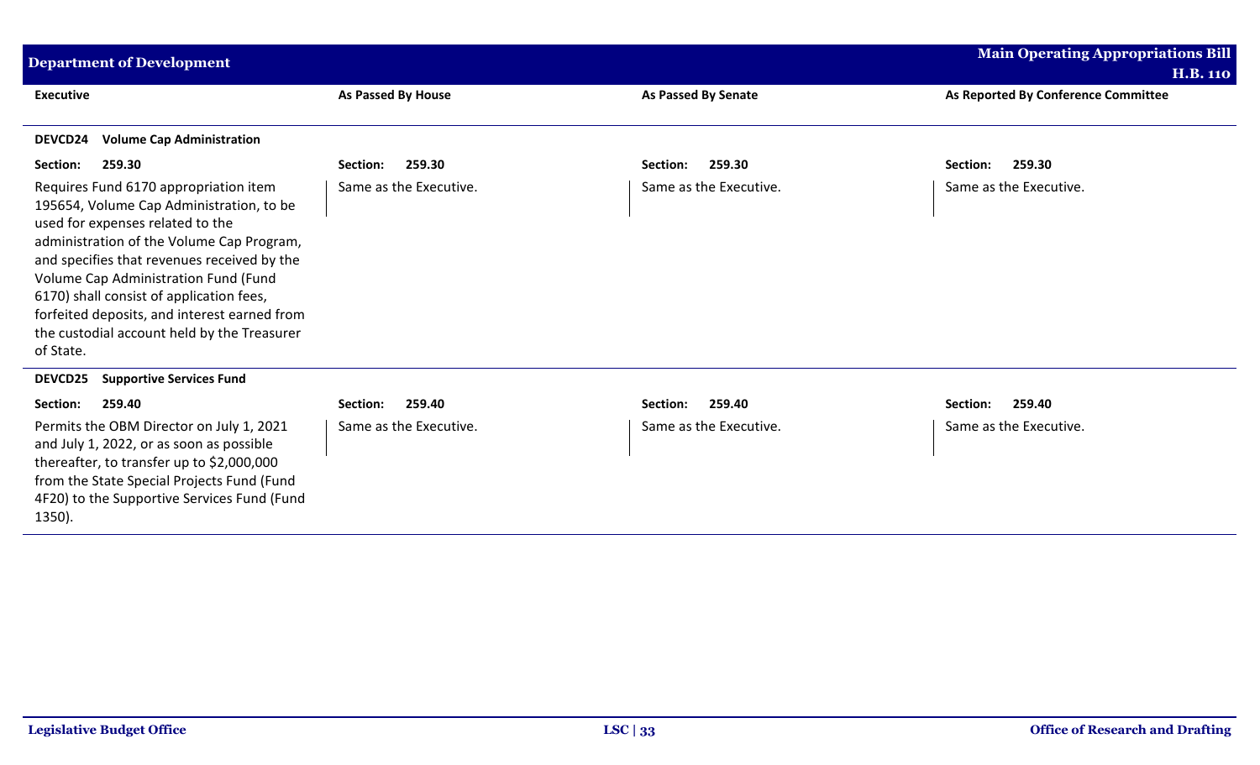| <b>Department of Development</b>                                                                                                                                                                                                                                                                                                                                                                                  |                        |                            | <b>Main Operating Appropriations Bill</b> |
|-------------------------------------------------------------------------------------------------------------------------------------------------------------------------------------------------------------------------------------------------------------------------------------------------------------------------------------------------------------------------------------------------------------------|------------------------|----------------------------|-------------------------------------------|
|                                                                                                                                                                                                                                                                                                                                                                                                                   |                        |                            | <b>H.B. 110</b>                           |
| <b>Executive</b>                                                                                                                                                                                                                                                                                                                                                                                                  | As Passed By House     | <b>As Passed By Senate</b> | As Reported By Conference Committee       |
| <b>Volume Cap Administration</b><br><b>DEVCD24</b>                                                                                                                                                                                                                                                                                                                                                                |                        |                            |                                           |
| 259.30<br>Section:                                                                                                                                                                                                                                                                                                                                                                                                | 259.30<br>Section:     | 259.30<br>Section:         | 259.30<br>Section:                        |
| Requires Fund 6170 appropriation item<br>195654, Volume Cap Administration, to be<br>used for expenses related to the<br>administration of the Volume Cap Program,<br>and specifies that revenues received by the<br>Volume Cap Administration Fund (Fund<br>6170) shall consist of application fees,<br>forfeited deposits, and interest earned from<br>the custodial account held by the Treasurer<br>of State. | Same as the Executive. | Same as the Executive.     | Same as the Executive.                    |
| <b>Supportive Services Fund</b><br><b>DEVCD25</b>                                                                                                                                                                                                                                                                                                                                                                 |                        |                            |                                           |
| 259.40<br>Section:                                                                                                                                                                                                                                                                                                                                                                                                | 259.40<br>Section:     | 259.40<br>Section:         | 259.40<br>Section:                        |
| Permits the OBM Director on July 1, 2021<br>and July 1, 2022, or as soon as possible<br>thereafter, to transfer up to \$2,000,000<br>from the State Special Projects Fund (Fund<br>4F20) to the Supportive Services Fund (Fund<br>1350).                                                                                                                                                                          | Same as the Executive. | Same as the Executive.     | Same as the Executive.                    |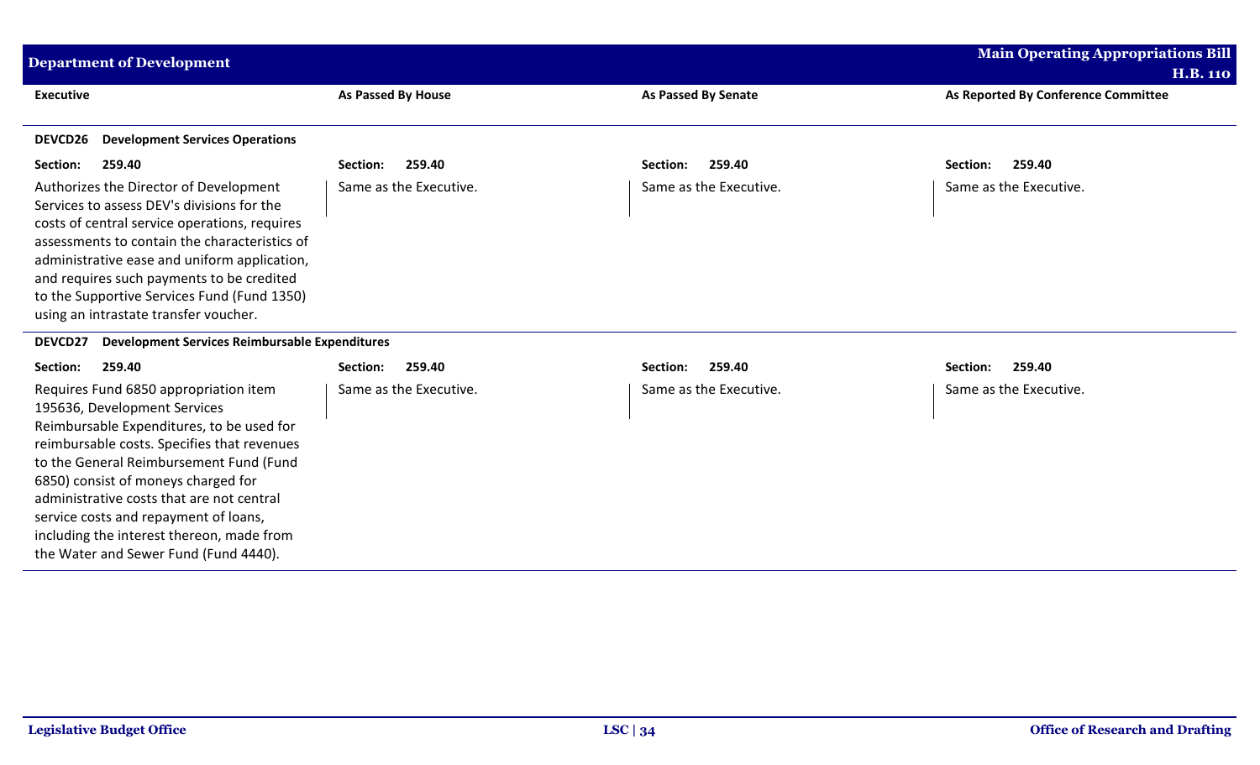| <b>Department of Development</b>                                                                                                                                                                                                                                                                                                                                                                                                |                           |                            | <b>Main Operating Appropriations Bill</b> |
|---------------------------------------------------------------------------------------------------------------------------------------------------------------------------------------------------------------------------------------------------------------------------------------------------------------------------------------------------------------------------------------------------------------------------------|---------------------------|----------------------------|-------------------------------------------|
|                                                                                                                                                                                                                                                                                                                                                                                                                                 |                           |                            | <b>H.B. 110</b>                           |
| <b>Executive</b>                                                                                                                                                                                                                                                                                                                                                                                                                | <b>As Passed By House</b> | <b>As Passed By Senate</b> | As Reported By Conference Committee       |
| <b>Development Services Operations</b><br>DEVCD26                                                                                                                                                                                                                                                                                                                                                                               |                           |                            |                                           |
|                                                                                                                                                                                                                                                                                                                                                                                                                                 |                           |                            |                                           |
| Section:<br>259.40                                                                                                                                                                                                                                                                                                                                                                                                              | 259.40<br>Section:        | 259.40<br>Section:         | 259.40<br>Section:                        |
| Authorizes the Director of Development<br>Services to assess DEV's divisions for the<br>costs of central service operations, requires<br>assessments to contain the characteristics of<br>administrative ease and uniform application,<br>and requires such payments to be credited<br>to the Supportive Services Fund (Fund 1350)<br>using an intrastate transfer voucher.                                                     | Same as the Executive.    | Same as the Executive.     | Same as the Executive.                    |
| DEVCD27<br><b>Development Services Reimbursable Expenditures</b>                                                                                                                                                                                                                                                                                                                                                                |                           |                            |                                           |
| Section:<br>259.40                                                                                                                                                                                                                                                                                                                                                                                                              | 259.40<br>Section:        | 259.40<br>Section:         | 259.40<br>Section:                        |
| Requires Fund 6850 appropriation item<br>195636, Development Services<br>Reimbursable Expenditures, to be used for<br>reimbursable costs. Specifies that revenues<br>to the General Reimbursement Fund (Fund<br>6850) consist of moneys charged for<br>administrative costs that are not central<br>service costs and repayment of loans,<br>including the interest thereon, made from<br>the Water and Sewer Fund (Fund 4440). | Same as the Executive.    | Same as the Executive.     | Same as the Executive.                    |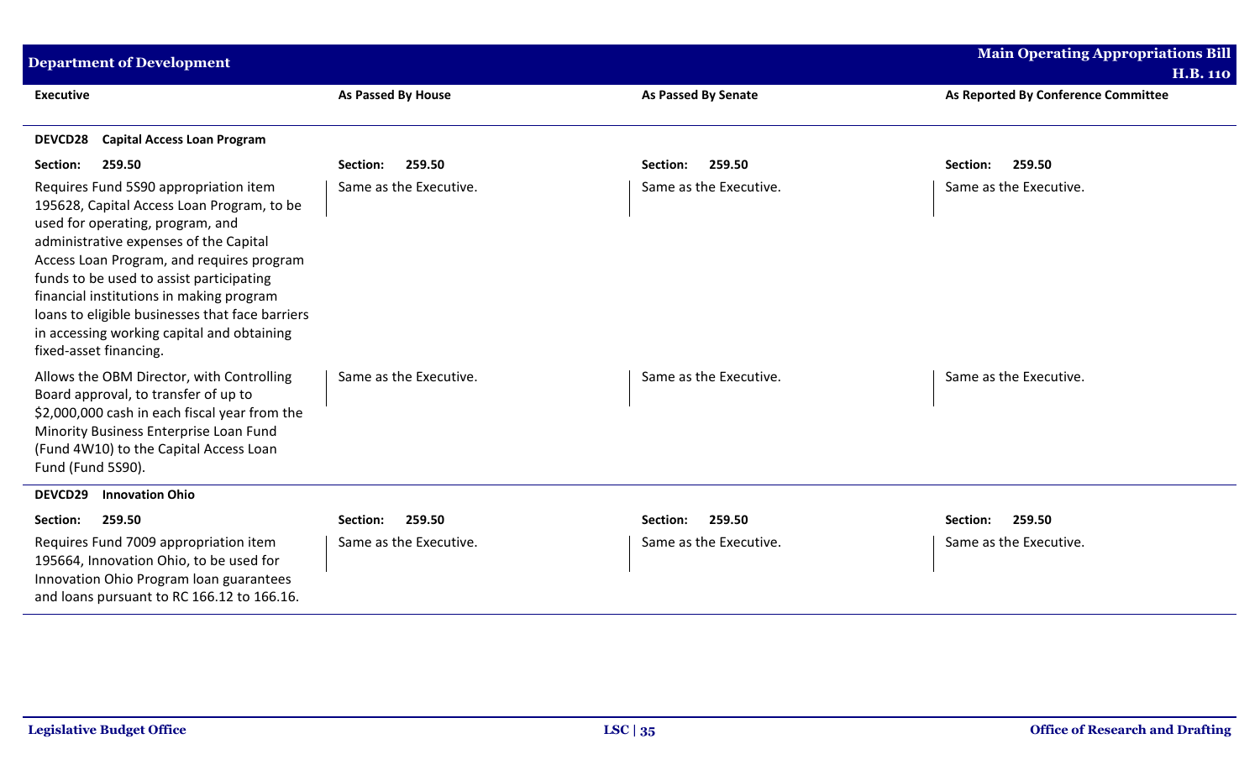| <b>Department of Development</b>                                                                                                                                                                                                                                                                                                                                                                                                  |                           |                            | <b>Main Operating Appropriations Bill</b> |
|-----------------------------------------------------------------------------------------------------------------------------------------------------------------------------------------------------------------------------------------------------------------------------------------------------------------------------------------------------------------------------------------------------------------------------------|---------------------------|----------------------------|-------------------------------------------|
|                                                                                                                                                                                                                                                                                                                                                                                                                                   |                           |                            | <b>H.B. 110</b>                           |
| <b>Executive</b>                                                                                                                                                                                                                                                                                                                                                                                                                  | <b>As Passed By House</b> | <b>As Passed By Senate</b> | As Reported By Conference Committee       |
| <b>DEVCD28</b><br><b>Capital Access Loan Program</b>                                                                                                                                                                                                                                                                                                                                                                              |                           |                            |                                           |
| 259.50<br>Section:                                                                                                                                                                                                                                                                                                                                                                                                                | 259.50<br>Section:        | 259.50<br>Section:         | 259.50<br>Section:                        |
| Requires Fund 5S90 appropriation item<br>195628, Capital Access Loan Program, to be<br>used for operating, program, and<br>administrative expenses of the Capital<br>Access Loan Program, and requires program<br>funds to be used to assist participating<br>financial institutions in making program<br>loans to eligible businesses that face barriers<br>in accessing working capital and obtaining<br>fixed-asset financing. | Same as the Executive.    | Same as the Executive.     | Same as the Executive.                    |
| Allows the OBM Director, with Controlling<br>Board approval, to transfer of up to<br>\$2,000,000 cash in each fiscal year from the<br>Minority Business Enterprise Loan Fund<br>(Fund 4W10) to the Capital Access Loan<br>Fund (Fund 5S90).                                                                                                                                                                                       | Same as the Executive.    | Same as the Executive.     | Same as the Executive.                    |
| DEVCD29<br><b>Innovation Ohio</b>                                                                                                                                                                                                                                                                                                                                                                                                 |                           |                            |                                           |
| Section:<br>259.50                                                                                                                                                                                                                                                                                                                                                                                                                | 259.50<br>Section:        | 259.50<br>Section:         | 259.50<br>Section:                        |
| Requires Fund 7009 appropriation item<br>195664, Innovation Ohio, to be used for<br>Innovation Ohio Program loan guarantees<br>and loans pursuant to RC 166.12 to 166.16.                                                                                                                                                                                                                                                         | Same as the Executive.    | Same as the Executive.     | Same as the Executive.                    |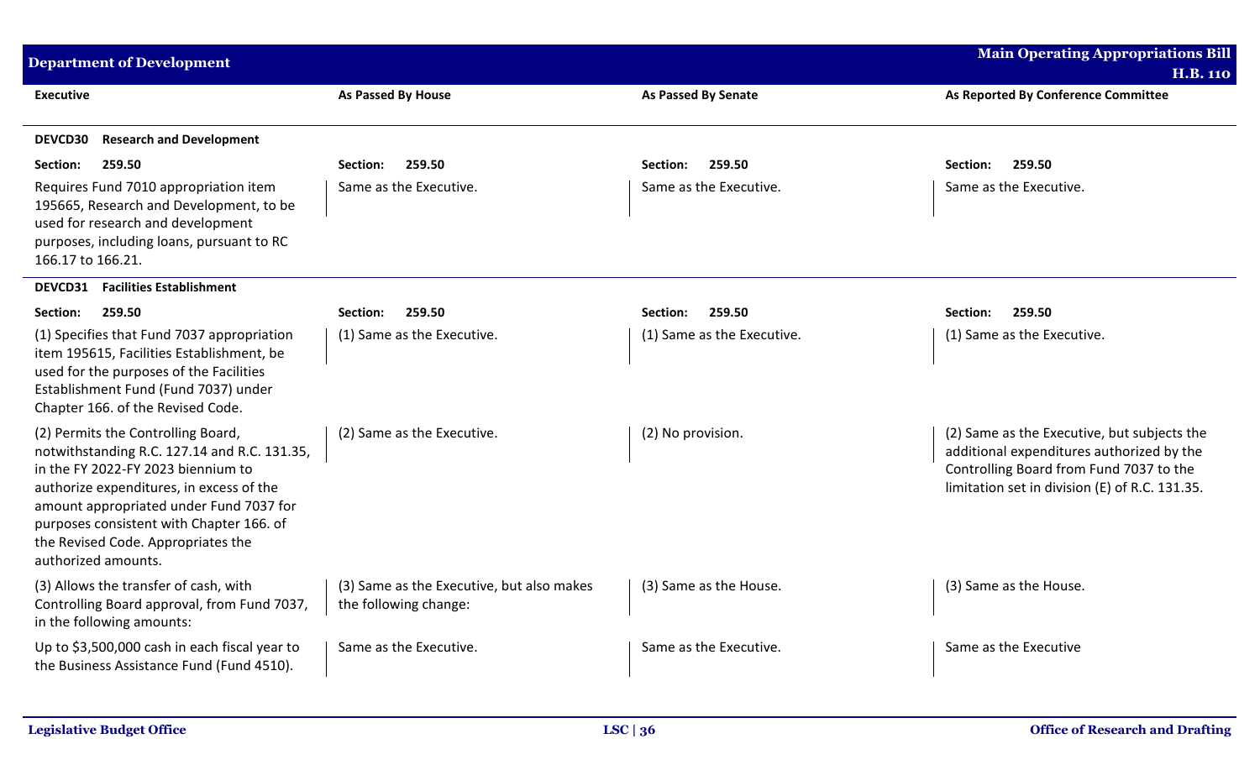| <b>Department of Development</b>                                                                                                                                                                                                                                                                                         |                                                                    |                            | <b>Main Operating Appropriations Bill</b>                                                                                                                                             |
|--------------------------------------------------------------------------------------------------------------------------------------------------------------------------------------------------------------------------------------------------------------------------------------------------------------------------|--------------------------------------------------------------------|----------------------------|---------------------------------------------------------------------------------------------------------------------------------------------------------------------------------------|
| <b>Executive</b>                                                                                                                                                                                                                                                                                                         | As Passed By House                                                 |                            | <b>H.B. 110</b><br>As Reported By Conference Committee                                                                                                                                |
|                                                                                                                                                                                                                                                                                                                          |                                                                    | As Passed By Senate        |                                                                                                                                                                                       |
| <b>Research and Development</b><br><b>DEVCD30</b>                                                                                                                                                                                                                                                                        |                                                                    |                            |                                                                                                                                                                                       |
| 259.50<br>Section:                                                                                                                                                                                                                                                                                                       | 259.50<br>Section:                                                 | 259.50<br>Section:         | 259.50<br>Section:                                                                                                                                                                    |
| Requires Fund 7010 appropriation item<br>195665, Research and Development, to be<br>used for research and development<br>purposes, including loans, pursuant to RC<br>166.17 to 166.21.                                                                                                                                  | Same as the Executive.                                             | Same as the Executive.     | Same as the Executive.                                                                                                                                                                |
| DEVCD31<br><b>Facilities Establishment</b>                                                                                                                                                                                                                                                                               |                                                                    |                            |                                                                                                                                                                                       |
| Section:<br>259.50                                                                                                                                                                                                                                                                                                       | 259.50<br>Section:                                                 | Section:<br>259.50         | 259.50<br>Section:                                                                                                                                                                    |
| (1) Specifies that Fund 7037 appropriation<br>item 195615, Facilities Establishment, be<br>used for the purposes of the Facilities<br>Establishment Fund (Fund 7037) under<br>Chapter 166. of the Revised Code.                                                                                                          | (1) Same as the Executive.                                         | (1) Same as the Executive. | (1) Same as the Executive.                                                                                                                                                            |
| (2) Permits the Controlling Board,<br>notwithstanding R.C. 127.14 and R.C. 131.35,<br>in the FY 2022-FY 2023 biennium to<br>authorize expenditures, in excess of the<br>amount appropriated under Fund 7037 for<br>purposes consistent with Chapter 166. of<br>the Revised Code. Appropriates the<br>authorized amounts. | (2) Same as the Executive.                                         | (2) No provision.          | (2) Same as the Executive, but subjects the<br>additional expenditures authorized by the<br>Controlling Board from Fund 7037 to the<br>limitation set in division (E) of R.C. 131.35. |
| (3) Allows the transfer of cash, with<br>Controlling Board approval, from Fund 7037,<br>in the following amounts:                                                                                                                                                                                                        | (3) Same as the Executive, but also makes<br>the following change: | (3) Same as the House.     | (3) Same as the House.                                                                                                                                                                |
| Up to \$3,500,000 cash in each fiscal year to<br>the Business Assistance Fund (Fund 4510).                                                                                                                                                                                                                               | Same as the Executive.                                             | Same as the Executive.     | Same as the Executive                                                                                                                                                                 |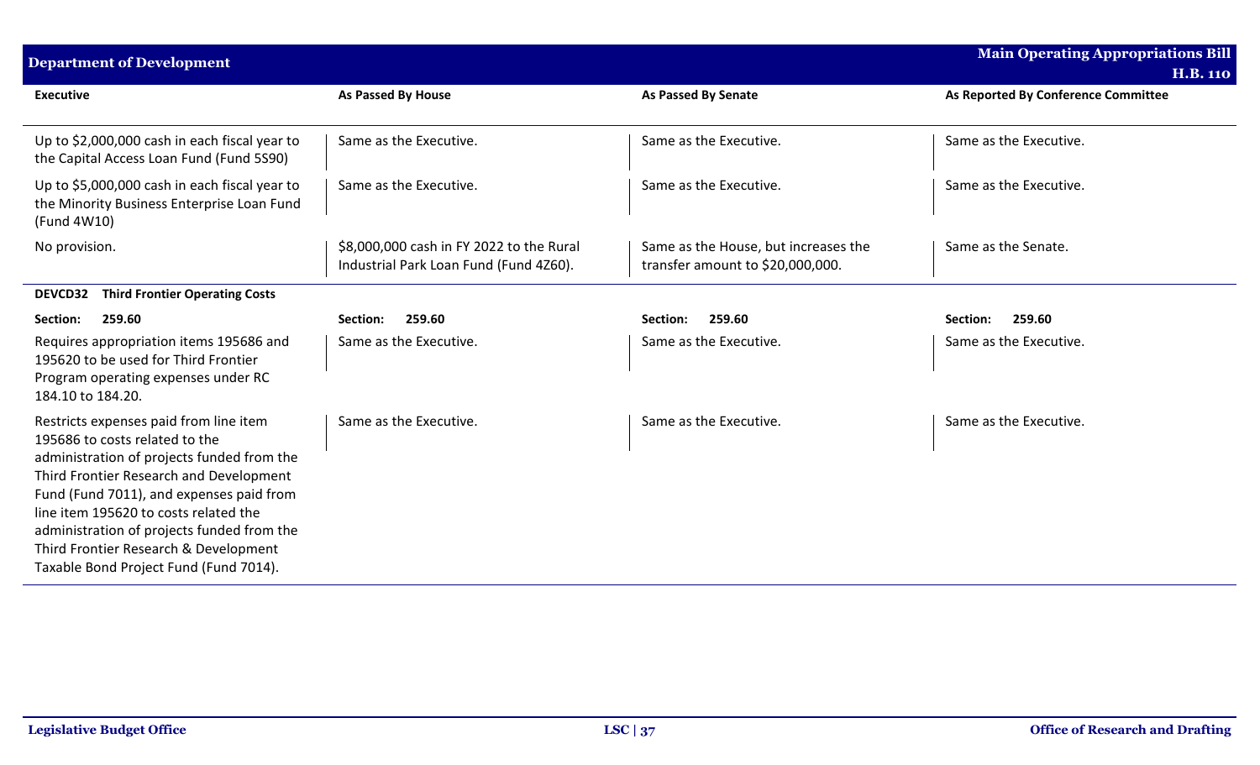| <b>Department of Development</b>                                                                                                                                                                                                                                                                                                                                                        |                                                                                    |                                                                          | <b>Main Operating Appropriations Bill</b><br><b>H.B. 110</b> |
|-----------------------------------------------------------------------------------------------------------------------------------------------------------------------------------------------------------------------------------------------------------------------------------------------------------------------------------------------------------------------------------------|------------------------------------------------------------------------------------|--------------------------------------------------------------------------|--------------------------------------------------------------|
| <b>Executive</b>                                                                                                                                                                                                                                                                                                                                                                        | As Passed By House                                                                 | <b>As Passed By Senate</b>                                               | As Reported By Conference Committee                          |
| Up to \$2,000,000 cash in each fiscal year to<br>the Capital Access Loan Fund (Fund 5S90)                                                                                                                                                                                                                                                                                               | Same as the Executive.                                                             | Same as the Executive.                                                   | Same as the Executive.                                       |
| Up to \$5,000,000 cash in each fiscal year to<br>the Minority Business Enterprise Loan Fund<br>(Fund 4W10)                                                                                                                                                                                                                                                                              | Same as the Executive.                                                             | Same as the Executive.                                                   | Same as the Executive.                                       |
| No provision.                                                                                                                                                                                                                                                                                                                                                                           | \$8,000,000 cash in FY 2022 to the Rural<br>Industrial Park Loan Fund (Fund 4Z60). | Same as the House, but increases the<br>transfer amount to \$20,000,000. | Same as the Senate.                                          |
| <b>Third Frontier Operating Costs</b><br><b>DEVCD32</b>                                                                                                                                                                                                                                                                                                                                 |                                                                                    |                                                                          |                                                              |
| 259.60<br>Section:                                                                                                                                                                                                                                                                                                                                                                      | 259.60<br>Section:                                                                 | 259.60<br>Section:                                                       | 259.60<br>Section:                                           |
| Requires appropriation items 195686 and<br>195620 to be used for Third Frontier<br>Program operating expenses under RC<br>184.10 to 184.20.                                                                                                                                                                                                                                             | Same as the Executive.                                                             | Same as the Executive.                                                   | Same as the Executive.                                       |
| Restricts expenses paid from line item<br>195686 to costs related to the<br>administration of projects funded from the<br>Third Frontier Research and Development<br>Fund (Fund 7011), and expenses paid from<br>line item 195620 to costs related the<br>administration of projects funded from the<br>Third Frontier Research & Development<br>Taxable Bond Project Fund (Fund 7014). | Same as the Executive.                                                             | Same as the Executive.                                                   | Same as the Executive.                                       |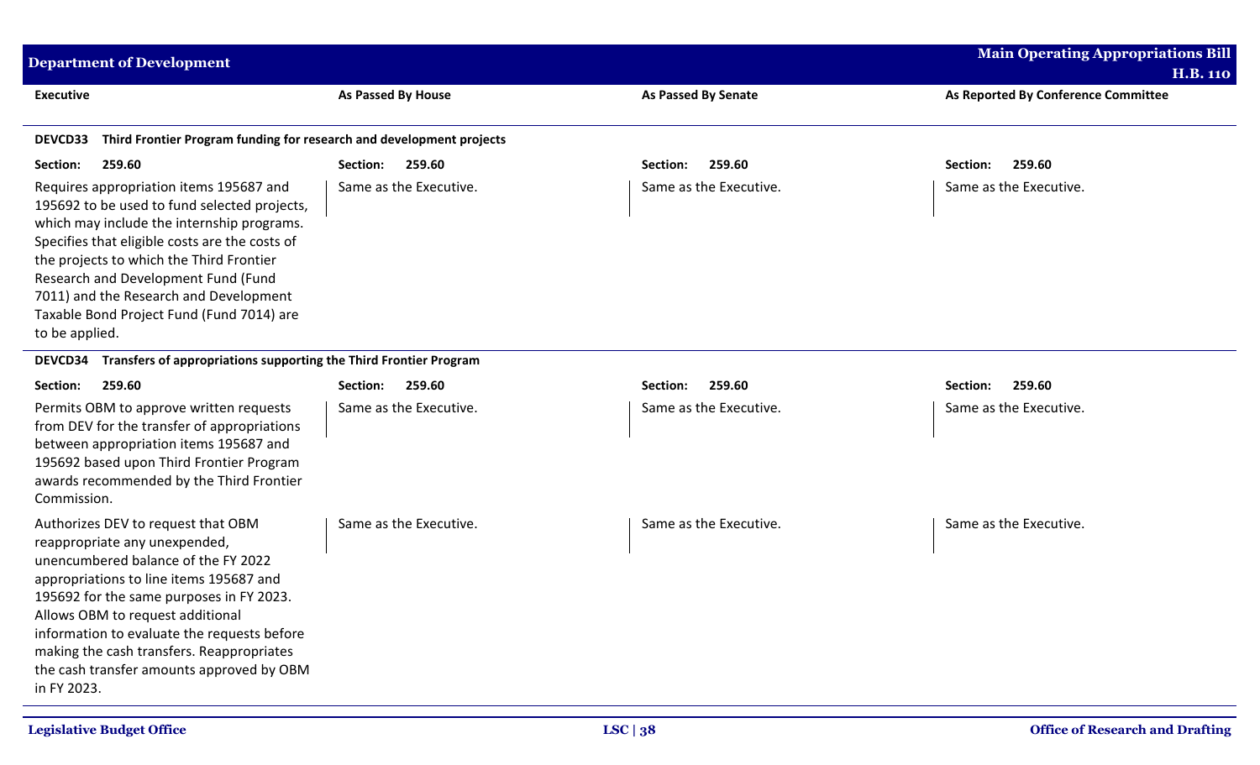| <b>Department of Development</b>                                                                                                                                                                                                                                                                                                                                                              |                           |                            | <b>Main Operating Appropriations Bill</b>              |
|-----------------------------------------------------------------------------------------------------------------------------------------------------------------------------------------------------------------------------------------------------------------------------------------------------------------------------------------------------------------------------------------------|---------------------------|----------------------------|--------------------------------------------------------|
| <b>Executive</b>                                                                                                                                                                                                                                                                                                                                                                              | <b>As Passed By House</b> | <b>As Passed By Senate</b> | <b>H.B. 110</b><br>As Reported By Conference Committee |
| Third Frontier Program funding for research and development projects<br><b>DEVCD33</b>                                                                                                                                                                                                                                                                                                        |                           |                            |                                                        |
| Section:<br>259.60                                                                                                                                                                                                                                                                                                                                                                            | 259.60<br>Section:        | 259.60<br>Section:         | 259.60<br>Section:                                     |
| Requires appropriation items 195687 and<br>195692 to be used to fund selected projects,<br>which may include the internship programs.<br>Specifies that eligible costs are the costs of<br>the projects to which the Third Frontier<br>Research and Development Fund (Fund<br>7011) and the Research and Development<br>Taxable Bond Project Fund (Fund 7014) are<br>to be applied.           | Same as the Executive.    | Same as the Executive.     | Same as the Executive.                                 |
| Transfers of appropriations supporting the Third Frontier Program<br><b>DEVCD34</b>                                                                                                                                                                                                                                                                                                           |                           |                            |                                                        |
| Section:<br>259.60                                                                                                                                                                                                                                                                                                                                                                            | 259.60<br>Section:        | 259.60<br>Section:         | 259.60<br>Section:                                     |
| Permits OBM to approve written requests<br>from DEV for the transfer of appropriations<br>between appropriation items 195687 and<br>195692 based upon Third Frontier Program<br>awards recommended by the Third Frontier<br>Commission.                                                                                                                                                       | Same as the Executive.    | Same as the Executive.     | Same as the Executive.                                 |
| Authorizes DEV to request that OBM<br>reappropriate any unexpended,<br>unencumbered balance of the FY 2022<br>appropriations to line items 195687 and<br>195692 for the same purposes in FY 2023.<br>Allows OBM to request additional<br>information to evaluate the requests before<br>making the cash transfers. Reappropriates<br>the cash transfer amounts approved by OBM<br>in FY 2023. | Same as the Executive.    | Same as the Executive.     | Same as the Executive.                                 |

 $\mathbf{r}$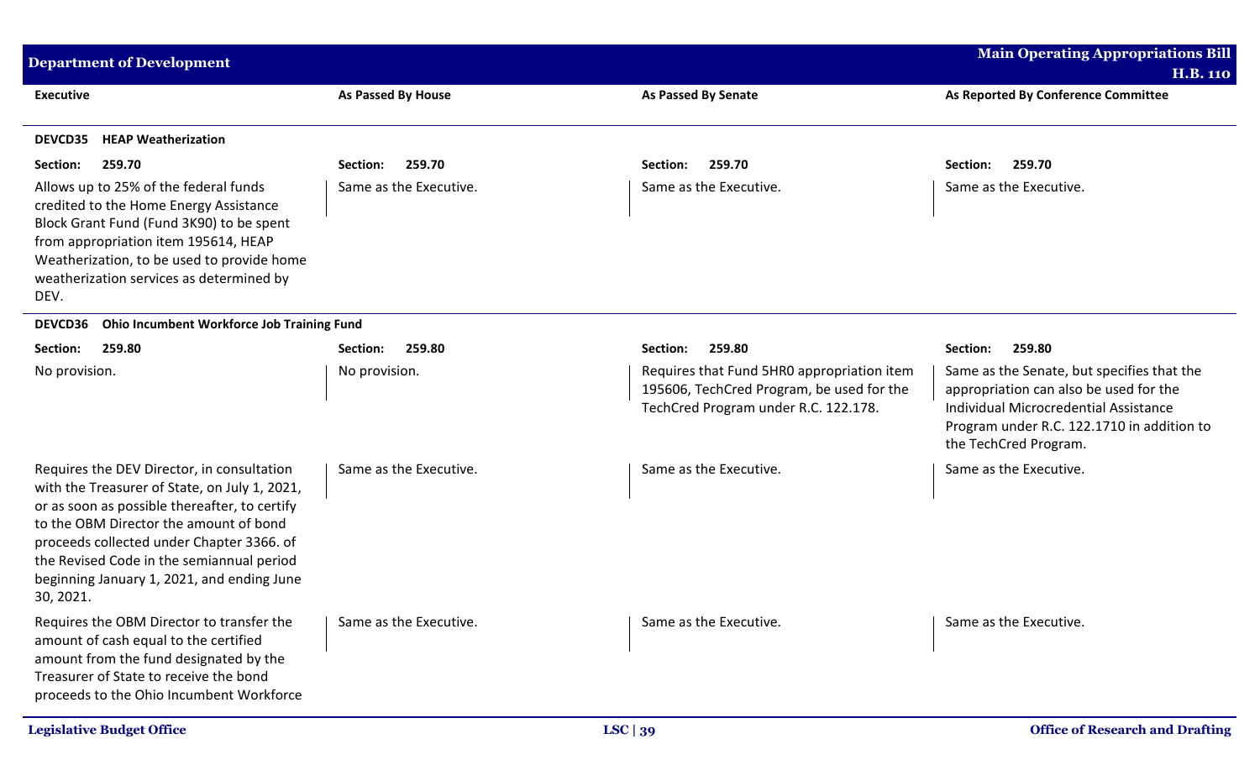| <b>Department of Development</b>                                                                                                                                                                                                                                                                                                            |                           |                                                                                                                                 | <b>Main Operating Appropriations Bill</b><br><b>H.B. 110</b>                                                                                                                                         |
|---------------------------------------------------------------------------------------------------------------------------------------------------------------------------------------------------------------------------------------------------------------------------------------------------------------------------------------------|---------------------------|---------------------------------------------------------------------------------------------------------------------------------|------------------------------------------------------------------------------------------------------------------------------------------------------------------------------------------------------|
| <b>Executive</b>                                                                                                                                                                                                                                                                                                                            | <b>As Passed By House</b> | <b>As Passed By Senate</b>                                                                                                      | As Reported By Conference Committee                                                                                                                                                                  |
| <b>HEAP Weatherization</b><br><b>DEVCD35</b>                                                                                                                                                                                                                                                                                                |                           |                                                                                                                                 |                                                                                                                                                                                                      |
| 259.70<br>Section:                                                                                                                                                                                                                                                                                                                          | 259.70<br>Section:        | 259.70<br>Section:                                                                                                              | 259.70<br>Section:                                                                                                                                                                                   |
| Allows up to 25% of the federal funds<br>credited to the Home Energy Assistance<br>Block Grant Fund (Fund 3K90) to be spent<br>from appropriation item 195614, HEAP<br>Weatherization, to be used to provide home<br>weatherization services as determined by<br>DEV.                                                                       | Same as the Executive.    | Same as the Executive.                                                                                                          | Same as the Executive.                                                                                                                                                                               |
| Ohio Incumbent Workforce Job Training Fund<br><b>DEVCD36</b>                                                                                                                                                                                                                                                                                |                           |                                                                                                                                 |                                                                                                                                                                                                      |
| Section:<br>259.80                                                                                                                                                                                                                                                                                                                          | 259.80<br>Section:        | 259.80<br>Section:                                                                                                              | 259.80<br>Section:                                                                                                                                                                                   |
| No provision.                                                                                                                                                                                                                                                                                                                               | No provision.             | Requires that Fund 5HR0 appropriation item<br>195606, TechCred Program, be used for the<br>TechCred Program under R.C. 122.178. | Same as the Senate, but specifies that the<br>appropriation can also be used for the<br>Individual Microcredential Assistance<br>Program under R.C. 122.1710 in addition to<br>the TechCred Program. |
| Requires the DEV Director, in consultation<br>with the Treasurer of State, on July 1, 2021,<br>or as soon as possible thereafter, to certify<br>to the OBM Director the amount of bond<br>proceeds collected under Chapter 3366. of<br>the Revised Code in the semiannual period<br>beginning January 1, 2021, and ending June<br>30, 2021. | Same as the Executive.    | Same as the Executive.                                                                                                          | Same as the Executive.                                                                                                                                                                               |
| Requires the OBM Director to transfer the<br>amount of cash equal to the certified<br>amount from the fund designated by the<br>Treasurer of State to receive the bond<br>proceeds to the Ohio Incumbent Workforce                                                                                                                          | Same as the Executive.    | Same as the Executive.                                                                                                          | Same as the Executive.                                                                                                                                                                               |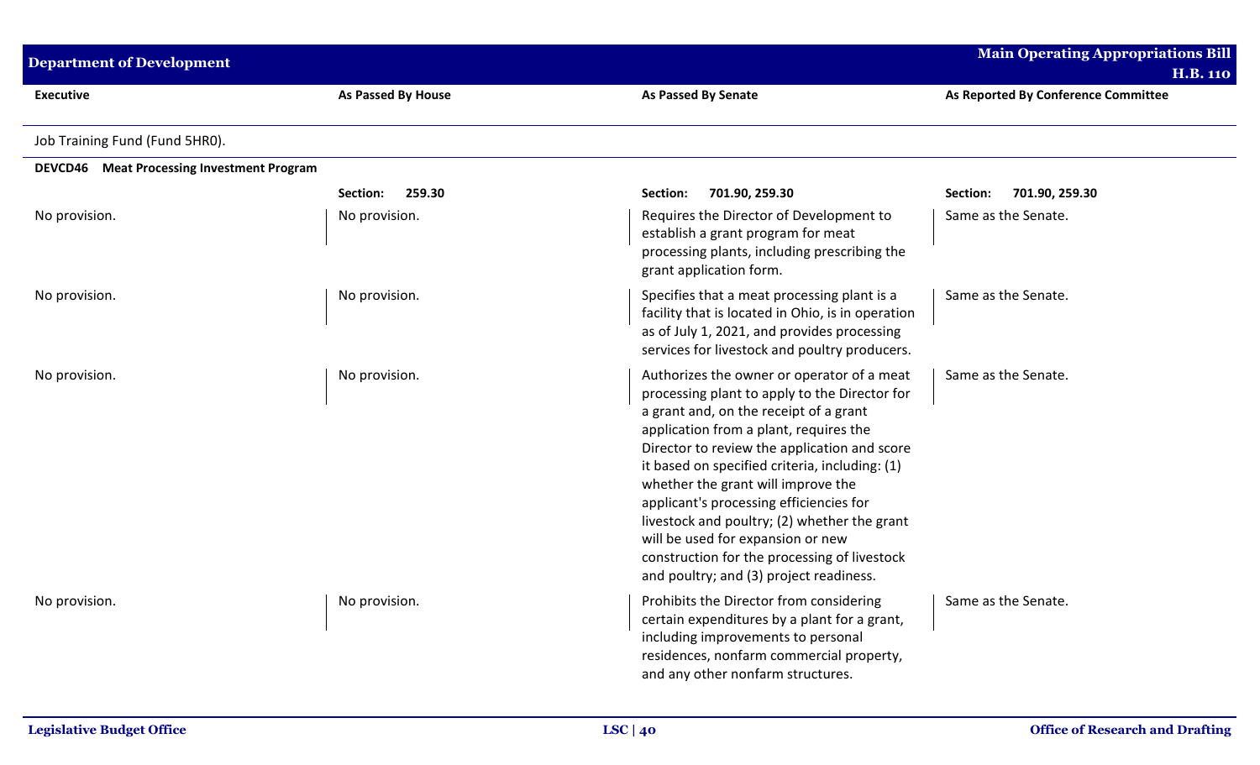| <b>Department of Development</b>           |                    |                                                                                                                                                                                                                                                                                                                                                                                                                                                                                                                                                    | <b>Main Operating Appropriations Bill</b><br><b>H.B. 110</b> |
|--------------------------------------------|--------------------|----------------------------------------------------------------------------------------------------------------------------------------------------------------------------------------------------------------------------------------------------------------------------------------------------------------------------------------------------------------------------------------------------------------------------------------------------------------------------------------------------------------------------------------------------|--------------------------------------------------------------|
| <b>Executive</b>                           | As Passed By House | <b>As Passed By Senate</b>                                                                                                                                                                                                                                                                                                                                                                                                                                                                                                                         | As Reported By Conference Committee                          |
| Job Training Fund (Fund 5HRO).             |                    |                                                                                                                                                                                                                                                                                                                                                                                                                                                                                                                                                    |                                                              |
| DEVCD46 Meat Processing Investment Program |                    |                                                                                                                                                                                                                                                                                                                                                                                                                                                                                                                                                    |                                                              |
|                                            | 259.30<br>Section: | 701.90, 259.30<br>Section:                                                                                                                                                                                                                                                                                                                                                                                                                                                                                                                         | 701.90, 259.30<br>Section:                                   |
| No provision.                              | No provision.      | Requires the Director of Development to<br>establish a grant program for meat<br>processing plants, including prescribing the<br>grant application form.                                                                                                                                                                                                                                                                                                                                                                                           | Same as the Senate.                                          |
| No provision.                              | No provision.      | Specifies that a meat processing plant is a<br>facility that is located in Ohio, is in operation<br>as of July 1, 2021, and provides processing<br>services for livestock and poultry producers.                                                                                                                                                                                                                                                                                                                                                   | Same as the Senate.                                          |
| No provision.                              | No provision.      | Authorizes the owner or operator of a meat<br>processing plant to apply to the Director for<br>a grant and, on the receipt of a grant<br>application from a plant, requires the<br>Director to review the application and score<br>it based on specified criteria, including: (1)<br>whether the grant will improve the<br>applicant's processing efficiencies for<br>livestock and poultry; (2) whether the grant<br>will be used for expansion or new<br>construction for the processing of livestock<br>and poultry; and (3) project readiness. | Same as the Senate.                                          |
| No provision.                              | No provision.      | Prohibits the Director from considering<br>certain expenditures by a plant for a grant,<br>including improvements to personal<br>residences, nonfarm commercial property,<br>and any other nonfarm structures.                                                                                                                                                                                                                                                                                                                                     | Same as the Senate.                                          |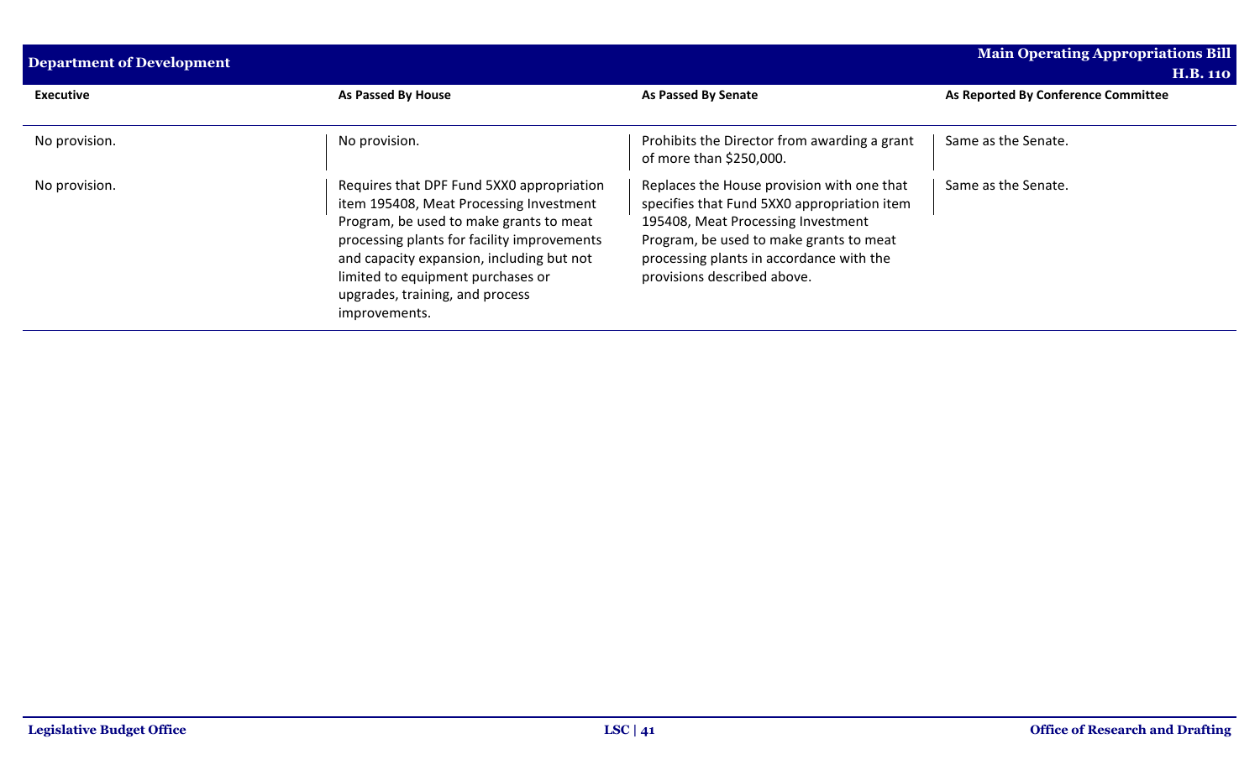| <b>Department of Development</b> |                                                                                                                                                                                                                                                                                                                      |                                                                                                                                                                                                                                                       | <b>Main Operating Appropriations Bill</b><br><b>H.B. 110</b> |
|----------------------------------|----------------------------------------------------------------------------------------------------------------------------------------------------------------------------------------------------------------------------------------------------------------------------------------------------------------------|-------------------------------------------------------------------------------------------------------------------------------------------------------------------------------------------------------------------------------------------------------|--------------------------------------------------------------|
| <b>Executive</b>                 | As Passed By House                                                                                                                                                                                                                                                                                                   | As Passed By Senate                                                                                                                                                                                                                                   | As Reported By Conference Committee                          |
| No provision.                    | No provision.                                                                                                                                                                                                                                                                                                        | Prohibits the Director from awarding a grant<br>of more than \$250,000.                                                                                                                                                                               | Same as the Senate.                                          |
| No provision.                    | Requires that DPF Fund 5XX0 appropriation<br>item 195408, Meat Processing Investment<br>Program, be used to make grants to meat<br>processing plants for facility improvements<br>and capacity expansion, including but not<br>limited to equipment purchases or<br>upgrades, training, and process<br>improvements. | Replaces the House provision with one that<br>specifies that Fund 5XX0 appropriation item<br>195408, Meat Processing Investment<br>Program, be used to make grants to meat<br>processing plants in accordance with the<br>provisions described above. | Same as the Senate.                                          |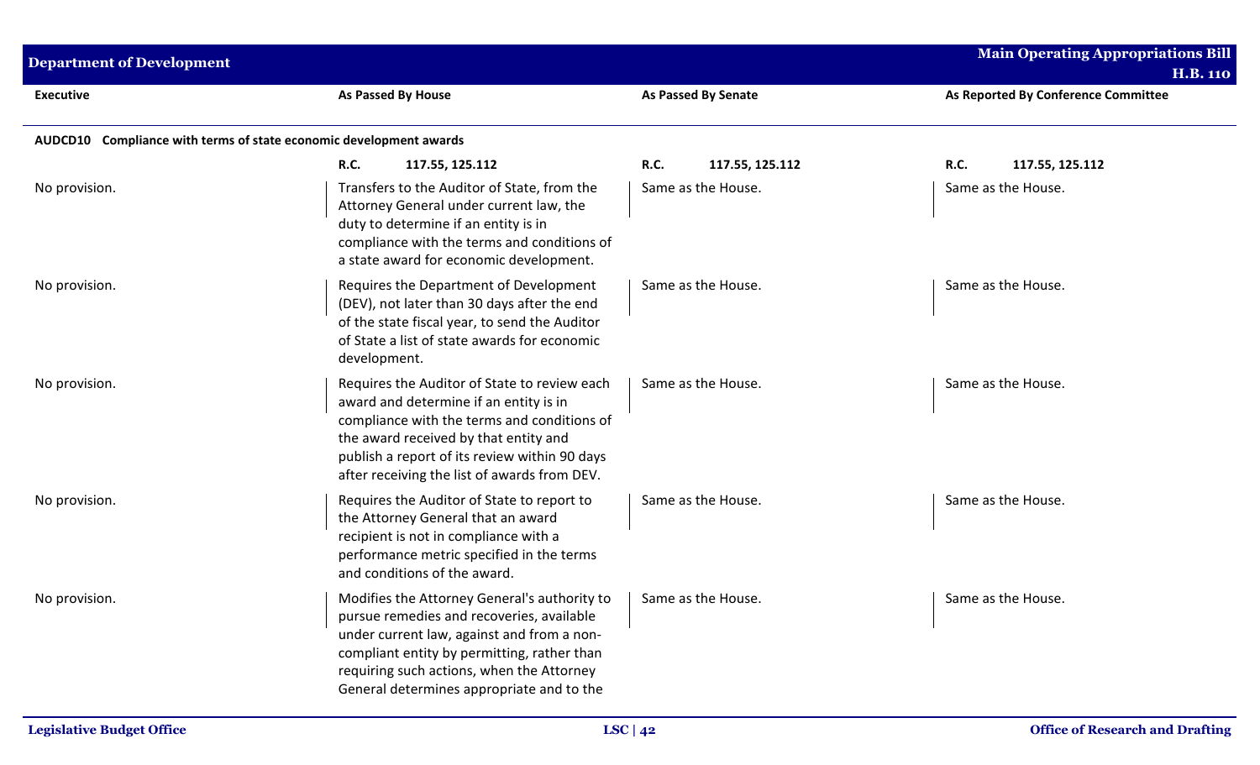| <b>Department of Development</b>                                   |                                                                                                                                                                                                                                                                                  |                                | <b>Main Operating Appropriations Bill</b><br><b>H.B. 110</b> |  |
|--------------------------------------------------------------------|----------------------------------------------------------------------------------------------------------------------------------------------------------------------------------------------------------------------------------------------------------------------------------|--------------------------------|--------------------------------------------------------------|--|
| <b>Executive</b>                                                   | <b>As Passed By House</b>                                                                                                                                                                                                                                                        | <b>As Passed By Senate</b>     | As Reported By Conference Committee                          |  |
| AUDCD10 Compliance with terms of state economic development awards |                                                                                                                                                                                                                                                                                  |                                |                                                              |  |
|                                                                    | <b>R.C.</b><br>117.55, 125.112                                                                                                                                                                                                                                                   | <b>R.C.</b><br>117.55, 125.112 | <b>R.C.</b><br>117.55, 125.112                               |  |
| No provision.                                                      | Transfers to the Auditor of State, from the<br>Attorney General under current law, the<br>duty to determine if an entity is in<br>compliance with the terms and conditions of<br>a state award for economic development.                                                         | Same as the House.             | Same as the House.                                           |  |
| No provision.                                                      | Requires the Department of Development<br>(DEV), not later than 30 days after the end<br>of the state fiscal year, to send the Auditor<br>of State a list of state awards for economic<br>development.                                                                           | Same as the House.             | Same as the House.                                           |  |
| No provision.                                                      | Requires the Auditor of State to review each<br>award and determine if an entity is in<br>compliance with the terms and conditions of<br>the award received by that entity and<br>publish a report of its review within 90 days<br>after receiving the list of awards from DEV.  | Same as the House.             | Same as the House.                                           |  |
| No provision.                                                      | Requires the Auditor of State to report to<br>the Attorney General that an award<br>recipient is not in compliance with a<br>performance metric specified in the terms<br>and conditions of the award.                                                                           | Same as the House.             | Same as the House.                                           |  |
| No provision.                                                      | Modifies the Attorney General's authority to<br>pursue remedies and recoveries, available<br>under current law, against and from a non-<br>compliant entity by permitting, rather than<br>requiring such actions, when the Attorney<br>General determines appropriate and to the | Same as the House.             | Same as the House.                                           |  |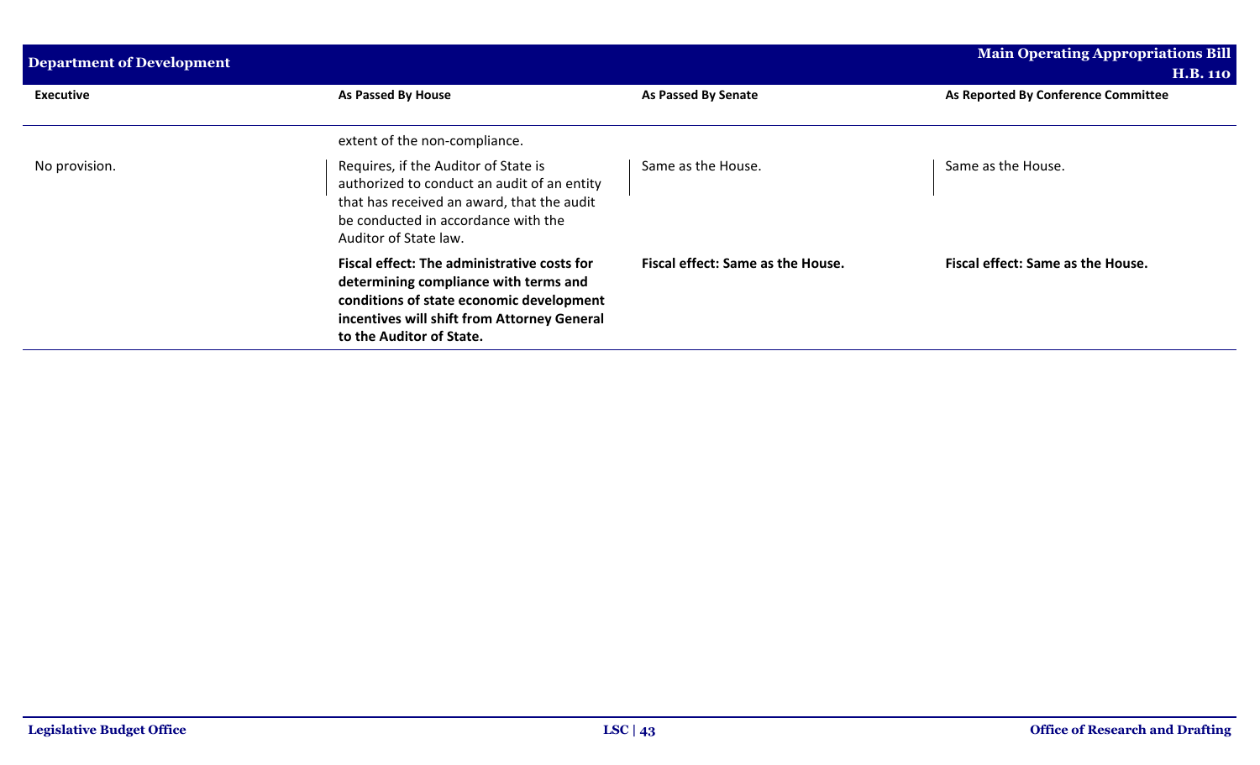| <b>Department of Development</b> |                                                                                                                                                                                                             |                                          | Main Operating Appropriations Bill<br><b>H.B. 110</b> |
|----------------------------------|-------------------------------------------------------------------------------------------------------------------------------------------------------------------------------------------------------------|------------------------------------------|-------------------------------------------------------|
| <b>Executive</b>                 | As Passed By House                                                                                                                                                                                          | <b>As Passed By Senate</b>               | As Reported By Conference Committee                   |
|                                  | extent of the non-compliance.                                                                                                                                                                               |                                          |                                                       |
| No provision.                    | Requires, if the Auditor of State is<br>authorized to conduct an audit of an entity<br>that has received an award, that the audit<br>be conducted in accordance with the<br>Auditor of State law.           | Same as the House.                       | Same as the House.                                    |
|                                  | Fiscal effect: The administrative costs for<br>determining compliance with terms and<br>conditions of state economic development<br>incentives will shift from Attorney General<br>to the Auditor of State. | <b>Fiscal effect: Same as the House.</b> | Fiscal effect: Same as the House.                     |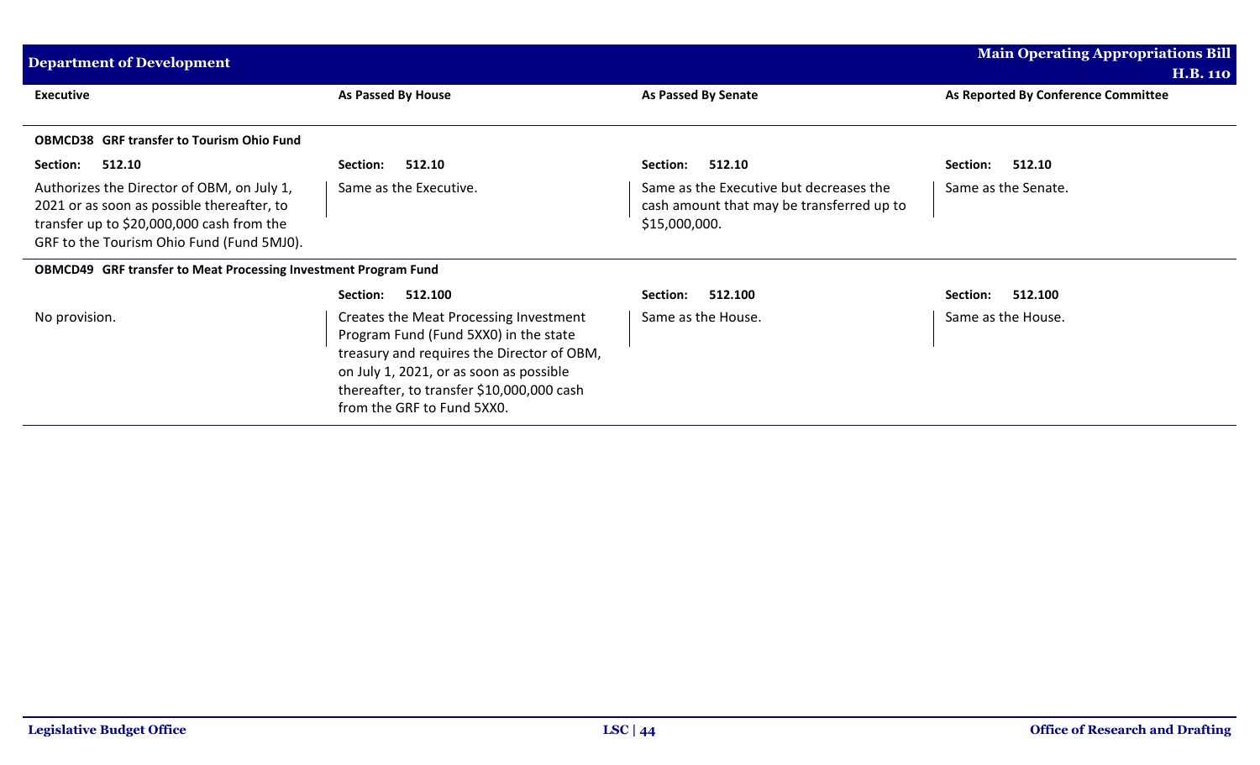| <b>Main Operating Appropriations Bill</b><br><b>Department of Development</b>                                                                                                      |                                                                                                                                                                                                                                                     |                                                                                                       |                                     |
|------------------------------------------------------------------------------------------------------------------------------------------------------------------------------------|-----------------------------------------------------------------------------------------------------------------------------------------------------------------------------------------------------------------------------------------------------|-------------------------------------------------------------------------------------------------------|-------------------------------------|
|                                                                                                                                                                                    |                                                                                                                                                                                                                                                     |                                                                                                       | <b>H.B. 110</b>                     |
| <b>Executive</b>                                                                                                                                                                   | As Passed By House                                                                                                                                                                                                                                  | <b>As Passed By Senate</b>                                                                            | As Reported By Conference Committee |
| <b>OBMCD38 GRF transfer to Tourism Ohio Fund</b>                                                                                                                                   |                                                                                                                                                                                                                                                     |                                                                                                       |                                     |
| 512.10<br>Section:                                                                                                                                                                 | 512.10<br>Section:                                                                                                                                                                                                                                  | 512.10<br>Section:                                                                                    | 512.10<br>Section:                  |
| Authorizes the Director of OBM, on July 1,<br>2021 or as soon as possible thereafter, to<br>transfer up to \$20,000,000 cash from the<br>GRF to the Tourism Ohio Fund (Fund 5MJ0). | Same as the Executive.                                                                                                                                                                                                                              | Same as the Executive but decreases the<br>cash amount that may be transferred up to<br>\$15,000,000. | Same as the Senate.                 |
| OBMCD49 GRF transfer to Meat Processing Investment Program Fund                                                                                                                    |                                                                                                                                                                                                                                                     |                                                                                                       |                                     |
|                                                                                                                                                                                    | 512.100<br>Section:                                                                                                                                                                                                                                 | 512.100<br>Section:                                                                                   | 512.100<br>Section:                 |
| No provision.                                                                                                                                                                      | Creates the Meat Processing Investment<br>Program Fund (Fund 5XX0) in the state<br>treasury and requires the Director of OBM,<br>on July 1, 2021, or as soon as possible<br>thereafter, to transfer \$10,000,000 cash<br>from the GRF to Fund 5XX0. | Same as the House.                                                                                    | Same as the House.                  |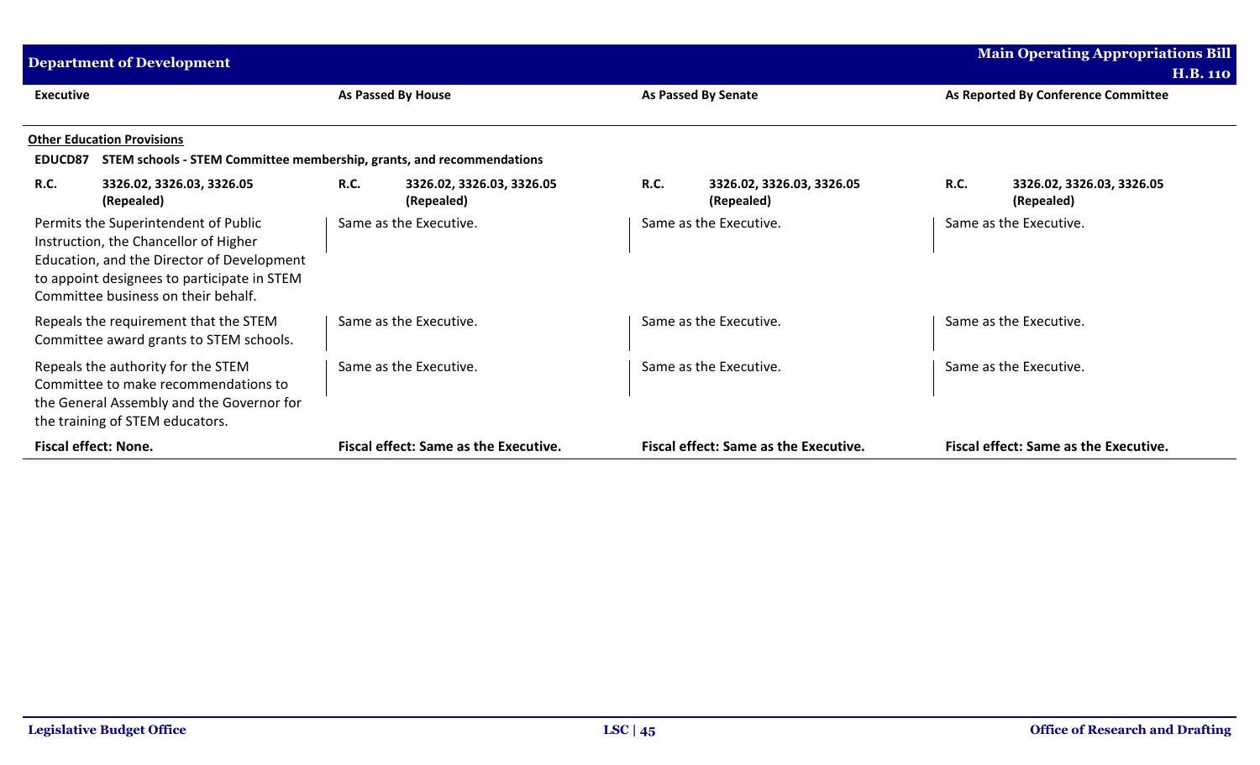| <b>Department of Development</b> |                                                                                                                                                                                                                   |             |                                              |             |                                              | <b>Main Operating Appropriations Bill</b> |                                              |
|----------------------------------|-------------------------------------------------------------------------------------------------------------------------------------------------------------------------------------------------------------------|-------------|----------------------------------------------|-------------|----------------------------------------------|-------------------------------------------|----------------------------------------------|
|                                  |                                                                                                                                                                                                                   |             |                                              |             |                                              |                                           | <b>H.B. 110</b>                              |
| <b>Executive</b>                 |                                                                                                                                                                                                                   |             | As Passed By House                           |             | <b>As Passed By Senate</b>                   |                                           | As Reported By Conference Committee          |
|                                  | <b>Other Education Provisions</b>                                                                                                                                                                                 |             |                                              |             |                                              |                                           |                                              |
| <b>EDUCD87</b>                   | STEM schools - STEM Committee membership, grants, and recommendations                                                                                                                                             |             |                                              |             |                                              |                                           |                                              |
| <b>R.C.</b>                      | 3326.02, 3326.03, 3326.05<br>(Repealed)                                                                                                                                                                           | <b>R.C.</b> | 3326.02, 3326.03, 3326.05<br>(Repealed)      | <b>R.C.</b> | 3326.02, 3326.03, 3326.05<br>(Repealed)      | <b>R.C.</b>                               | 3326.02, 3326.03, 3326.05<br>(Repealed)      |
|                                  | Permits the Superintendent of Public<br>Instruction, the Chancellor of Higher<br>Education, and the Director of Development<br>to appoint designees to participate in STEM<br>Committee business on their behalf. |             | Same as the Executive.                       |             | Same as the Executive.                       |                                           | Same as the Executive.                       |
|                                  | Repeals the requirement that the STEM<br>Committee award grants to STEM schools.                                                                                                                                  |             | Same as the Executive.                       |             | Same as the Executive.                       |                                           | Same as the Executive.                       |
|                                  | Repeals the authority for the STEM<br>Committee to make recommendations to<br>the General Assembly and the Governor for<br>the training of STEM educators.                                                        |             | Same as the Executive.                       |             | Same as the Executive.                       |                                           | Same as the Executive.                       |
|                                  | <b>Fiscal effect: None.</b>                                                                                                                                                                                       |             | <b>Fiscal effect: Same as the Executive.</b> |             | <b>Fiscal effect: Same as the Executive.</b> |                                           | <b>Fiscal effect: Same as the Executive.</b> |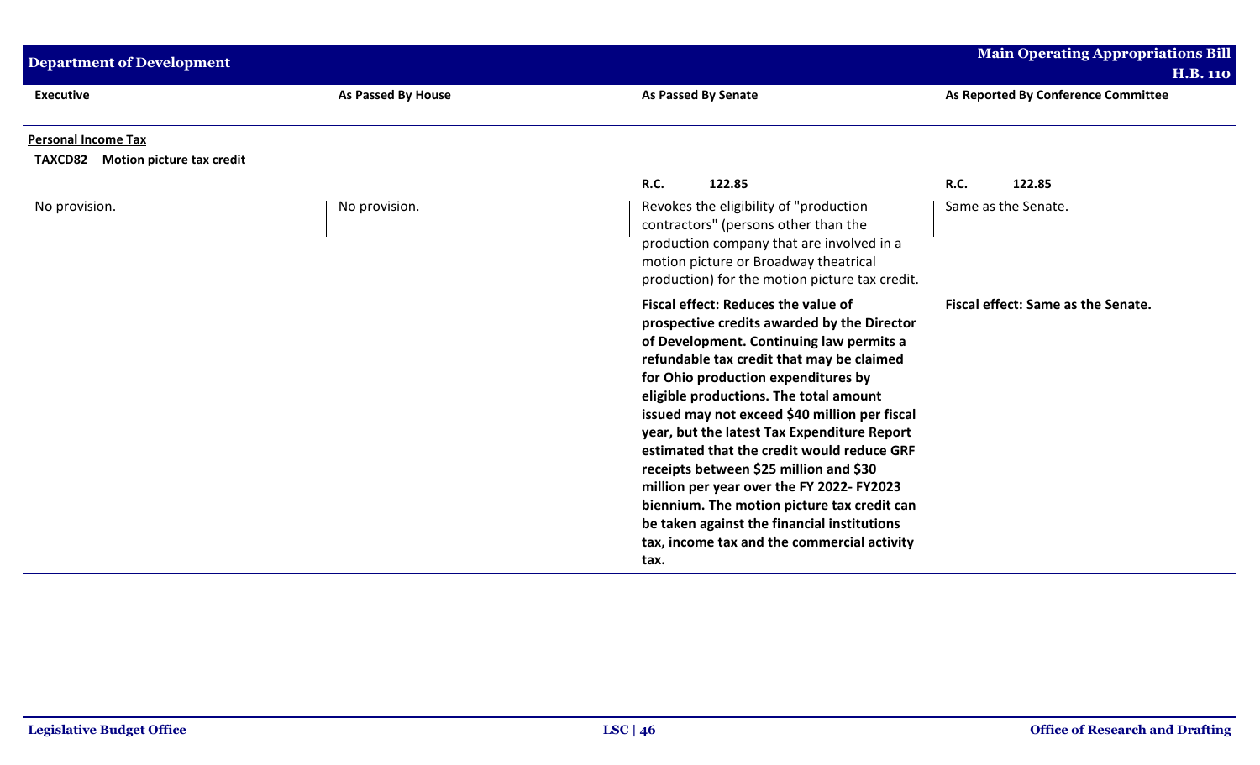| <b>Department of Development</b>                                |                    |                                                                                                                                                                                                                                                                                                                                                                                                                                                                                                                                                                                                                                                        | <b>Main Operating Appropriations Bill</b><br><b>H.B. 110</b> |
|-----------------------------------------------------------------|--------------------|--------------------------------------------------------------------------------------------------------------------------------------------------------------------------------------------------------------------------------------------------------------------------------------------------------------------------------------------------------------------------------------------------------------------------------------------------------------------------------------------------------------------------------------------------------------------------------------------------------------------------------------------------------|--------------------------------------------------------------|
| <b>Executive</b>                                                | As Passed By House | <b>As Passed By Senate</b>                                                                                                                                                                                                                                                                                                                                                                                                                                                                                                                                                                                                                             | As Reported By Conference Committee                          |
| <b>Personal Income Tax</b><br>TAXCD82 Motion picture tax credit |                    |                                                                                                                                                                                                                                                                                                                                                                                                                                                                                                                                                                                                                                                        |                                                              |
|                                                                 |                    | <b>R.C.</b><br>122.85                                                                                                                                                                                                                                                                                                                                                                                                                                                                                                                                                                                                                                  | 122.85<br><b>R.C.</b>                                        |
| No provision.                                                   | No provision.      | Revokes the eligibility of "production<br>contractors" (persons other than the<br>production company that are involved in a<br>motion picture or Broadway theatrical<br>production) for the motion picture tax credit.                                                                                                                                                                                                                                                                                                                                                                                                                                 | Same as the Senate.                                          |
|                                                                 |                    | Fiscal effect: Reduces the value of<br>prospective credits awarded by the Director<br>of Development. Continuing law permits a<br>refundable tax credit that may be claimed<br>for Ohio production expenditures by<br>eligible productions. The total amount<br>issued may not exceed \$40 million per fiscal<br>year, but the latest Tax Expenditure Report<br>estimated that the credit would reduce GRF<br>receipts between \$25 million and \$30<br>million per year over the FY 2022- FY2023<br>biennium. The motion picture tax credit can<br>be taken against the financial institutions<br>tax, income tax and the commercial activity<br>tax. | Fiscal effect: Same as the Senate.                           |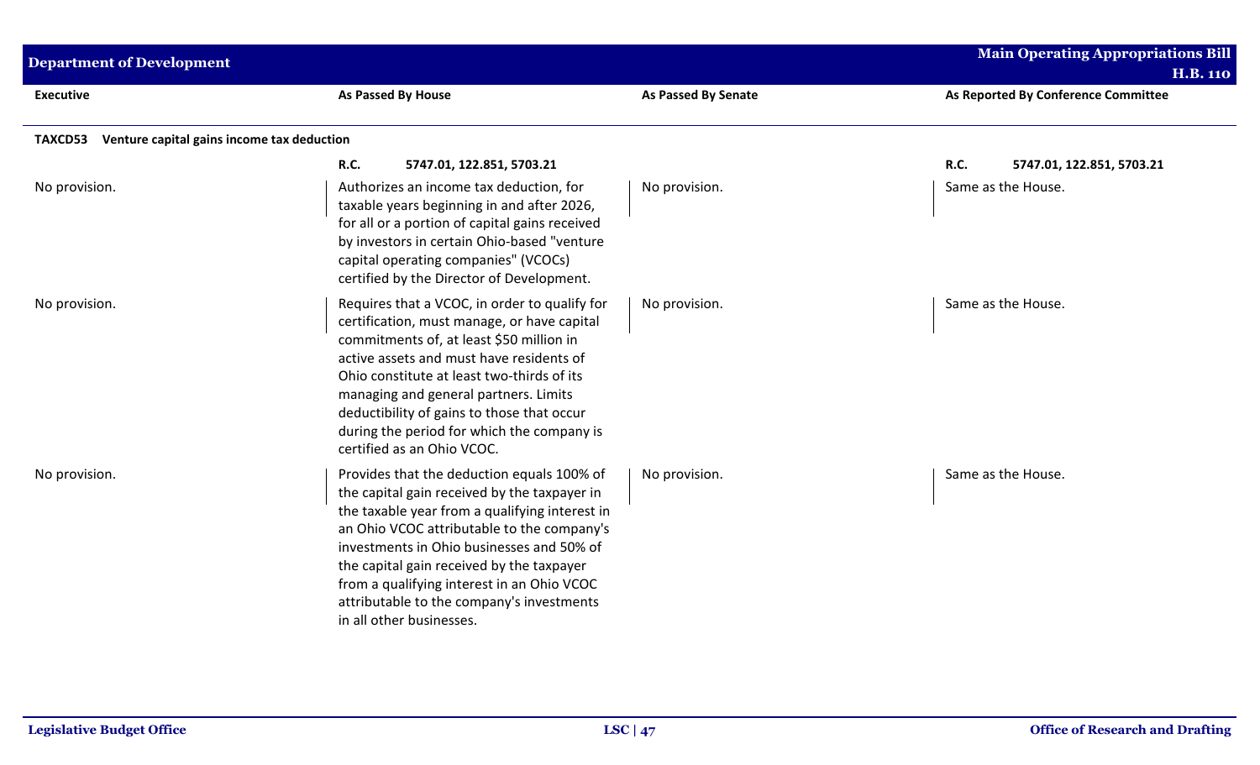| <b>Department of Development</b> |                                                                                                                                                                                                                                                                                                                                                                                                             |                            | <b>Main Operating Appropriations Bill</b><br><b>H.B. 110</b> |  |  |  |  |  |
|----------------------------------|-------------------------------------------------------------------------------------------------------------------------------------------------------------------------------------------------------------------------------------------------------------------------------------------------------------------------------------------------------------------------------------------------------------|----------------------------|--------------------------------------------------------------|--|--|--|--|--|
| <b>Executive</b>                 | As Passed By House                                                                                                                                                                                                                                                                                                                                                                                          | <b>As Passed By Senate</b> | As Reported By Conference Committee                          |  |  |  |  |  |
| <b>TAXCD53</b>                   | Venture capital gains income tax deduction                                                                                                                                                                                                                                                                                                                                                                  |                            |                                                              |  |  |  |  |  |
|                                  | R.C.<br>5747.01, 122.851, 5703.21                                                                                                                                                                                                                                                                                                                                                                           |                            | R.C.<br>5747.01, 122.851, 5703.21                            |  |  |  |  |  |
| No provision.                    | Authorizes an income tax deduction, for<br>taxable years beginning in and after 2026,<br>for all or a portion of capital gains received<br>by investors in certain Ohio-based "venture<br>capital operating companies" (VCOCs)<br>certified by the Director of Development.                                                                                                                                 | No provision.              | Same as the House.                                           |  |  |  |  |  |
| No provision.                    | Requires that a VCOC, in order to qualify for<br>certification, must manage, or have capital<br>commitments of, at least \$50 million in<br>active assets and must have residents of<br>Ohio constitute at least two-thirds of its<br>managing and general partners. Limits<br>deductibility of gains to those that occur<br>during the period for which the company is<br>certified as an Ohio VCOC.       | No provision.              | Same as the House.                                           |  |  |  |  |  |
| No provision.                    | Provides that the deduction equals 100% of<br>the capital gain received by the taxpayer in<br>the taxable year from a qualifying interest in<br>an Ohio VCOC attributable to the company's<br>investments in Ohio businesses and 50% of<br>the capital gain received by the taxpayer<br>from a qualifying interest in an Ohio VCOC<br>attributable to the company's investments<br>in all other businesses. | No provision.              | Same as the House.                                           |  |  |  |  |  |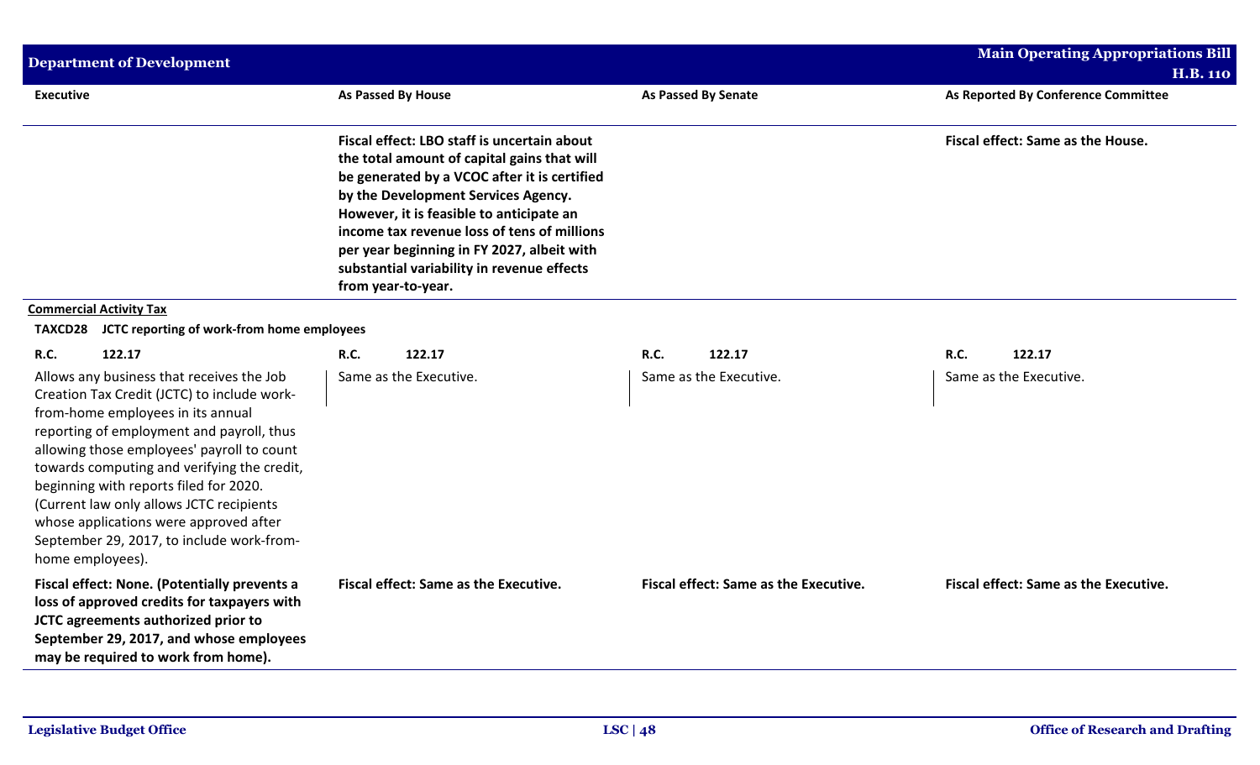| <b>Department of Development</b>                                                                                                                                                                                                                                                                                                                                                                                                                                         |                                                                                                                                                                                                                                                                                                                                                                                                |                                       | <b>Main Operating Appropriations Bill</b> |
|--------------------------------------------------------------------------------------------------------------------------------------------------------------------------------------------------------------------------------------------------------------------------------------------------------------------------------------------------------------------------------------------------------------------------------------------------------------------------|------------------------------------------------------------------------------------------------------------------------------------------------------------------------------------------------------------------------------------------------------------------------------------------------------------------------------------------------------------------------------------------------|---------------------------------------|-------------------------------------------|
|                                                                                                                                                                                                                                                                                                                                                                                                                                                                          |                                                                                                                                                                                                                                                                                                                                                                                                |                                       | <b>H.B. 110</b>                           |
| <b>Executive</b>                                                                                                                                                                                                                                                                                                                                                                                                                                                         | As Passed By House                                                                                                                                                                                                                                                                                                                                                                             | As Passed By Senate                   | As Reported By Conference Committee       |
|                                                                                                                                                                                                                                                                                                                                                                                                                                                                          | Fiscal effect: LBO staff is uncertain about<br>the total amount of capital gains that will<br>be generated by a VCOC after it is certified<br>by the Development Services Agency.<br>However, it is feasible to anticipate an<br>income tax revenue loss of tens of millions<br>per year beginning in FY 2027, albeit with<br>substantial variability in revenue effects<br>from year-to-year. |                                       | Fiscal effect: Same as the House.         |
| <b>Commercial Activity Tax</b>                                                                                                                                                                                                                                                                                                                                                                                                                                           |                                                                                                                                                                                                                                                                                                                                                                                                |                                       |                                           |
| JCTC reporting of work-from home employees<br>TAXCD28                                                                                                                                                                                                                                                                                                                                                                                                                    |                                                                                                                                                                                                                                                                                                                                                                                                |                                       |                                           |
| <b>R.C.</b><br>122.17                                                                                                                                                                                                                                                                                                                                                                                                                                                    | <b>R.C.</b><br>122.17                                                                                                                                                                                                                                                                                                                                                                          | R.C.<br>122.17                        | R.C.<br>122.17                            |
| Allows any business that receives the Job<br>Creation Tax Credit (JCTC) to include work-<br>from-home employees in its annual<br>reporting of employment and payroll, thus<br>allowing those employees' payroll to count<br>towards computing and verifying the credit,<br>beginning with reports filed for 2020.<br>(Current law only allows JCTC recipients<br>whose applications were approved after<br>September 29, 2017, to include work-from-<br>home employees). | Same as the Executive.                                                                                                                                                                                                                                                                                                                                                                         | Same as the Executive.                | Same as the Executive.                    |
| Fiscal effect: None. (Potentially prevents a<br>loss of approved credits for taxpayers with<br>JCTC agreements authorized prior to<br>September 29, 2017, and whose employees<br>may be required to work from home).                                                                                                                                                                                                                                                     | Fiscal effect: Same as the Executive.                                                                                                                                                                                                                                                                                                                                                          | Fiscal effect: Same as the Executive. | Fiscal effect: Same as the Executive.     |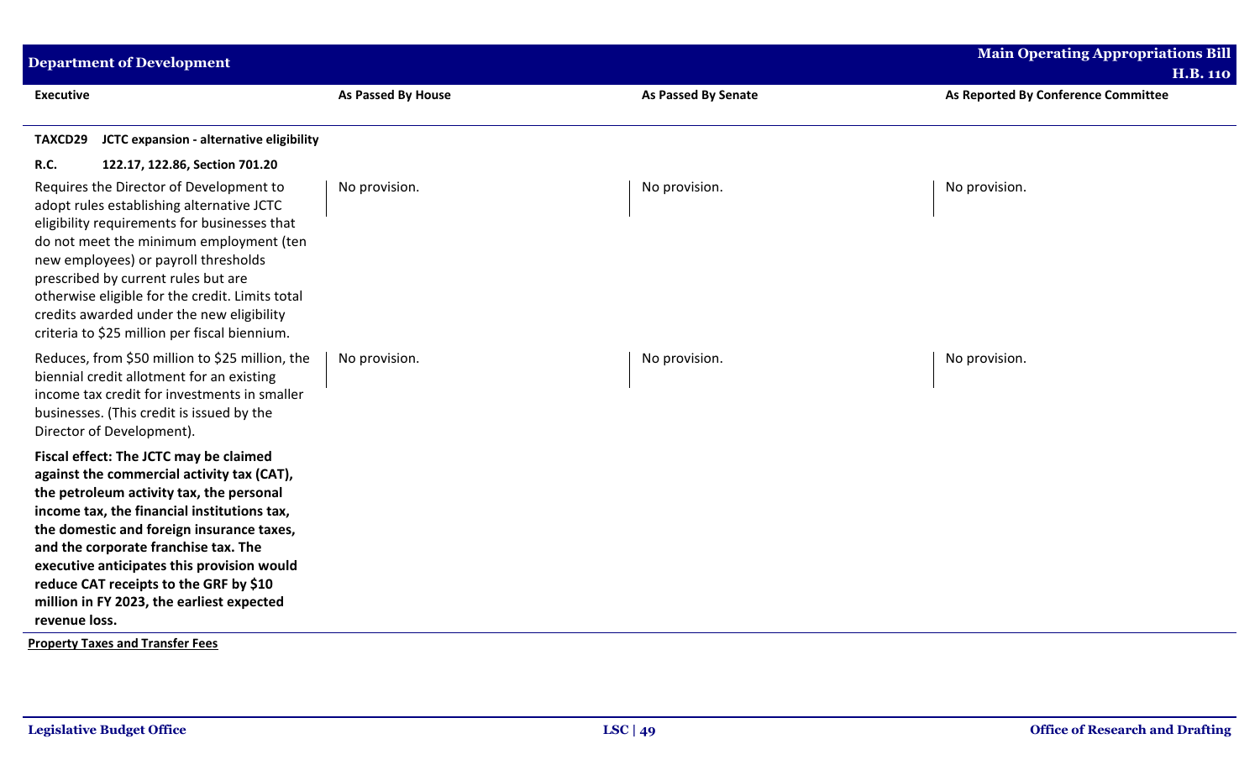| As Passed By House | <b>As Passed By Senate</b> | <b>H.B. 110</b><br>As Reported By Conference Committee |
|--------------------|----------------------------|--------------------------------------------------------|
|                    |                            |                                                        |
|                    |                            |                                                        |
| No provision.      | No provision.              | No provision.                                          |
| No provision.      | No provision.              | No provision.                                          |
|                    |                            |                                                        |
|                    |                            |                                                        |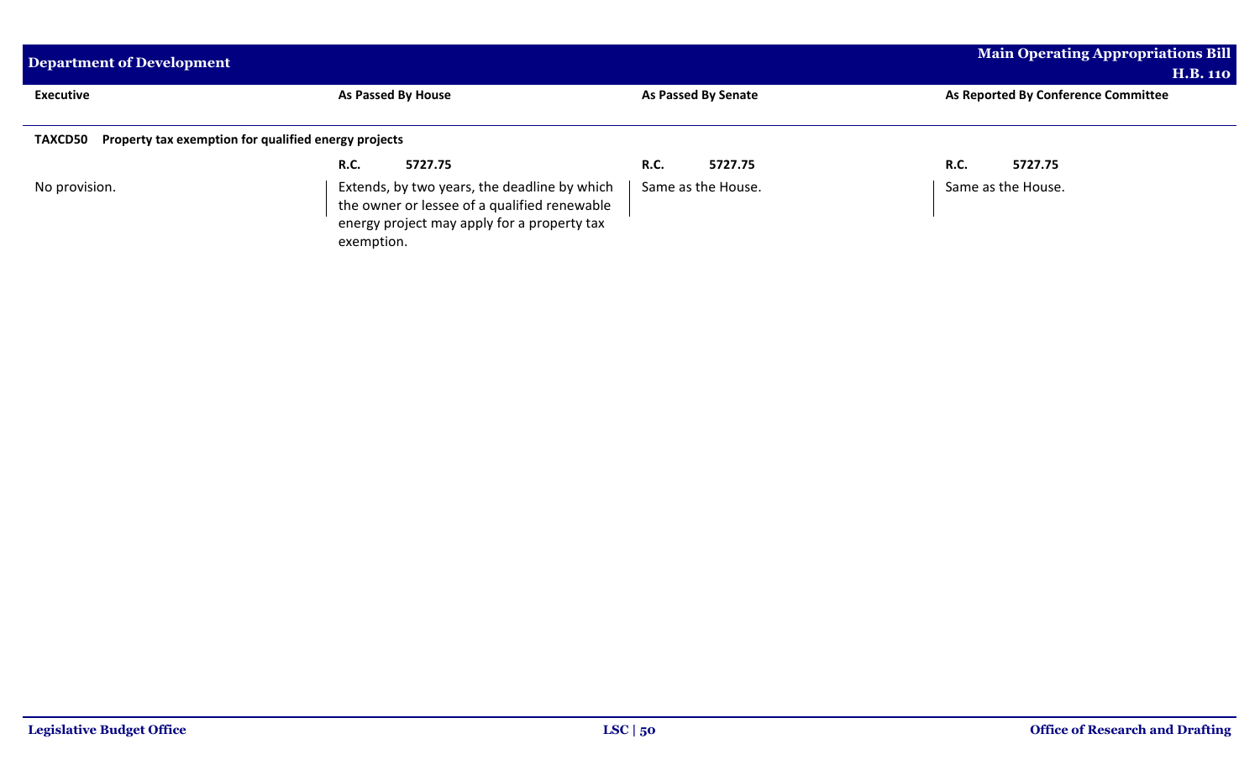| <b>Department of Development</b>                             |                                                                                                           |                        | <b>Main Operating Appropriations Bill</b> |  |
|--------------------------------------------------------------|-----------------------------------------------------------------------------------------------------------|------------------------|-------------------------------------------|--|
|                                                              |                                                                                                           |                        | <b>H.B. 110</b>                           |  |
| <b>Executive</b>                                             | <b>As Passed By House</b>                                                                                 | As Passed By Senate    | As Reported By Conference Committee       |  |
| TAXCD50 Property tax exemption for qualified energy projects | 5727.75<br><b>R.C.</b>                                                                                    | <b>R.C.</b><br>5727.75 | <b>R.C.</b><br>5727.75                    |  |
| No provision.                                                | Extends, by two years, the deadline by which                                                              | Same as the House.     | Same as the House.                        |  |
|                                                              | the owner or lessee of a qualified renewable<br>energy project may apply for a property tax<br>exemption. |                        |                                           |  |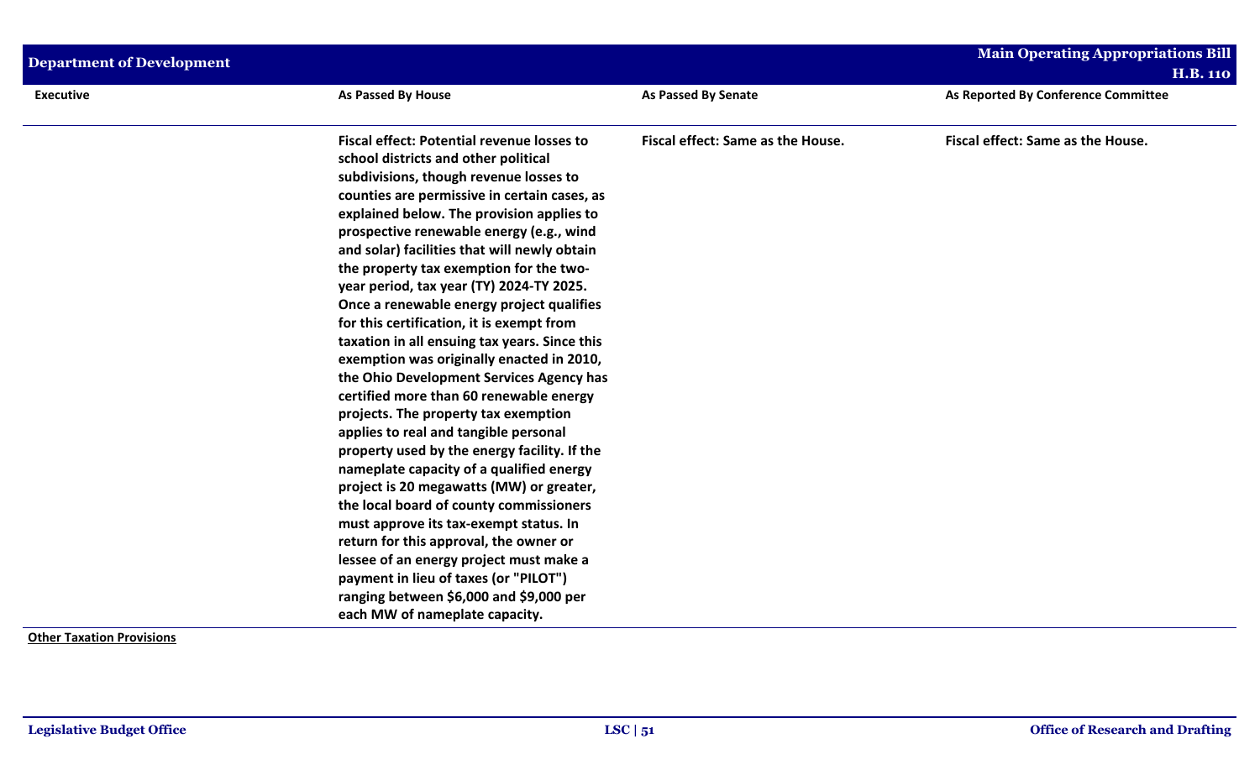| <b>Department of Development</b> |                                                                                                                                                                                                                                                                                                                                                                                                                                                                                                                                                                                                                                                                                                                                                                                                                                                                                                                                                                                                                                                                                                                                                                                                                             |                                   | <b>Main Operating Appropriations Bill</b><br><b>H.B. 110</b> |
|----------------------------------|-----------------------------------------------------------------------------------------------------------------------------------------------------------------------------------------------------------------------------------------------------------------------------------------------------------------------------------------------------------------------------------------------------------------------------------------------------------------------------------------------------------------------------------------------------------------------------------------------------------------------------------------------------------------------------------------------------------------------------------------------------------------------------------------------------------------------------------------------------------------------------------------------------------------------------------------------------------------------------------------------------------------------------------------------------------------------------------------------------------------------------------------------------------------------------------------------------------------------------|-----------------------------------|--------------------------------------------------------------|
| <b>Executive</b>                 | As Passed By House                                                                                                                                                                                                                                                                                                                                                                                                                                                                                                                                                                                                                                                                                                                                                                                                                                                                                                                                                                                                                                                                                                                                                                                                          | As Passed By Senate               | As Reported By Conference Committee                          |
|                                  | <b>Fiscal effect: Potential revenue losses to</b><br>school districts and other political<br>subdivisions, though revenue losses to<br>counties are permissive in certain cases, as<br>explained below. The provision applies to<br>prospective renewable energy (e.g., wind<br>and solar) facilities that will newly obtain<br>the property tax exemption for the two-<br>year period, tax year (TY) 2024-TY 2025.<br>Once a renewable energy project qualifies<br>for this certification, it is exempt from<br>taxation in all ensuing tax years. Since this<br>exemption was originally enacted in 2010,<br>the Ohio Development Services Agency has<br>certified more than 60 renewable energy<br>projects. The property tax exemption<br>applies to real and tangible personal<br>property used by the energy facility. If the<br>nameplate capacity of a qualified energy<br>project is 20 megawatts (MW) or greater,<br>the local board of county commissioners<br>must approve its tax-exempt status. In<br>return for this approval, the owner or<br>lessee of an energy project must make a<br>payment in lieu of taxes (or "PILOT")<br>ranging between \$6,000 and \$9,000 per<br>each MW of nameplate capacity. | Fiscal effect: Same as the House. | Fiscal effect: Same as the House.                            |
| Othar Tavatian Draviciana        |                                                                                                                                                                                                                                                                                                                                                                                                                                                                                                                                                                                                                                                                                                                                                                                                                                                                                                                                                                                                                                                                                                                                                                                                                             |                                   |                                                              |

**Other Taxation Provisions**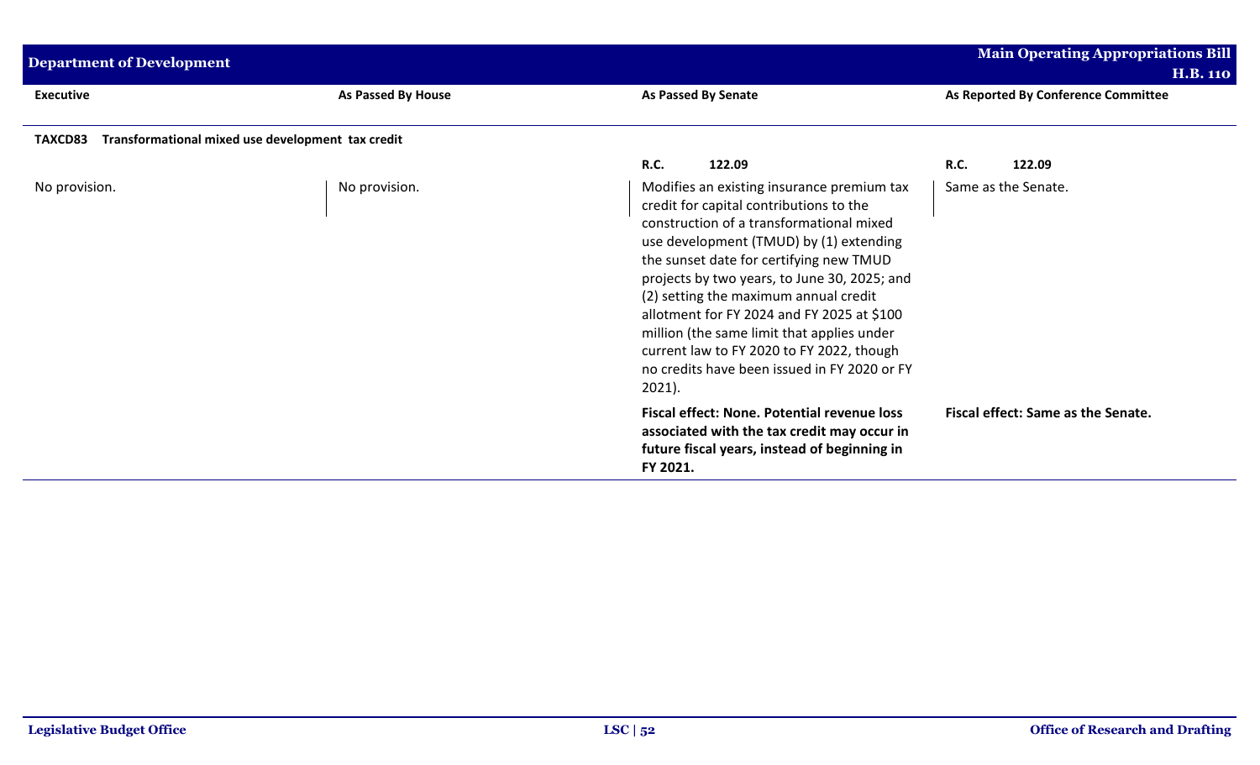| <b>Department of Development</b>                             |                    |                                                                                                                                                                                                                                                                                                                                                                                                                                                                                                                        | <b>Main Operating Appropriations Bill</b><br><b>H.B. 110</b> |
|--------------------------------------------------------------|--------------------|------------------------------------------------------------------------------------------------------------------------------------------------------------------------------------------------------------------------------------------------------------------------------------------------------------------------------------------------------------------------------------------------------------------------------------------------------------------------------------------------------------------------|--------------------------------------------------------------|
| <b>Executive</b>                                             | As Passed By House | As Passed By Senate                                                                                                                                                                                                                                                                                                                                                                                                                                                                                                    | As Reported By Conference Committee                          |
| Transformational mixed use development tax credit<br>TAXCD83 |                    |                                                                                                                                                                                                                                                                                                                                                                                                                                                                                                                        |                                                              |
|                                                              |                    | <b>R.C.</b><br>122.09                                                                                                                                                                                                                                                                                                                                                                                                                                                                                                  | <b>R.C.</b><br>122.09                                        |
| No provision.                                                | No provision.      | Modifies an existing insurance premium tax<br>credit for capital contributions to the<br>construction of a transformational mixed<br>use development (TMUD) by (1) extending<br>the sunset date for certifying new TMUD<br>projects by two years, to June 30, 2025; and<br>(2) setting the maximum annual credit<br>allotment for FY 2024 and FY 2025 at \$100<br>million (the same limit that applies under<br>current law to FY 2020 to FY 2022, though<br>no credits have been issued in FY 2020 or FY<br>$2021$ ). | Same as the Senate.                                          |
|                                                              |                    | <b>Fiscal effect: None. Potential revenue loss</b><br>associated with the tax credit may occur in<br>future fiscal years, instead of beginning in<br>FY 2021.                                                                                                                                                                                                                                                                                                                                                          | Fiscal effect: Same as the Senate.                           |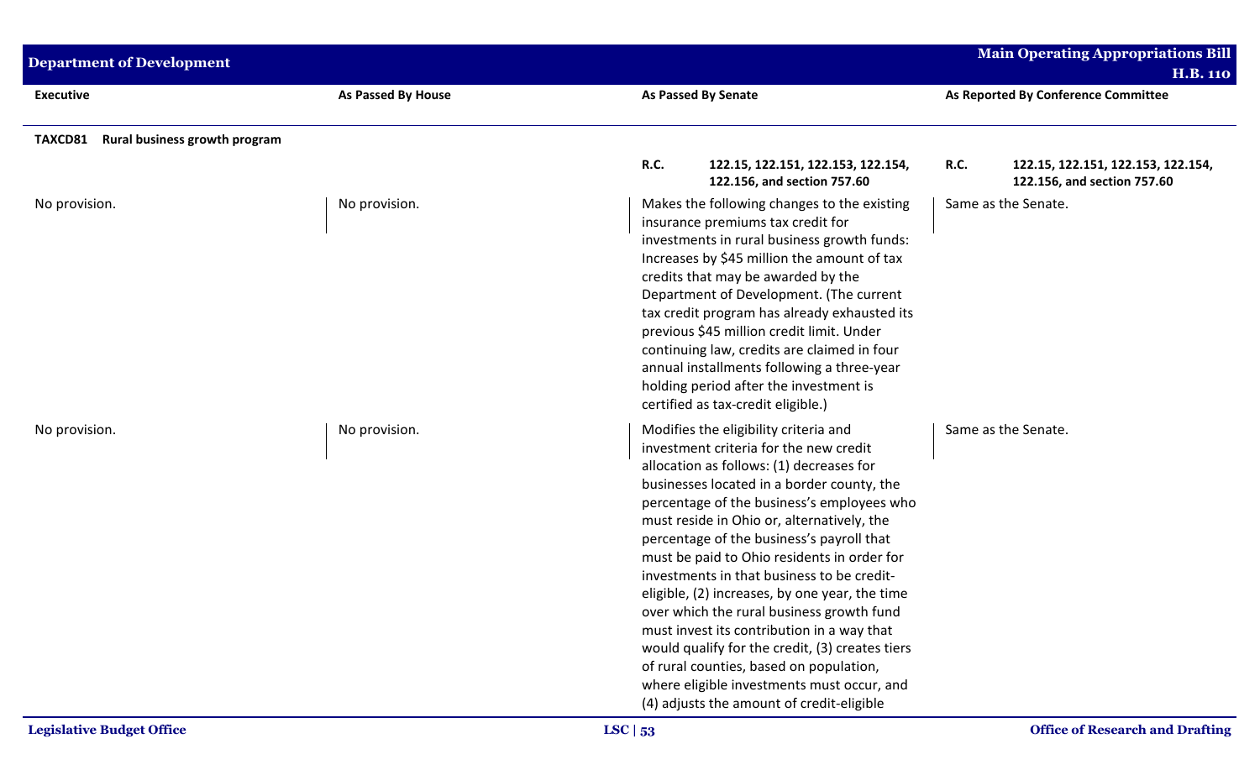| <b>Department of Development</b>                |                    |                                                                                                                                                                                                                                                                                                                                                                                                                                                                                                                                                                                                                                                                                                                                                       | Main Operating Appropriations Bill                     |
|-------------------------------------------------|--------------------|-------------------------------------------------------------------------------------------------------------------------------------------------------------------------------------------------------------------------------------------------------------------------------------------------------------------------------------------------------------------------------------------------------------------------------------------------------------------------------------------------------------------------------------------------------------------------------------------------------------------------------------------------------------------------------------------------------------------------------------------------------|--------------------------------------------------------|
| <b>Executive</b>                                | As Passed By House | <b>As Passed By Senate</b>                                                                                                                                                                                                                                                                                                                                                                                                                                                                                                                                                                                                                                                                                                                            | <b>H.B. 110</b><br>As Reported By Conference Committee |
| Rural business growth program<br><b>TAXCD81</b> |                    | R.C.<br>122.15, 122.151, 122.153, 122.154,                                                                                                                                                                                                                                                                                                                                                                                                                                                                                                                                                                                                                                                                                                            | <b>R.C.</b><br>122.15, 122.151, 122.153, 122.154,      |
| No provision.                                   | No provision.      | 122.156, and section 757.60<br>Makes the following changes to the existing<br>insurance premiums tax credit for<br>investments in rural business growth funds:<br>Increases by \$45 million the amount of tax<br>credits that may be awarded by the<br>Department of Development. (The current<br>tax credit program has already exhausted its<br>previous \$45 million credit limit. Under<br>continuing law, credits are claimed in four<br>annual installments following a three-year<br>holding period after the investment is<br>certified as tax-credit eligible.)                                                                                                                                                                              | 122.156, and section 757.60<br>Same as the Senate.     |
| No provision.                                   | No provision.      | Modifies the eligibility criteria and<br>investment criteria for the new credit<br>allocation as follows: (1) decreases for<br>businesses located in a border county, the<br>percentage of the business's employees who<br>must reside in Ohio or, alternatively, the<br>percentage of the business's payroll that<br>must be paid to Ohio residents in order for<br>investments in that business to be credit-<br>eligible, (2) increases, by one year, the time<br>over which the rural business growth fund<br>must invest its contribution in a way that<br>would qualify for the credit, (3) creates tiers<br>of rural counties, based on population,<br>where eligible investments must occur, and<br>(4) adjusts the amount of credit-eligible | Same as the Senate.                                    |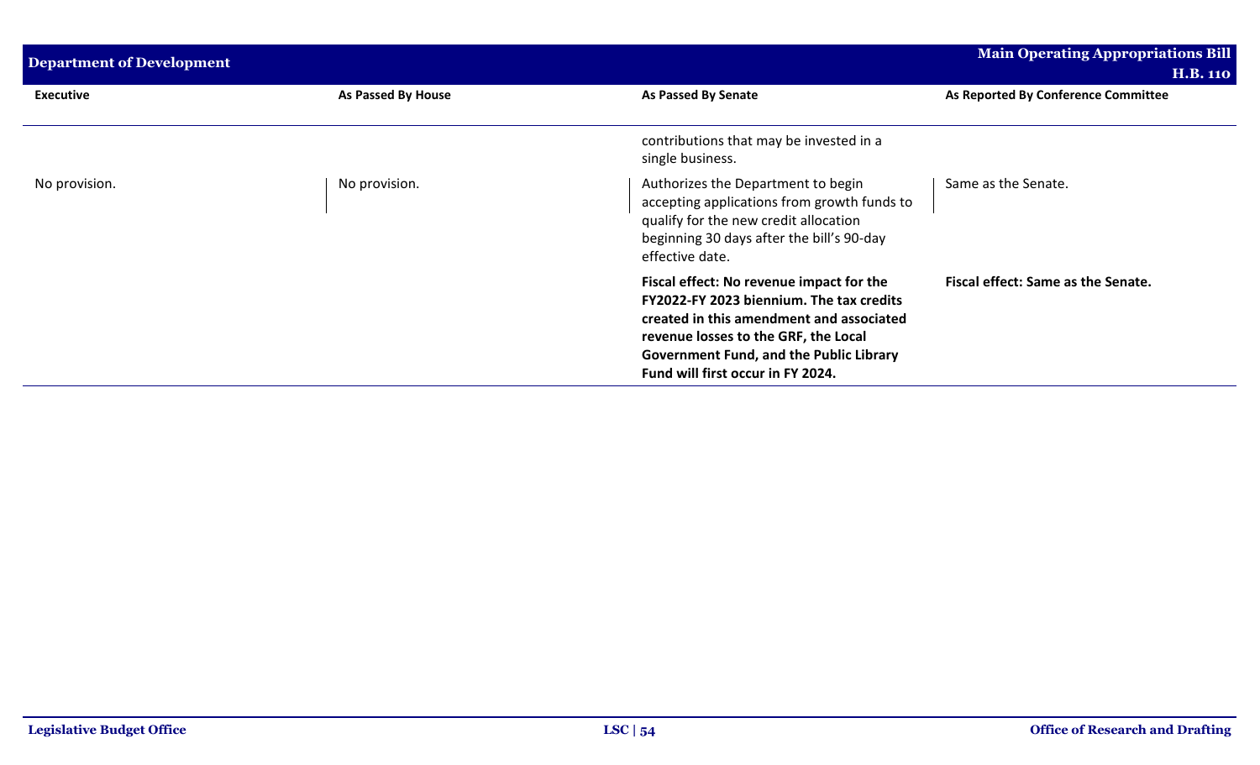| <b>Department of Development</b> |                    | Main Operating Appropriations Bill<br><b>H.B. 110</b>                                                                                                                                                                                                           |                                     |
|----------------------------------|--------------------|-----------------------------------------------------------------------------------------------------------------------------------------------------------------------------------------------------------------------------------------------------------------|-------------------------------------|
| <b>Executive</b>                 | As Passed By House | <b>As Passed By Senate</b>                                                                                                                                                                                                                                      | As Reported By Conference Committee |
|                                  |                    | contributions that may be invested in a<br>single business.                                                                                                                                                                                                     |                                     |
| No provision.                    | No provision.      | Authorizes the Department to begin<br>accepting applications from growth funds to<br>qualify for the new credit allocation<br>beginning 30 days after the bill's 90-day<br>effective date.                                                                      | Same as the Senate.                 |
|                                  |                    | Fiscal effect: No revenue impact for the<br>FY2022-FY 2023 biennium. The tax credits<br>created in this amendment and associated<br>revenue losses to the GRF, the Local<br><b>Government Fund, and the Public Library</b><br>Fund will first occur in FY 2024. | Fiscal effect: Same as the Senate.  |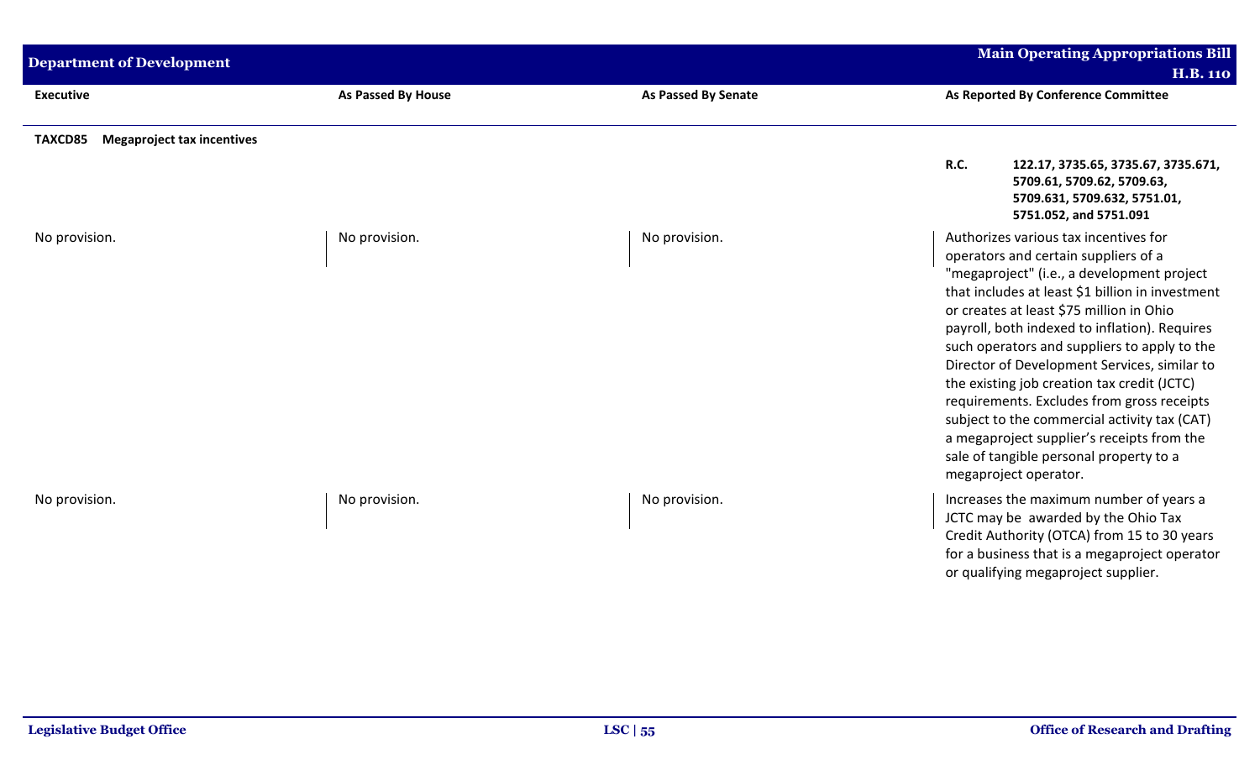| <b>Department of Development</b>             |                           |                            | <b>Main Operating Appropriations Bill</b><br><b>H.B. 110</b>                                                                                                                                                                                                                                                                                                                                                                                                                                                                                                                                                                                |
|----------------------------------------------|---------------------------|----------------------------|---------------------------------------------------------------------------------------------------------------------------------------------------------------------------------------------------------------------------------------------------------------------------------------------------------------------------------------------------------------------------------------------------------------------------------------------------------------------------------------------------------------------------------------------------------------------------------------------------------------------------------------------|
| <b>Executive</b>                             | <b>As Passed By House</b> | <b>As Passed By Senate</b> | As Reported By Conference Committee                                                                                                                                                                                                                                                                                                                                                                                                                                                                                                                                                                                                         |
| <b>Megaproject tax incentives</b><br>TAXCD85 |                           |                            | R.C.<br>122.17, 3735.65, 3735.67, 3735.671,<br>5709.61, 5709.62, 5709.63,<br>5709.631, 5709.632, 5751.01,<br>5751.052, and 5751.091                                                                                                                                                                                                                                                                                                                                                                                                                                                                                                         |
| No provision.                                | No provision.             | No provision.              | Authorizes various tax incentives for<br>operators and certain suppliers of a<br>"megaproject" (i.e., a development project<br>that includes at least \$1 billion in investment<br>or creates at least \$75 million in Ohio<br>payroll, both indexed to inflation). Requires<br>such operators and suppliers to apply to the<br>Director of Development Services, similar to<br>the existing job creation tax credit (JCTC)<br>requirements. Excludes from gross receipts<br>subject to the commercial activity tax (CAT)<br>a megaproject supplier's receipts from the<br>sale of tangible personal property to a<br>megaproject operator. |
| No provision.                                | No provision.             | No provision.              | Increases the maximum number of years a<br>JCTC may be awarded by the Ohio Tax<br>Credit Authority (OTCA) from 15 to 30 years<br>for a business that is a megaproject operator<br>or qualifying megaproject supplier.                                                                                                                                                                                                                                                                                                                                                                                                                       |